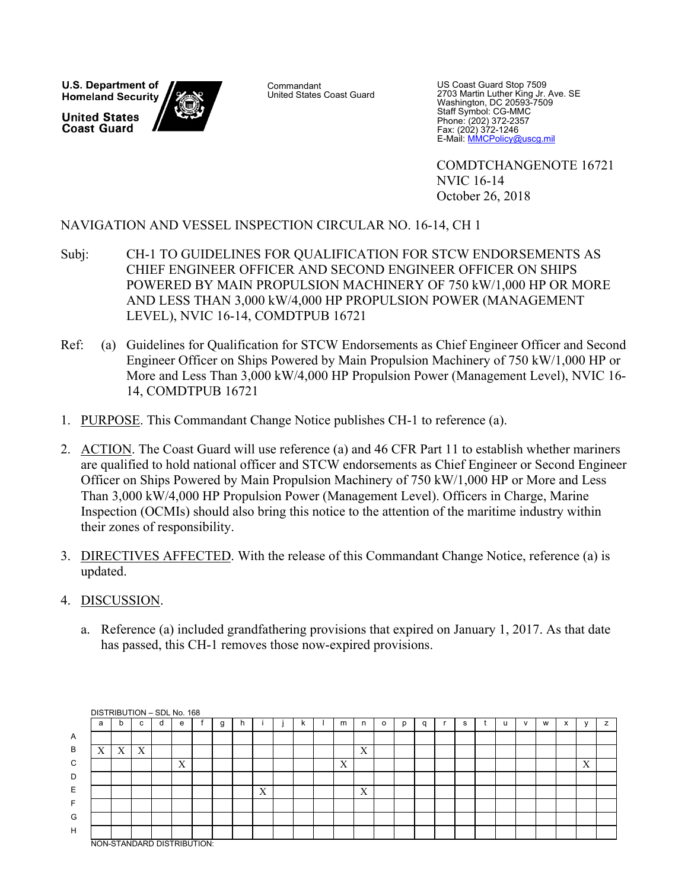U.S. Department of **Homeland Security United States Coast Guard** 



**Commandant** United States Coast Guard

US Coast Guard Stop 7509 2703 Martin Luther King Jr. Ave. SE Washington, DC 20593-7509 Staff Symbol: CG-MMC Phone: (202) 372-2357 Fax: (202) 372-1246 E-Mail: MMCPolicy@uscg.mil

 COMDTCHANGENOTE 16721 NVIC 16-14 October 26, 2018

## NAVIGATION AND VESSEL INSPECTION CIRCULAR NO. 16-14, CH 1

- Subj: CH-1 TO GUIDELINES FOR QUALIFICATION FOR STCW ENDORSEMENTS AS CHIEF ENGINEER OFFICER AND SECOND ENGINEER OFFICER ON SHIPS POWERED BY MAIN PROPULSION MACHINERY OF 750 kW/1,000 HP OR MORE AND LESS THAN 3,000 kW/4,000 HP PROPULSION POWER (MANAGEMENT LEVEL), NVIC 16-14, COMDTPUB 16721
- Ref: (a) Guidelines for Qualification for STCW Endorsements as Chief Engineer Officer and Second Engineer Officer on Ships Powered by Main Propulsion Machinery of 750 kW/1,000 HP or More and Less Than 3,000 kW/4,000 HP Propulsion Power (Management Level), NVIC 16- 14, COMDTPUB 16721
- 1. PURPOSE. This Commandant Change Notice publishes CH-1 to reference (a).
- 2. ACTION. The Coast Guard will use reference (a) and 46 CFR Part 11 to establish whether mariners are qualified to hold national officer and STCW endorsements as Chief Engineer or Second Engineer Officer on Ships Powered by Main Propulsion Machinery of 750 kW/1,000 HP or More and Less Than 3,000 kW/4,000 HP Propulsion Power (Management Level). Officers in Charge, Marine Inspection (OCMIs) should also bring this notice to the attention of the maritime industry within their zones of responsibility.
- 3. DIRECTIVES AFFECTED. With the release of this Commandant Change Notice, reference (a) is updated.
- 4. DISCUSSION.
	- a. Reference (a) included grandfathering provisions that expired on January 1, 2017. As that date has passed, this CH-1 removes those now-expired provisions.

|              | DISTRIBUTION - SDL No. 168 |   |                |   |                          |  |   |   |   |    |   |   |   |  |   |  |              |   |                                       |   |   |
|--------------|----------------------------|---|----------------|---|--------------------------|--|---|---|---|----|---|---|---|--|---|--|--------------|---|---------------------------------------|---|---|
|              | a                          | b | с              | d | е                        |  | g | h |   | n. | m | n | o |  | s |  | $\mathbf{v}$ | W | $\overline{\phantom{a}}$<br>$\lambda$ |   | z |
| $\mathsf{A}$ |                            |   |                |   |                          |  |   |   |   |    |   |   |   |  |   |  |              |   |                                       |   |   |
| B            | v<br>$\Lambda$             | X | v<br>$\Lambda$ |   |                          |  |   |   |   |    |   | X |   |  |   |  |              |   |                                       |   |   |
| C            |                            |   |                |   | $\mathbf v$<br>$\Lambda$ |  |   |   |   |    | X |   |   |  |   |  |              |   |                                       | X |   |
| D            |                            |   |                |   |                          |  |   |   |   |    |   |   |   |  |   |  |              |   |                                       |   |   |
| E            |                            |   |                |   |                          |  |   |   | Х |    |   | X |   |  |   |  |              |   |                                       |   |   |
| F            |                            |   |                |   |                          |  |   |   |   |    |   |   |   |  |   |  |              |   |                                       |   |   |
| G            |                            |   |                |   |                          |  |   |   |   |    |   |   |   |  |   |  |              |   |                                       |   |   |
| H            |                            |   |                |   |                          |  |   |   |   |    |   |   |   |  |   |  |              |   |                                       |   |   |
|              | NON-STANDARD DISTRIBUTION: |   |                |   |                          |  |   |   |   |    |   |   |   |  |   |  |              |   |                                       |   |   |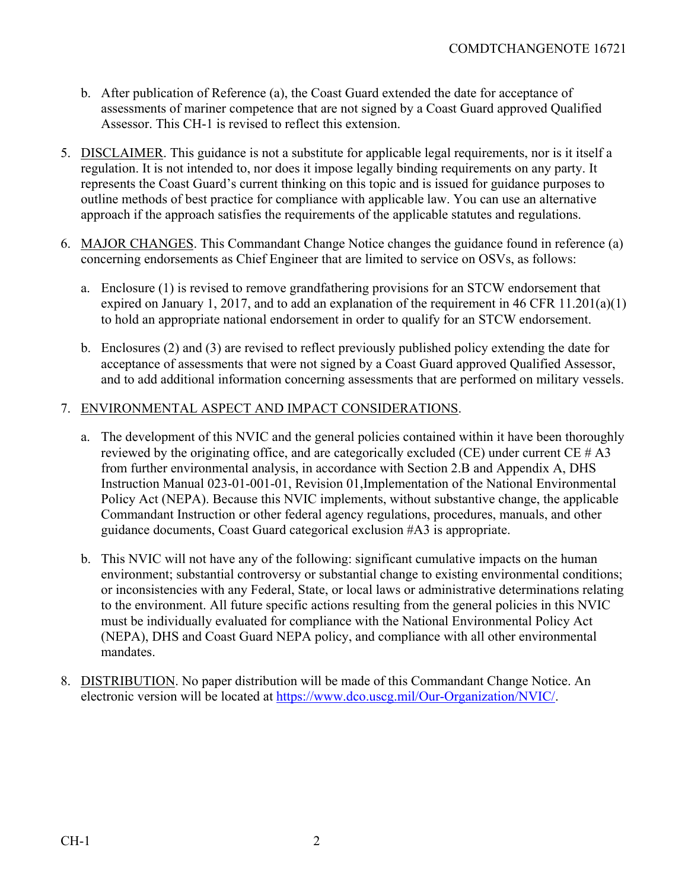- b. After publication of Reference (a), the Coast Guard extended the date for acceptance of assessments of mariner competence that are not signed by a Coast Guard approved Qualified Assessor. This CH-1 is revised to reflect this extension.
- 5. DISCLAIMER. This guidance is not a substitute for applicable legal requirements, nor is it itself a regulation. It is not intended to, nor does it impose legally binding requirements on any party. It represents the Coast Guard's current thinking on this topic and is issued for guidance purposes to outline methods of best practice for compliance with applicable law. You can use an alternative approach if the approach satisfies the requirements of the applicable statutes and regulations.
- 6. MAJOR CHANGES. This Commandant Change Notice changes the guidance found in reference (a) concerning endorsements as Chief Engineer that are limited to service on OSVs, as follows:
	- a. Enclosure (1) is revised to remove grandfathering provisions for an STCW endorsement that expired on January 1, 2017, and to add an explanation of the requirement in 46 CFR 11.201(a)(1) to hold an appropriate national endorsement in order to qualify for an STCW endorsement.
	- b. Enclosures (2) and (3) are revised to reflect previously published policy extending the date for acceptance of assessments that were not signed by a Coast Guard approved Qualified Assessor, and to add additional information concerning assessments that are performed on military vessels.

## 7. ENVIRONMENTAL ASPECT AND IMPACT CONSIDERATIONS.

- a. The development of this NVIC and the general policies contained within it have been thoroughly reviewed by the originating office, and are categorically excluded (CE) under current CE # A3 from further environmental analysis, in accordance with Section 2.B and Appendix A, DHS Instruction Manual 023-01-001-01, Revision 01,Implementation of the National Environmental Policy Act (NEPA). Because this NVIC implements, without substantive change, the applicable Commandant Instruction or other federal agency regulations, procedures, manuals, and other guidance documents, Coast Guard categorical exclusion #A3 is appropriate.
- b. This NVIC will not have any of the following: significant cumulative impacts on the human environment; substantial controversy or substantial change to existing environmental conditions; or inconsistencies with any Federal, State, or local laws or administrative determinations relating to the environment. All future specific actions resulting from the general policies in this NVIC must be individually evaluated for compliance with the National Environmental Policy Act (NEPA), DHS and Coast Guard NEPA policy, and compliance with all other environmental mandates.
- 8. DISTRIBUTION. No paper distribution will be made of this Commandant Change Notice. An electronic version will be located at https://www.dco.uscg.mil/Our-Organization/NVIC/.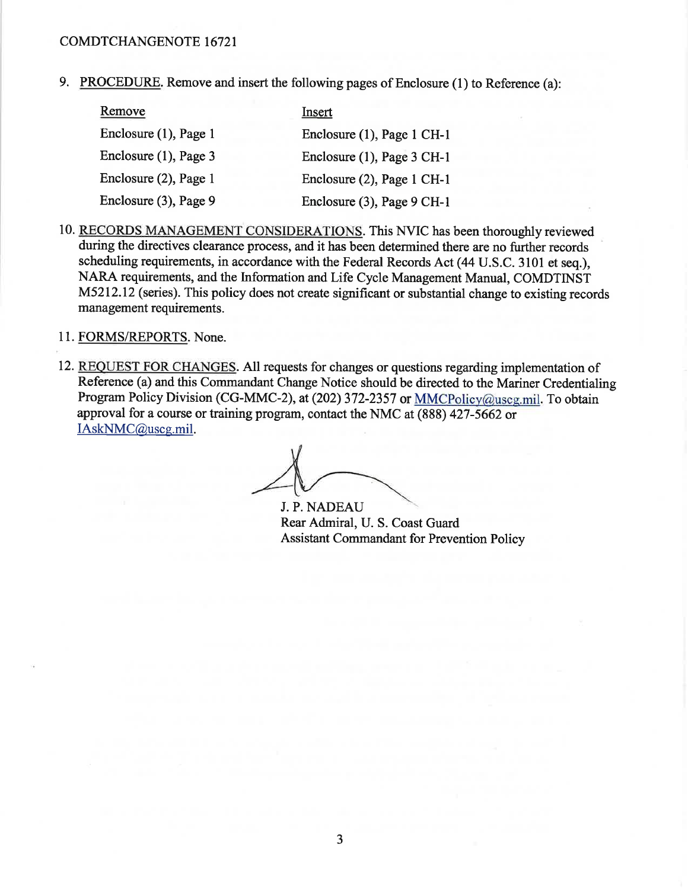PROCEDURE. Remove and insert the following pages of Enclosure (1) to Reference (a): 9.

| Remove                   | Insert                        |
|--------------------------|-------------------------------|
| Enclosure (1), Page 1    | Enclosure (1), Page 1 CH-1    |
| Enclosure $(1)$ , Page 3 | Enclosure (1), Page 3 CH-1    |
| Enclosure (2), Page 1    | Enclosure $(2)$ , Page 1 CH-1 |
| Enclosure (3), Page 9    | Enclosure (3), Page 9 CH-1    |

- 10. RECORDS MANAGEMENT CONSIDERATIONS. This NVIC has been thoroughly reviewed during the directives clearance process, and it has been determined there are no further records scheduling requirements, in accordance with the Federal Records Act (44 U.S.C. 3101 et seq.), NARA requirements, and the Information and Life Cycle Management Manual, COMDTINST M5212.12 (series). This policy does not create significant or substantial change to existing records management requirements.
- 11. FORMS/REPORTS. None.
- 12. REQUEST FOR CHANGES. All requests for changes or questions regarding implementation of Reference (a) and this Commandant Change Notice should be directed to the Mariner Credentialing Program Policy Division (CG-MMC-2), at (202) 372-2357 or MMCPolicy@uscg.mil. To obtain approval for a course or training program, contact the NMC at (888) 427-5662 or IAskNMC@uscg.mil.

**J. P. NADEAU** Rear Admiral, U. S. Coast Guard **Assistant Commandant for Prevention Policy**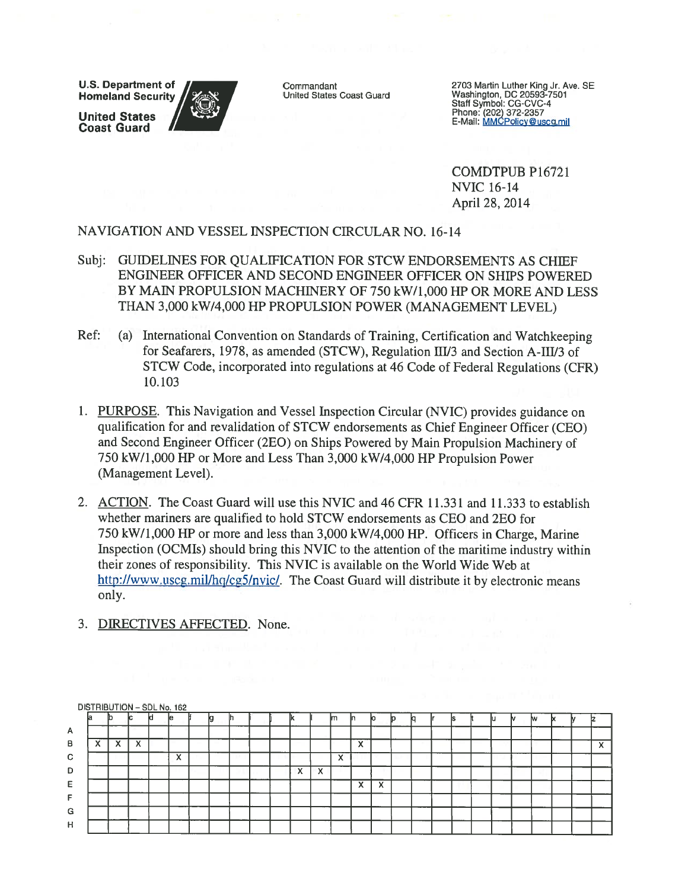**U.S. Department of Homeland Security United States Coast Guard** 



Commandant United States Coast Guard 2703 Martin Luther King Jr. Ave. SE<br>Washington, DC 20593-7501<br>Staff Symbol: CG-CVC-4<br>Phone: (202) 372-2357<br>E-Mail: <u>MMCPolicy@uscq.mil</u>

**COMDTPUB P16721 NVIC 16-14** April 28, 2014

### NAVIGATION AND VESSEL INSPECTION CIRCULAR NO. 16-14

- $Sub$ j: GUIDELINES FOR QUALIFICATION FOR STCW ENDORSEMENTS AS CHIEF ENGINEER OFFICER AND SECOND ENGINEER OFFICER ON SHIPS POWERED BY MAIN PROPULSION MACHINERY OF 750 kW/1,000 HP OR MORE AND LESS THAN 3,000 kW/4,000 HP PROPULSION POWER (MANAGEMENT LEVEL)
- Ref: (a) International Convention on Standards of Training, Certification and Watchkeeping for Seafarers, 1978, as amended (STCW), Regulation III/3 and Section A-III/3 of STCW Code, incorporated into regulations at 46 Code of Federal Regulations (CFR) 10.103
- 1. PURPOSE. This Navigation and Vessel Inspection Circular (NVIC) provides guidance on qualification for and revalidation of STCW endorsements as Chief Engineer Officer (CEO) and Second Engineer Officer (2EO) on Ships Powered by Main Propulsion Machinery of 750 kW/1,000 HP or More and Less Than 3,000 kW/4,000 HP Propulsion Power (Management Level).
- 2. ACTION. The Coast Guard will use this NVIC and 46 CFR 11.331 and 11.333 to establish whether mariners are qualified to hold STCW endorsements as CEO and 2EO for 750 kW/1,000 HP or more and less than 3,000 kW/4,000 HP. Officers in Charge, Marine Inspection (OCMIs) should bring this NVIC to the attention of the maritime industry within their zones of responsibility. This NVIC is available on the World Wide Web at http://www.uscg.mil/hq/cg5/nvic/. The Coast Guard will distribute it by electronic means only.
- 3. DIRECTIVES AFFECTED. None.

|    | DISTRIBUTION - SDL No. 162 |                           |                           |  |                           |  |  |  |  |  |   |        |    |   |                        |  |  |  |  |  |   |
|----|----------------------------|---------------------------|---------------------------|--|---------------------------|--|--|--|--|--|---|--------|----|---|------------------------|--|--|--|--|--|---|
|    |                            |                           |                           |  | ın                        |  |  |  |  |  |   |        | Im |   |                        |  |  |  |  |  |   |
| A  |                            |                           |                           |  |                           |  |  |  |  |  |   |        |    |   |                        |  |  |  |  |  |   |
| в  | x                          | $\checkmark$<br>$\lambda$ | $\checkmark$<br>$\lambda$ |  |                           |  |  |  |  |  |   |        |    | x |                        |  |  |  |  |  | X |
| с  |                            |                           |                           |  | $\checkmark$<br>$\lambda$ |  |  |  |  |  |   |        | ⌒  |   |                        |  |  |  |  |  |   |
| D  |                            |                           |                           |  |                           |  |  |  |  |  | X | v<br>ᄉ |    |   |                        |  |  |  |  |  |   |
| E. |                            |                           |                           |  |                           |  |  |  |  |  |   |        |    | X | $\checkmark$<br>$\sim$ |  |  |  |  |  |   |
| F. |                            |                           |                           |  |                           |  |  |  |  |  |   |        |    |   |                        |  |  |  |  |  |   |
| G  |                            |                           |                           |  |                           |  |  |  |  |  |   |        |    |   |                        |  |  |  |  |  |   |
| н  |                            |                           |                           |  |                           |  |  |  |  |  |   |        |    |   |                        |  |  |  |  |  |   |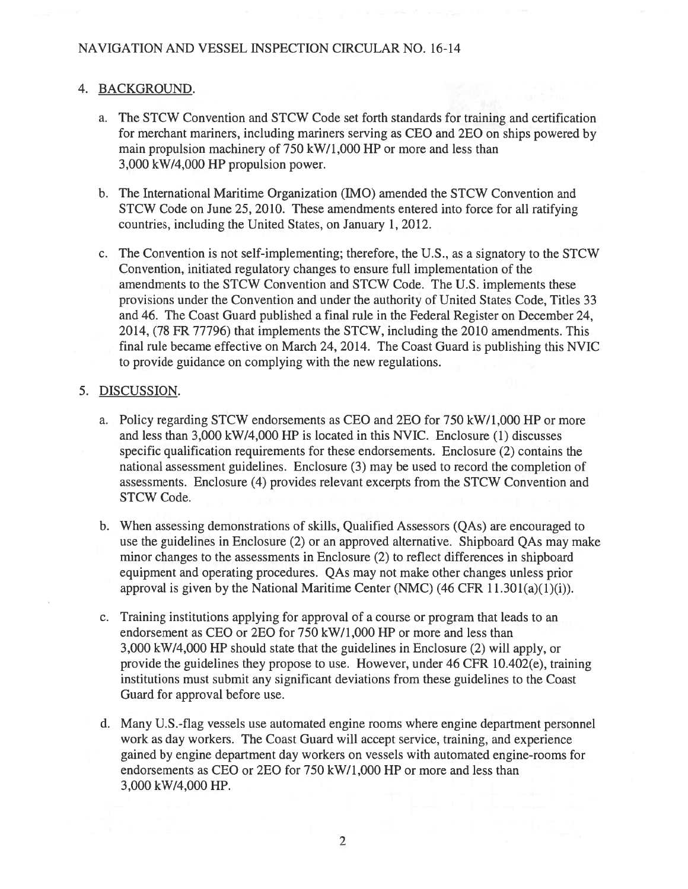### NAVIGATION AND VESSEL INSPECTION CIRCULAR NO. 16-14

### 4. BACKGROUND.

- a. The STCW Convention and STCW Code set forth standards for training and certification for merchant mariners, including mariners serving as CEO and 2EO on ships powered by main propulsion machinery of 750 kW/1,000 HP or more and less than 3,000 kW/4,000 HP propulsion power.
- b. The International Maritime Organization (IMO) amended the STCW Convention and STCW Code on June 25, 2010. These amendments entered into force for all ratifying countries, including the United States, on January 1, 2012.
- c. The Convention is not self-implementing; therefore, the U.S., as a signatory to the STCW Convention, initiated regulatory changes to ensure full implementation of the amendments to the STCW Convention and STCW Code. The U.S. implements these provisions under the Convention and under the authority of United States Code, Titles 33 and 46. The Coast Guard published a final rule in the Federal Register on December 24, 2014, (78 FR 77796) that implements the STCW, including the 2010 amendments. This final rule became effective on March 24, 2014. The Coast Guard is publishing this NVIC to provide guidance on complying with the new regulations.

### 5. DISCUSSION.

- a. Policy regarding STCW endorsements as CEO and 2EO for 750 kW/1,000 HP or more and less than 3,000 kW/4,000 HP is located in this NVIC. Enclosure (1) discusses specific qualification requirements for these endorsements. Enclosure (2) contains the national assessment guidelines. Enclosure (3) may be used to record the completion of assessments. Enclosure (4) provides relevant excerpts from the STCW Convention and **STCW Code.**
- b. When assessing demonstrations of skills, Qualified Assessors (QAs) are encouraged to use the guidelines in Enclosure (2) or an approved alternative. Shipboard QAs may make minor changes to the assessments in Enclosure (2) to reflect differences in shipboard equipment and operating procedures. QAs may not make other changes unless prior approval is given by the National Maritime Center (NMC)  $(46 \text{ CFR } 11.301(a)(1)(i)).$
- c. Training institutions applying for approval of a course or program that leads to an endorsement as CEO or 2EO for 750 kW/1,000 HP or more and less than 3,000 kW/4,000 HP should state that the guidelines in Enclosure (2) will apply, or provide the guidelines they propose to use. However, under 46 CFR 10.402(e), training institutions must submit any significant deviations from these guidelines to the Coast Guard for approval before use.
- d. Many U.S.-flag vessels use automated engine rooms where engine department personnel work as day workers. The Coast Guard will accept service, training, and experience gained by engine department day workers on vessels with automated engine-rooms for endorsements as CEO or 2EO for 750 kW/1,000 HP or more and less than 3,000 kW/4,000 HP.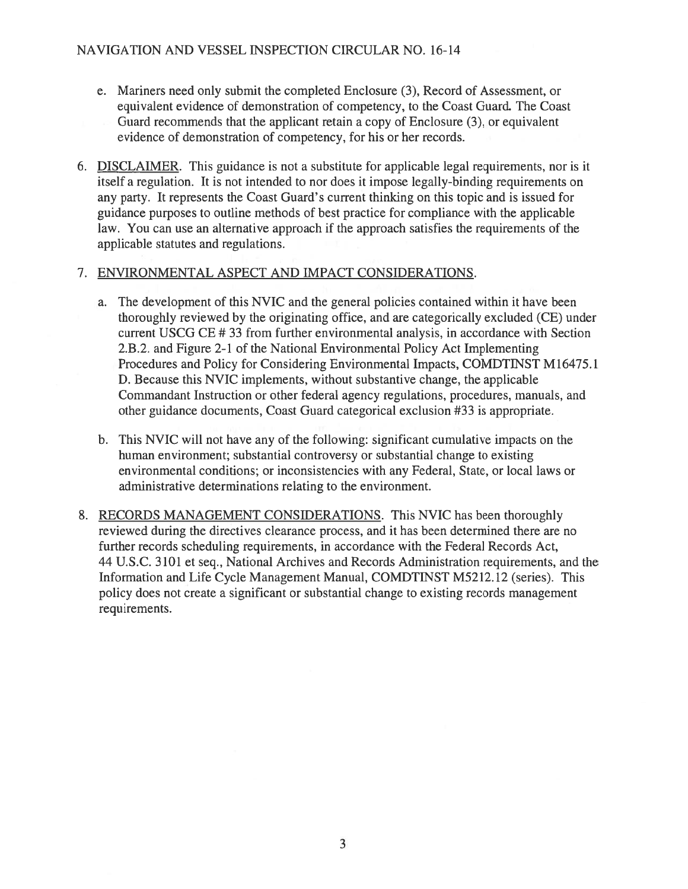- e. Mariners need only submit the completed Enclosure (3), Record of Assessment, or equivalent evidence of demonstration of competency, to the Coast Guard. The Coast Guard recommends that the applicant retain a copy of Enclosure (3), or equivalent evidence of demonstration of competency, for his or her records.
- 6. DISCLAIMER. This guidance is not a substitute for applicable legal requirements, nor is it itself a regulation. It is not intended to nor does it impose legally-binding requirements on any party. It represents the Coast Guard's current thinking on this topic and is issued for guidance purposes to outline methods of best practice for compliance with the applicable law. You can use an alternative approach if the approach satisfies the requirements of the applicable statutes and regulations.

### 7. ENVIRONMENTAL ASPECT AND IMPACT CONSIDERATIONS.

- a. The development of this NVIC and the general policies contained within it have been thoroughly reviewed by the originating office, and are categorically excluded (CE) under current USCG CE #33 from further environmental analysis, in accordance with Section 2.B.2. and Figure 2-1 of the National Environmental Policy Act Implementing Procedures and Policy for Considering Environmental Impacts, COMDTINST M16475.1 D. Because this NVIC implements, without substantive change, the applicable Commandant Instruction or other federal agency regulations, procedures, manuals, and other guidance documents, Coast Guard categorical exclusion #33 is appropriate.
- b. This NVIC will not have any of the following: significant cumulative impacts on the human environment; substantial controversy or substantial change to existing environmental conditions; or inconsistencies with any Federal, State, or local laws or administrative determinations relating to the environment.
- 8. RECORDS MANAGEMENT CONSIDERATIONS. This NVIC has been thoroughly reviewed during the directives clearance process, and it has been determined there are no further records scheduling requirements, in accordance with the Federal Records Act, 44 U.S.C. 3101 et seq., National Archives and Records Administration requirements, and the Information and Life Cycle Management Manual, COMDTINST M5212.12 (series). This policy does not create a significant or substantial change to existing records management requirements.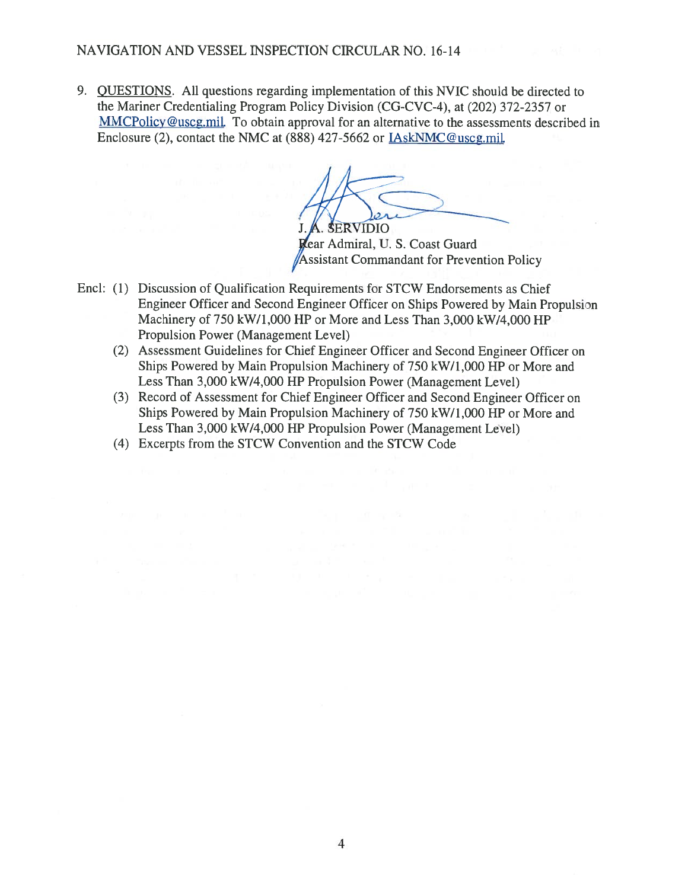9. QUESTIONS. All questions regarding implementation of this NVIC should be directed to the Mariner Credentialing Program Policy Division (CG-CVC-4), at (202) 372-2357 or MMCPolicy@uscg.mil To obtain approval for an alternative to the assessments described in Enclosure (2), contact the NMC at (888) 427-5662 or IAskNMC@uscg.mil.

J.A. SERVIDIO

Rear Admiral, U. S. Coast Guard **Assistant Commandant for Prevention Policy** 

- Encl: (1) Discussion of Qualification Requirements for STCW Endorsements as Chief Engineer Officer and Second Engineer Officer on Ships Powered by Main Propulsion Machinery of 750 kW/1,000 HP or More and Less Than 3,000 kW/4,000 HP Propulsion Power (Management Level)
	- (2) Assessment Guidelines for Chief Engineer Officer and Second Engineer Officer on Ships Powered by Main Propulsion Machinery of 750 kW/1,000 HP or More and Less Than 3,000 kW/4,000 HP Propulsion Power (Management Level)
	- (3) Record of Assessment for Chief Engineer Officer and Second Engineer Officer on Ships Powered by Main Propulsion Machinery of 750 kW/1,000 HP or More and Less Than 3,000 kW/4,000 HP Propulsion Power (Management Level)
	- (4) Excerpts from the STCW Convention and the STCW Code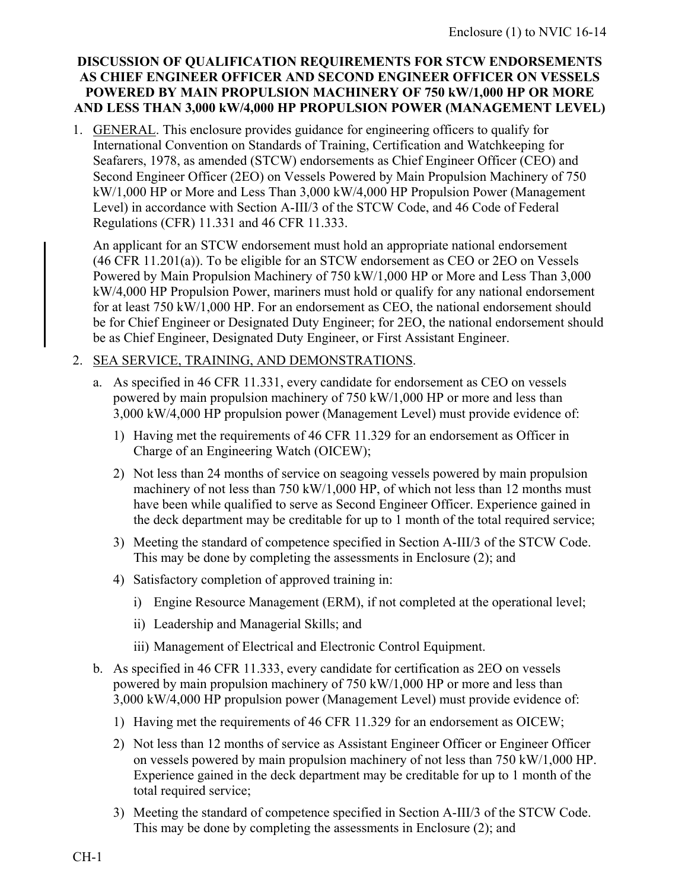## **DISCUSSION OF QUALIFICATION REQUIREMENTS FOR STCW ENDORSEMENTS AS CHIEF ENGINEER OFFICER AND SECOND ENGINEER OFFICER ON VESSELS POWERED BY MAIN PROPULSION MACHINERY OF 750 kW/1,000 HP OR MORE AND LESS THAN 3,000 kW/4,000 HP PROPULSION POWER (MANAGEMENT LEVEL)**

1. GENERAL. This enclosure provides guidance for engineering officers to qualify for International Convention on Standards of Training, Certification and Watchkeeping for Seafarers, 1978, as amended (STCW) endorsements as Chief Engineer Officer (CEO) and Second Engineer Officer (2EO) on Vessels Powered by Main Propulsion Machinery of 750 kW/1,000 HP or More and Less Than 3,000 kW/4,000 HP Propulsion Power (Management Level) in accordance with Section A-III/3 of the STCW Code, and 46 Code of Federal Regulations (CFR) 11.331 and 46 CFR 11.333.

An applicant for an STCW endorsement must hold an appropriate national endorsement (46 CFR 11.201(a)). To be eligible for an STCW endorsement as CEO or 2EO on Vessels Powered by Main Propulsion Machinery of 750 kW/1,000 HP or More and Less Than 3,000 kW/4,000 HP Propulsion Power, mariners must hold or qualify for any national endorsement for at least 750 kW/1,000 HP. For an endorsement as CEO, the national endorsement should be for Chief Engineer or Designated Duty Engineer; for 2EO, the national endorsement should be as Chief Engineer, Designated Duty Engineer, or First Assistant Engineer.

# 2. SEA SERVICE, TRAINING, AND DEMONSTRATIONS.

- a. As specified in 46 CFR 11.331, every candidate for endorsement as CEO on vessels powered by main propulsion machinery of 750 kW/1,000 HP or more and less than 3,000 kW/4,000 HP propulsion power (Management Level) must provide evidence of:
	- 1) Having met the requirements of 46 CFR 11.329 for an endorsement as Officer in Charge of an Engineering Watch (OICEW);
	- 2) Not less than 24 months of service on seagoing vessels powered by main propulsion machinery of not less than 750 kW/1,000 HP, of which not less than 12 months must have been while qualified to serve as Second Engineer Officer. Experience gained in the deck department may be creditable for up to 1 month of the total required service;
	- 3) Meeting the standard of competence specified in Section A-III/3 of the STCW Code. This may be done by completing the assessments in Enclosure (2); and
	- 4) Satisfactory completion of approved training in:
		- i) Engine Resource Management (ERM), if not completed at the operational level;
		- ii) Leadership and Managerial Skills; and
		- iii) Management of Electrical and Electronic Control Equipment.
- b. As specified in 46 CFR 11.333, every candidate for certification as 2EO on vessels powered by main propulsion machinery of 750 kW/1,000 HP or more and less than 3,000 kW/4,000 HP propulsion power (Management Level) must provide evidence of:
	- 1) Having met the requirements of 46 CFR 11.329 for an endorsement as OICEW;
	- 2) Not less than 12 months of service as Assistant Engineer Officer or Engineer Officer on vessels powered by main propulsion machinery of not less than 750 kW/1,000 HP. Experience gained in the deck department may be creditable for up to 1 month of the total required service;
	- 3) Meeting the standard of competence specified in Section A-III/3 of the STCW Code. This may be done by completing the assessments in Enclosure (2); and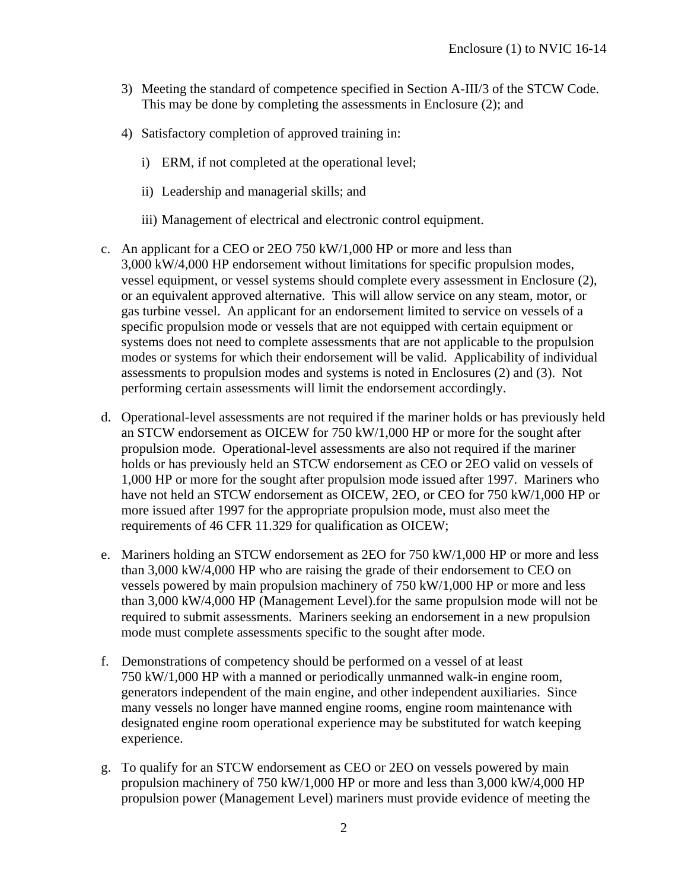- 3) Meeting the standard of competence specified in Section A-III/3 of the STCW Code. This may be done by completing the assessments in Enclosure (2); and
- 4) Satisfactory completion of approved training in:
	- i) ERM, if not completed at the operational level;
	- ii) Leadership and managerial skills; and
	- iii) Management of electrical and electronic control equipment.
- c. An applicant for a CEO or 2EO 750 kW/1,000 HP or more and less than 3,000 kW/4,000 HP endorsement without limitations for specific propulsion modes, vessel equipment, or vessel systems should complete every assessment in Enclosure (2), or an equivalent approved alternative. This will allow service on any steam, motor, or gas turbine vessel. An applicant for an endorsement limited to service on vessels of a specific propulsion mode or vessels that are not equipped with certain equipment or systems does not need to complete assessments that are not applicable to the propulsion modes or systems for which their endorsement will be valid. Applicability of individual assessments to propulsion modes and systems is noted in Enclosures (2) and (3). Not performing certain assessments will limit the endorsement accordingly.
- d. Operational-level assessments are not required if the mariner holds or has previously held an STCW endorsement as OICEW for 750 kW/1,000 HP or more for the sought after propulsion mode. Operational-level assessments are also not required if the mariner holds or has previously held an STCW endorsement as CEO or 2EO valid on vessels of 1,000 HP or more for the sought after propulsion mode issued after 1997. Mariners who have not held an STCW endorsement as OICEW, 2EO, or CEO for 750 kW/1,000 HP or more issued after 1997 for the appropriate propulsion mode, must also meet the requirements of 46 CFR 11.329 for qualification as OICEW;
- e. Mariners holding an STCW endorsement as 2EO for 750 kW/1,000 HP or more and less than 3,000 kW/4,000 HP who are raising the grade of their endorsement to CEO on vessels powered by main propulsion machinery of 750 kW/1,000 HP or more and less than 3,000 kW/4,000 HP (Management Level).for the same propulsion mode will not be required to submit assessments. Mariners seeking an endorsement in a new propulsion mode must complete assessments specific to the sought after mode.
- f. Demonstrations of competency should be performed on a vessel of at least 750 kW/1,000 HP with a manned or periodically unmanned walk-in engine room, generators independent of the main engine, and other independent auxiliaries. Since many vessels no longer have manned engine rooms, engine room maintenance with designated engine room operational experience may be substituted for watch keeping experience.
- g. To qualify for an STCW endorsement as CEO or 2EO on vessels powered by main propulsion machinery of 750 kW/1,000 HP or more and less than 3,000 kW/4,000 HP propulsion power (Management Level) mariners must provide evidence of meeting the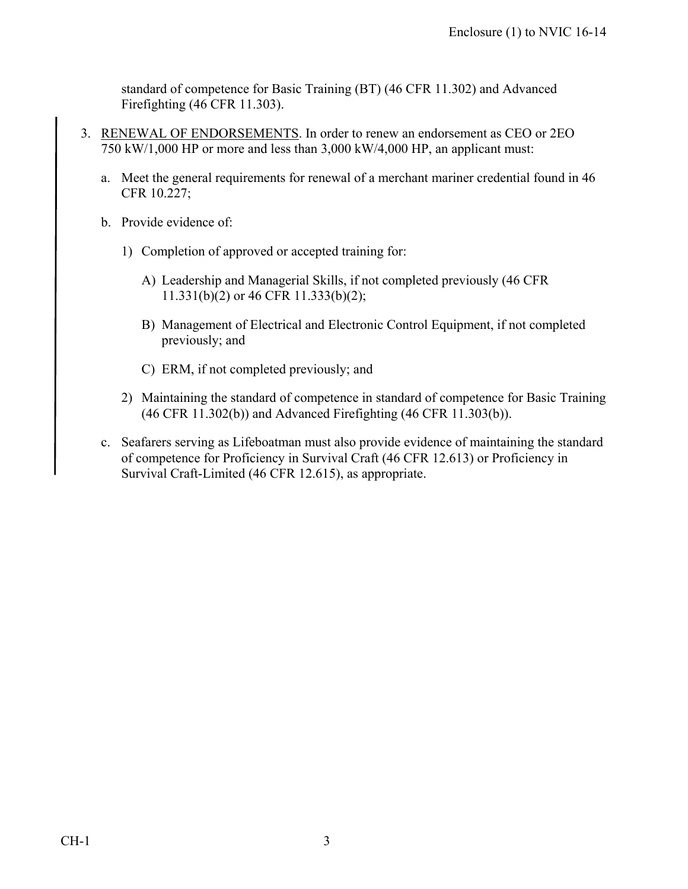standard of competence for Basic Training (BT) (46 CFR 11.302) and Advanced Firefighting (46 CFR 11.303).

- 3. RENEWAL OF ENDORSEMENTS. In order to renew an endorsement as CEO or 2EO 750 kW/1,000 HP or more and less than 3,000 kW/4,000 HP, an applicant must:
	- a. Meet the general requirements for renewal of a merchant mariner credential found in 46 CFR 10.227;
	- b. Provide evidence of:
		- 1) Completion of approved or accepted training for:
			- A) Leadership and Managerial Skills, if not completed previously (46 CFR 11.331(b)(2) or 46 CFR 11.333(b)(2);
			- B) Management of Electrical and Electronic Control Equipment, if not completed previously; and
			- C) ERM, if not completed previously; and
		- 2) Maintaining the standard of competence in standard of competence for Basic Training (46 CFR 11.302(b)) and Advanced Firefighting (46 CFR 11.303(b)).
	- c. Seafarers serving as Lifeboatman must also provide evidence of maintaining the standard of competence for Proficiency in Survival Craft (46 CFR 12.613) or Proficiency in Survival Craft-Limited (46 CFR 12.615), as appropriate.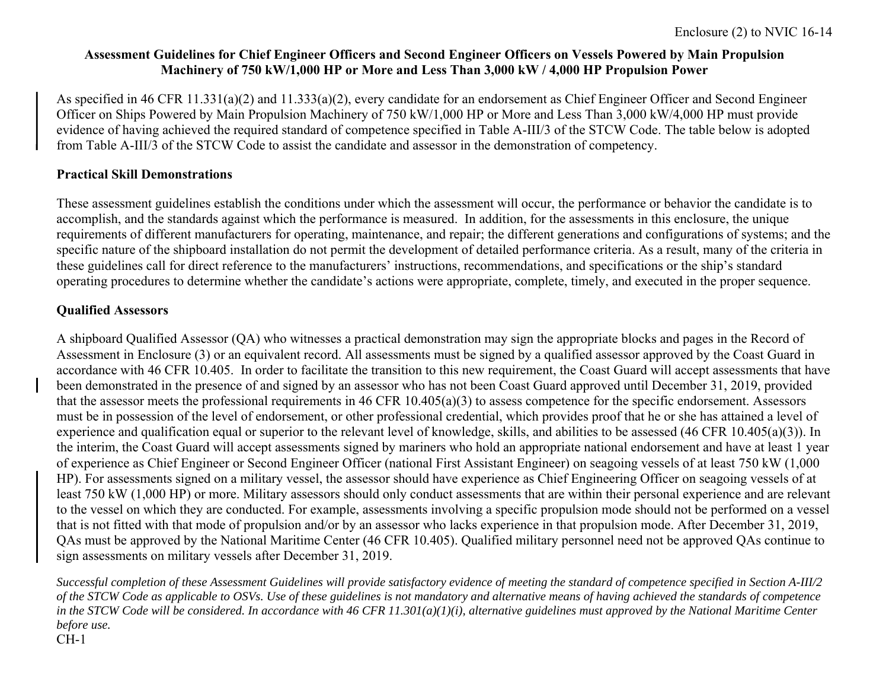## **Assessment Guidelines for Chief Engineer Officers and Second Engineer Officers on Vessels Powered by Main Propulsion Machinery of 750 kW/1,000 HP or More and Less Than 3,000 kW / 4,000 HP Propulsion Power**

As specified in 46 CFR 11.331(a)(2) and 11.333(a)(2), every candidate for an endorsement as Chief Engineer Officer and Second Engineer Officer on Ships Powered by Main Propulsion Machinery of 750 kW/1,000 HP or More and Less Than 3,000 kW/4,000 HP must provide evidence of having achieved the required standard of competence specified in Table A-III/3 of the STCW Code. The table below is adopted from Table A-III/3 of the STCW Code to assist the candidate and assessor in the demonstration of competency.

## **Practical Skill Demonstrations**

These assessment guidelines establish the conditions under which the assessment will occur, the performance or behavior the candidate is to accomplish, and the standards against which the performance is measured. In addition, for the assessments in this enclosure, the unique requirements of different manufacturers for operating, maintenance, and repair; the different generations and configurations of systems; and the specific nature of the shipboard installation do not permit the development of detailed performance criteria. As a result, many of the criteria in these guidelines call for direct reference to the manufacturers' instructions, recommendations, and specifications or the ship's standard operating procedures to determine whether the candidate's actions were appropriate, complete, timely, and executed in the proper sequence.

# **Qualified Assessors**

A shipboard Qualified Assessor (QA) who witnesses a practical demonstration may sign the appropriate blocks and pages in the Record of Assessment in Enclosure (3) or an equivalent record. All assessments must be signed by a qualified assessor approved by the Coast Guard in accordance with 46 CFR 10.405. In order to facilitate the transition to this new requirement, the Coast Guard will accept assessments that have been demonstrated in the presence of and signed by an assessor who has not been Coast Guard approved until December 31, 2019, provided that the assessor meets the professional requirements in 46 CFR 10.405(a)(3) to assess competence for the specific endorsement. Assessors must be in possession of the level of endorsement, or other professional credential, which provides proof that he or she has attained a level of experience and qualification equal or superior to the relevant level of knowledge, skills, and abilities to be assessed (46 CFR 10.405(a)(3)). In the interim, the Coast Guard will accept assessments signed by mariners who hold an appropriate national endorsement and have at least 1 year of experience as Chief Engineer or Second Engineer Officer (national First Assistant Engineer) on seagoing vessels of at least 750 kW (1,000 HP). For assessments signed on a military vessel, the assessor should have experience as Chief Engineering Officer on seagoing vessels of at least 750 kW (1,000 HP) or more. Military assessors should only conduct assessments that are within their personal experience and are relevant to the vessel on which they are conducted. For example, assessments involving a specific propulsion mode should not be performed on a vessel that is not fitted with that mode of propulsion and/or by an assessor who lacks experience in that propulsion mode. After December 31, 2019, QAs must be approved by the National Maritime Center (46 CFR 10.405). Qualified military personnel need not be approved QAs continue to sign assessments on military vessels after December 31, 2019.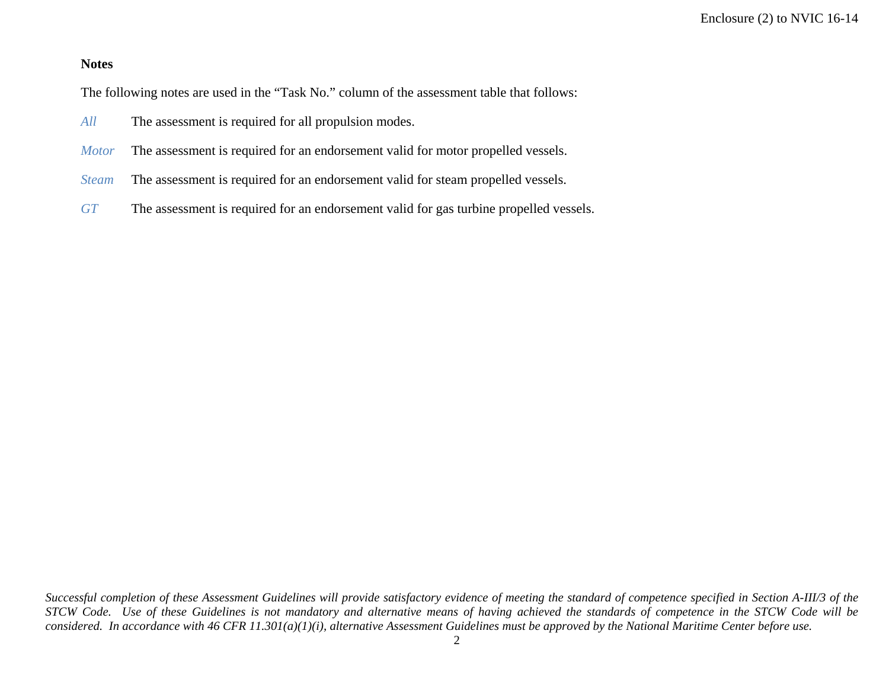### **Notes**

The following notes are used in the "Task No." column of the assessment table that follows:

- *All* The assessment is required for all propulsion modes.
- *Motor* The assessment is required for an endorsement valid for motor propelled vessels.
- *Steam* The assessment is required for an endorsement valid for steam propelled vessels.
- *GT* The assessment is required for an endorsement valid for gas turbine propelled vessels.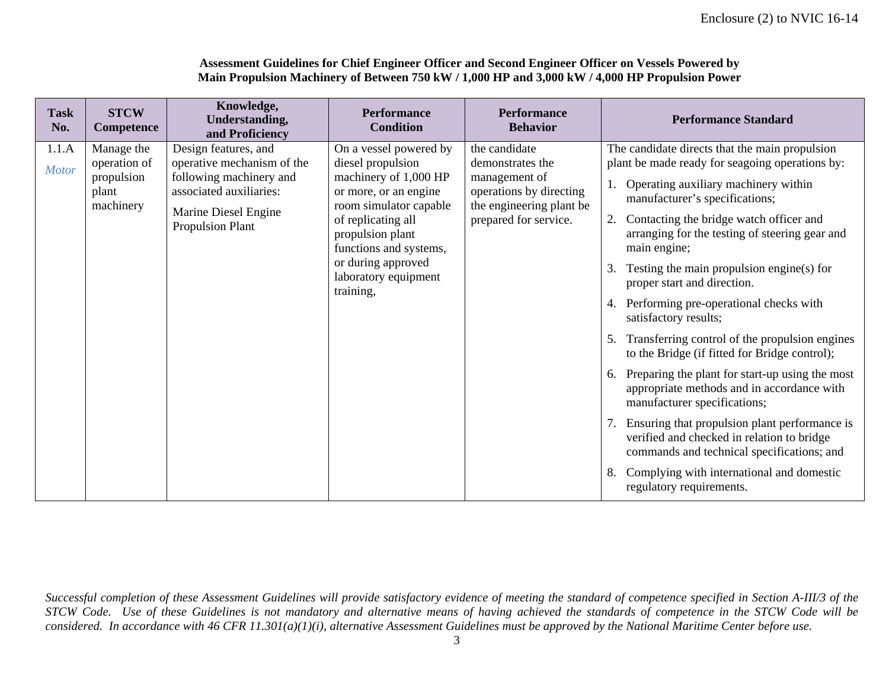#### **Assessment Guidelines for Chief Engineer Officer and Second Engineer Officer on Vessels Powered by Main Propulsion Machinery of Between 750 kW / 1,000 HP and 3,000 kW / 4,000 HP Propulsion Power**

| <b>Task</b><br>No.    | <b>STCW</b><br>Competence                                      | Knowledge,<br><b>Understanding,</b><br>and Proficiency                                                                                                      | <b>Performance</b><br><b>Condition</b>                                                                                                                                                                                                                 | <b>Performance</b><br><b>Behavior</b>                                                                                              | <b>Performance Standard</b>                                                                                                                                                                                                                                                                                                                                                                                                                                                                                                                                                                                                                                                                                                                                                                                                                   |
|-----------------------|----------------------------------------------------------------|-------------------------------------------------------------------------------------------------------------------------------------------------------------|--------------------------------------------------------------------------------------------------------------------------------------------------------------------------------------------------------------------------------------------------------|------------------------------------------------------------------------------------------------------------------------------------|-----------------------------------------------------------------------------------------------------------------------------------------------------------------------------------------------------------------------------------------------------------------------------------------------------------------------------------------------------------------------------------------------------------------------------------------------------------------------------------------------------------------------------------------------------------------------------------------------------------------------------------------------------------------------------------------------------------------------------------------------------------------------------------------------------------------------------------------------|
| 1.1.A<br><b>Motor</b> | Manage the<br>operation of<br>propulsion<br>plant<br>machinery | Design features, and<br>operative mechanism of the<br>following machinery and<br>associated auxiliaries:<br>Marine Diesel Engine<br><b>Propulsion Plant</b> | On a vessel powered by<br>diesel propulsion<br>machinery of 1,000 HP<br>or more, or an engine<br>room simulator capable<br>of replicating all<br>propulsion plant<br>functions and systems,<br>or during approved<br>laboratory equipment<br>training, | the candidate<br>demonstrates the<br>management of<br>operations by directing<br>the engineering plant be<br>prepared for service. | The candidate directs that the main propulsion<br>plant be made ready for seagoing operations by:<br>Operating auxiliary machinery within<br>manufacturer's specifications;<br>Contacting the bridge watch officer and<br>2.<br>arranging for the testing of steering gear and<br>main engine;<br>Testing the main propulsion engine(s) for<br>3.<br>proper start and direction.<br>4. Performing pre-operational checks with<br>satisfactory results;<br>Transferring control of the propulsion engines<br>to the Bridge (if fitted for Bridge control);<br>Preparing the plant for start-up using the most<br>6.<br>appropriate methods and in accordance with<br>manufacturer specifications;<br>Ensuring that propulsion plant performance is<br>verified and checked in relation to bridge<br>commands and technical specifications; and |
|                       |                                                                |                                                                                                                                                             |                                                                                                                                                                                                                                                        |                                                                                                                                    | Complying with international and domestic<br>8.<br>regulatory requirements.                                                                                                                                                                                                                                                                                                                                                                                                                                                                                                                                                                                                                                                                                                                                                                   |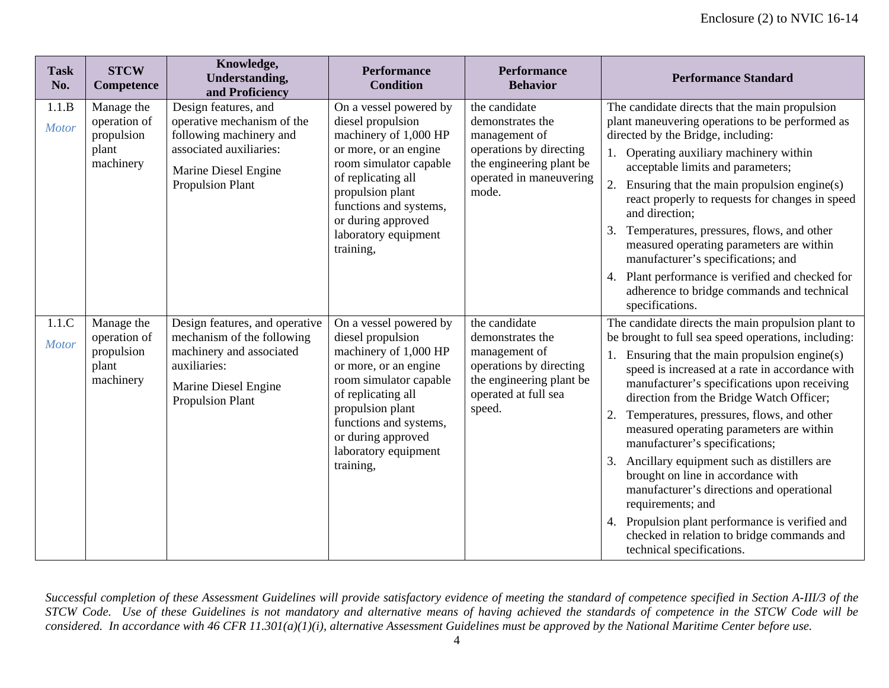| <b>Task</b><br>No.    | <b>STCW</b><br>Competence                                      | Knowledge,<br><b>Understanding,</b><br>and Proficiency                                                                                                      | <b>Performance</b><br><b>Condition</b>                                                                                                                                                                                                                 | <b>Performance</b><br><b>Behavior</b>                                                                                                         | <b>Performance Standard</b>                                                                                                                                                                                                                                                                                                                                                                                                                                                                                                                                                                                                                                                                                                                           |
|-----------------------|----------------------------------------------------------------|-------------------------------------------------------------------------------------------------------------------------------------------------------------|--------------------------------------------------------------------------------------------------------------------------------------------------------------------------------------------------------------------------------------------------------|-----------------------------------------------------------------------------------------------------------------------------------------------|-------------------------------------------------------------------------------------------------------------------------------------------------------------------------------------------------------------------------------------------------------------------------------------------------------------------------------------------------------------------------------------------------------------------------------------------------------------------------------------------------------------------------------------------------------------------------------------------------------------------------------------------------------------------------------------------------------------------------------------------------------|
| 1.1.B<br><b>Motor</b> | Manage the<br>operation of<br>propulsion<br>plant<br>machinery | Design features, and<br>operative mechanism of the<br>following machinery and<br>associated auxiliaries:<br>Marine Diesel Engine<br><b>Propulsion Plant</b> | On a vessel powered by<br>diesel propulsion<br>machinery of 1,000 HP<br>or more, or an engine<br>room simulator capable<br>of replicating all<br>propulsion plant<br>functions and systems,<br>or during approved<br>laboratory equipment<br>training, | the candidate<br>demonstrates the<br>management of<br>operations by directing<br>the engineering plant be<br>operated in maneuvering<br>mode. | The candidate directs that the main propulsion<br>plant maneuvering operations to be performed as<br>directed by the Bridge, including:<br>1. Operating auxiliary machinery within<br>acceptable limits and parameters;<br>2.<br>Ensuring that the main propulsion engine(s)<br>react properly to requests for changes in speed<br>and direction;<br>3. Temperatures, pressures, flows, and other<br>measured operating parameters are within<br>manufacturer's specifications; and<br>4. Plant performance is verified and checked for<br>adherence to bridge commands and technical                                                                                                                                                                 |
| 1.1.C<br><b>Motor</b> | Manage the<br>operation of<br>propulsion<br>plant<br>machinery | Design features, and operative<br>mechanism of the following<br>machinery and associated<br>auxiliaries:<br>Marine Diesel Engine<br><b>Propulsion Plant</b> | On a vessel powered by<br>diesel propulsion<br>machinery of 1,000 HP<br>or more, or an engine<br>room simulator capable<br>of replicating all<br>propulsion plant<br>functions and systems,<br>or during approved<br>laboratory equipment<br>training, | the candidate<br>demonstrates the<br>management of<br>operations by directing<br>the engineering plant be<br>operated at full sea<br>speed.   | specifications.<br>The candidate directs the main propulsion plant to<br>be brought to full sea speed operations, including:<br>1. Ensuring that the main propulsion engine(s)<br>speed is increased at a rate in accordance with<br>manufacturer's specifications upon receiving<br>direction from the Bridge Watch Officer;<br>Temperatures, pressures, flows, and other<br>2.<br>measured operating parameters are within<br>manufacturer's specifications;<br>3. Ancillary equipment such as distillers are<br>brought on line in accordance with<br>manufacturer's directions and operational<br>requirements; and<br>4. Propulsion plant performance is verified and<br>checked in relation to bridge commands and<br>technical specifications. |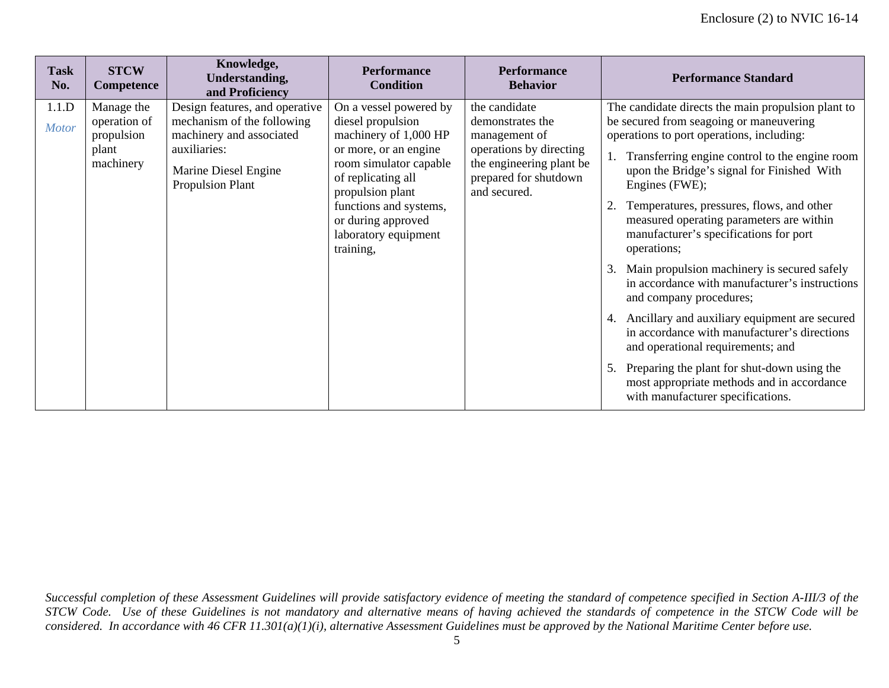| <b>Task</b><br>No.    | <b>STCW</b><br>Competence                                      | Knowledge,<br><b>Understanding,</b><br>and Proficiency                                                                                                      | <b>Performance</b><br><b>Condition</b>                                                                                                                                                                                                                 | <b>Performance</b><br><b>Behavior</b>                                                                                                              | <b>Performance Standard</b>                                                                                                                                                                                                                                                                                                                                                                                                                                                                                                                                                                                                                                                                                                                                                                                                       |
|-----------------------|----------------------------------------------------------------|-------------------------------------------------------------------------------------------------------------------------------------------------------------|--------------------------------------------------------------------------------------------------------------------------------------------------------------------------------------------------------------------------------------------------------|----------------------------------------------------------------------------------------------------------------------------------------------------|-----------------------------------------------------------------------------------------------------------------------------------------------------------------------------------------------------------------------------------------------------------------------------------------------------------------------------------------------------------------------------------------------------------------------------------------------------------------------------------------------------------------------------------------------------------------------------------------------------------------------------------------------------------------------------------------------------------------------------------------------------------------------------------------------------------------------------------|
| 1.1.D<br><b>Motor</b> | Manage the<br>operation of<br>propulsion<br>plant<br>machinery | Design features, and operative<br>mechanism of the following<br>machinery and associated<br>auxiliaries:<br>Marine Diesel Engine<br><b>Propulsion Plant</b> | On a vessel powered by<br>diesel propulsion<br>machinery of 1,000 HP<br>or more, or an engine<br>room simulator capable<br>of replicating all<br>propulsion plant<br>functions and systems,<br>or during approved<br>laboratory equipment<br>training, | the candidate<br>demonstrates the<br>management of<br>operations by directing<br>the engineering plant be<br>prepared for shutdown<br>and secured. | The candidate directs the main propulsion plant to<br>be secured from seagoing or maneuvering<br>operations to port operations, including:<br>1. Transferring engine control to the engine room<br>upon the Bridge's signal for Finished With<br>Engines (FWE);<br>2. Temperatures, pressures, flows, and other<br>measured operating parameters are within<br>manufacturer's specifications for port<br>operations;<br>3. Main propulsion machinery is secured safely<br>in accordance with manufacturer's instructions<br>and company procedures;<br>4. Ancillary and auxiliary equipment are secured<br>in accordance with manufacturer's directions<br>and operational requirements; and<br>5. Preparing the plant for shut-down using the<br>most appropriate methods and in accordance<br>with manufacturer specifications. |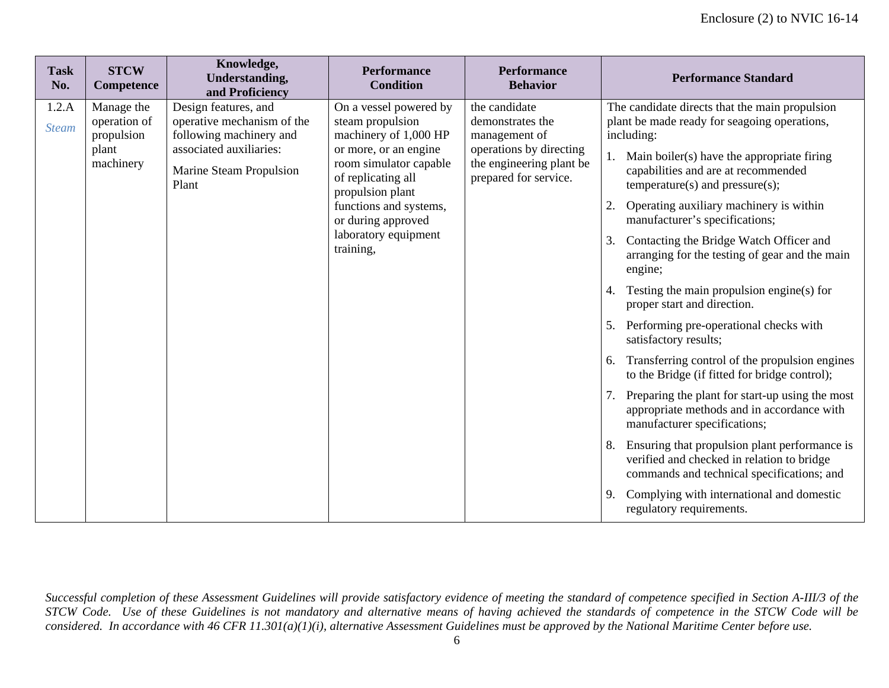| <b>Task</b><br>No.    | <b>STCW</b><br>Competence                                      | Knowledge,<br><b>Understanding,</b><br>and Proficiency                                                                                       | <b>Performance</b><br><b>Condition</b>                                                                                                                                                                                                                | <b>Performance</b><br><b>Behavior</b>                                                                                              | <b>Performance Standard</b>                                                                                                                                                                                                                                                                                                                                                                                                                                                                                                                                                                                                                                                                                                                                                                                                                                                                                                                                                                                                                                                 |
|-----------------------|----------------------------------------------------------------|----------------------------------------------------------------------------------------------------------------------------------------------|-------------------------------------------------------------------------------------------------------------------------------------------------------------------------------------------------------------------------------------------------------|------------------------------------------------------------------------------------------------------------------------------------|-----------------------------------------------------------------------------------------------------------------------------------------------------------------------------------------------------------------------------------------------------------------------------------------------------------------------------------------------------------------------------------------------------------------------------------------------------------------------------------------------------------------------------------------------------------------------------------------------------------------------------------------------------------------------------------------------------------------------------------------------------------------------------------------------------------------------------------------------------------------------------------------------------------------------------------------------------------------------------------------------------------------------------------------------------------------------------|
| 1.2.A<br><b>Steam</b> | Manage the<br>operation of<br>propulsion<br>plant<br>machinery | Design features, and<br>operative mechanism of the<br>following machinery and<br>associated auxiliaries:<br>Marine Steam Propulsion<br>Plant | On a vessel powered by<br>steam propulsion<br>machinery of 1,000 HP<br>or more, or an engine<br>room simulator capable<br>of replicating all<br>propulsion plant<br>functions and systems,<br>or during approved<br>laboratory equipment<br>training, | the candidate<br>demonstrates the<br>management of<br>operations by directing<br>the engineering plant be<br>prepared for service. | The candidate directs that the main propulsion<br>plant be made ready for seagoing operations,<br>including:<br>1. Main boiler(s) have the appropriate firing<br>capabilities and are at recommended<br>$temperature(s)$ and $pressure(s)$ ;<br>Operating auxiliary machinery is within<br>2.<br>manufacturer's specifications;<br>3. Contacting the Bridge Watch Officer and<br>arranging for the testing of gear and the main<br>engine;<br>4. Testing the main propulsion engine(s) for<br>proper start and direction.<br>5. Performing pre-operational checks with<br>satisfactory results;<br>Transferring control of the propulsion engines<br>6.<br>to the Bridge (if fitted for bridge control);<br>7. Preparing the plant for start-up using the most<br>appropriate methods and in accordance with<br>manufacturer specifications;<br>8. Ensuring that propulsion plant performance is<br>verified and checked in relation to bridge<br>commands and technical specifications; and<br>Complying with international and domestic<br>9.<br>regulatory requirements. |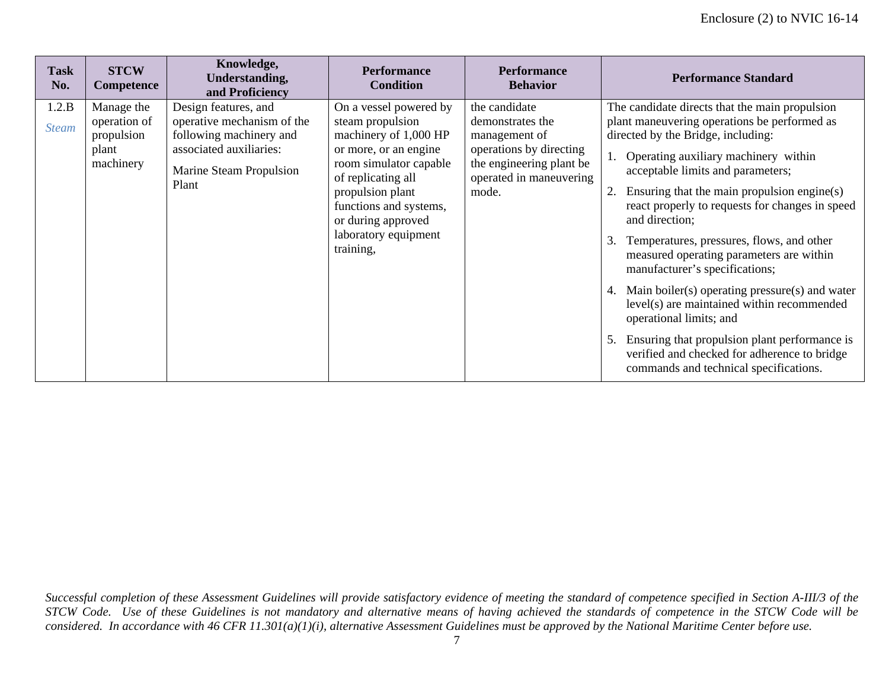| <b>Task</b><br>No.    | <b>STCW</b><br>Competence                                      | Knowledge,<br><b>Understanding,</b><br>and Proficiency                                                                                       | <b>Performance</b><br><b>Condition</b>                                                                                                                                                                                                                | <b>Performance</b><br><b>Behavior</b>                                                                                                         | <b>Performance Standard</b>                                                                                                                                                                                                                                                                                                                                                                                                                                                                                                                                                                                                                                                                                                                           |
|-----------------------|----------------------------------------------------------------|----------------------------------------------------------------------------------------------------------------------------------------------|-------------------------------------------------------------------------------------------------------------------------------------------------------------------------------------------------------------------------------------------------------|-----------------------------------------------------------------------------------------------------------------------------------------------|-------------------------------------------------------------------------------------------------------------------------------------------------------------------------------------------------------------------------------------------------------------------------------------------------------------------------------------------------------------------------------------------------------------------------------------------------------------------------------------------------------------------------------------------------------------------------------------------------------------------------------------------------------------------------------------------------------------------------------------------------------|
| 1.2.B<br><b>Steam</b> | Manage the<br>operation of<br>propulsion<br>plant<br>machinery | Design features, and<br>operative mechanism of the<br>following machinery and<br>associated auxiliaries:<br>Marine Steam Propulsion<br>Plant | On a vessel powered by<br>steam propulsion<br>machinery of 1,000 HP<br>or more, or an engine<br>room simulator capable<br>of replicating all<br>propulsion plant<br>functions and systems,<br>or during approved<br>laboratory equipment<br>training, | the candidate<br>demonstrates the<br>management of<br>operations by directing<br>the engineering plant be<br>operated in maneuvering<br>mode. | The candidate directs that the main propulsion<br>plant maneuvering operations be performed as<br>directed by the Bridge, including:<br>Operating auxiliary machinery within<br>acceptable limits and parameters;<br>Ensuring that the main propulsion engine(s)<br>2.<br>react properly to requests for changes in speed<br>and direction;<br>3. Temperatures, pressures, flows, and other<br>measured operating parameters are within<br>manufacturer's specifications;<br>4. Main boiler(s) operating pressure(s) and water<br>level(s) are maintained within recommended<br>operational limits; and<br>5. Ensuring that propulsion plant performance is<br>verified and checked for adherence to bridge<br>commands and technical specifications. |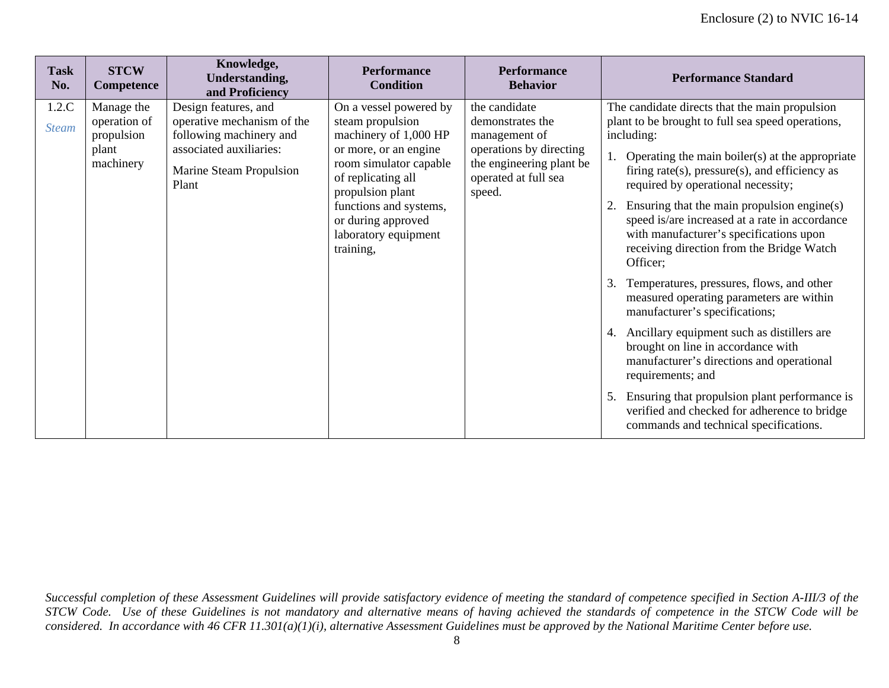| <b>Task</b><br>No.    | <b>STCW</b><br>Competence                                      | Knowledge,<br><b>Understanding,</b><br>and Proficiency                                                                                       | <b>Performance</b><br><b>Condition</b>                                                                                                                                                                                                                | <b>Performance</b><br><b>Behavior</b>                                                                                                       | <b>Performance Standard</b>                                                                                                                                                                                                                                                                                                                                                                                                                                                                                                                                                                                                                                                                                                                                                                                                                                                                            |
|-----------------------|----------------------------------------------------------------|----------------------------------------------------------------------------------------------------------------------------------------------|-------------------------------------------------------------------------------------------------------------------------------------------------------------------------------------------------------------------------------------------------------|---------------------------------------------------------------------------------------------------------------------------------------------|--------------------------------------------------------------------------------------------------------------------------------------------------------------------------------------------------------------------------------------------------------------------------------------------------------------------------------------------------------------------------------------------------------------------------------------------------------------------------------------------------------------------------------------------------------------------------------------------------------------------------------------------------------------------------------------------------------------------------------------------------------------------------------------------------------------------------------------------------------------------------------------------------------|
| 1.2.C<br><b>Steam</b> | Manage the<br>operation of<br>propulsion<br>plant<br>machinery | Design features, and<br>operative mechanism of the<br>following machinery and<br>associated auxiliaries:<br>Marine Steam Propulsion<br>Plant | On a vessel powered by<br>steam propulsion<br>machinery of 1,000 HP<br>or more, or an engine<br>room simulator capable<br>of replicating all<br>propulsion plant<br>functions and systems,<br>or during approved<br>laboratory equipment<br>training, | the candidate<br>demonstrates the<br>management of<br>operations by directing<br>the engineering plant be<br>operated at full sea<br>speed. | The candidate directs that the main propulsion<br>plant to be brought to full sea speed operations,<br>including:<br>Operating the main boiler(s) at the appropriate<br>firing rate(s), pressure(s), and efficiency as<br>required by operational necessity;<br>Ensuring that the main propulsion engine(s)<br>speed is/are increased at a rate in accordance<br>with manufacturer's specifications upon<br>receiving direction from the Bridge Watch<br>Officer:<br>3. Temperatures, pressures, flows, and other<br>measured operating parameters are within<br>manufacturer's specifications;<br>4. Ancillary equipment such as distillers are<br>brought on line in accordance with<br>manufacturer's directions and operational<br>requirements; and<br>5. Ensuring that propulsion plant performance is<br>verified and checked for adherence to bridge<br>commands and technical specifications. |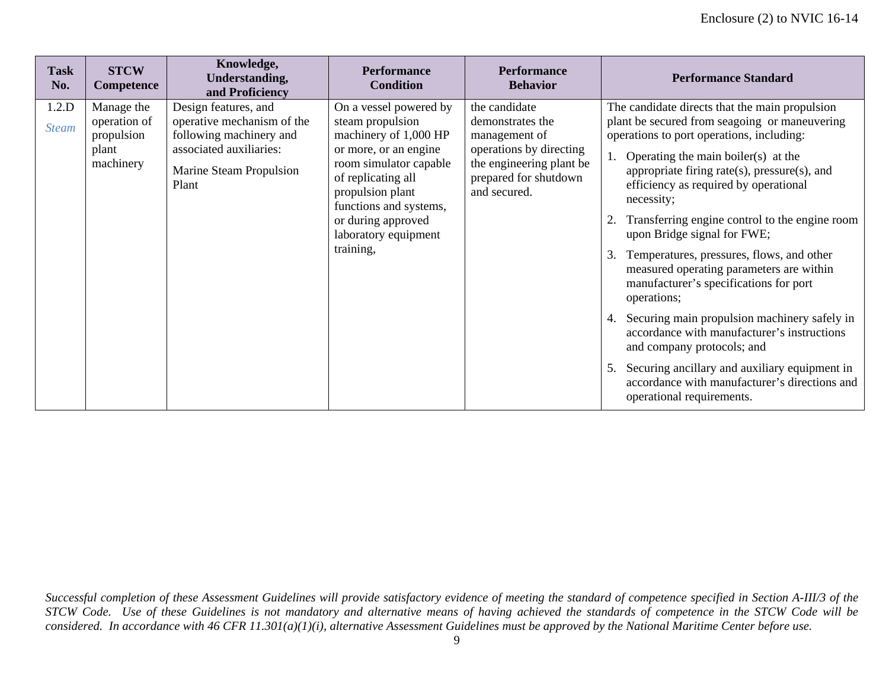| <b>Task</b><br>No.    | <b>STCW</b><br>Competence                                      | Knowledge,<br><b>Understanding,</b><br>and Proficiency                                                                                       | <b>Performance</b><br><b>Condition</b>                                                                                                                                                                                                                | <b>Performance</b><br><b>Behavior</b>                                                                                                              | <b>Performance Standard</b>                                                                                                                                                                                                                                                                                                                                                                                                                                                                                                                                                                                                                                                                                                                                                                              |
|-----------------------|----------------------------------------------------------------|----------------------------------------------------------------------------------------------------------------------------------------------|-------------------------------------------------------------------------------------------------------------------------------------------------------------------------------------------------------------------------------------------------------|----------------------------------------------------------------------------------------------------------------------------------------------------|----------------------------------------------------------------------------------------------------------------------------------------------------------------------------------------------------------------------------------------------------------------------------------------------------------------------------------------------------------------------------------------------------------------------------------------------------------------------------------------------------------------------------------------------------------------------------------------------------------------------------------------------------------------------------------------------------------------------------------------------------------------------------------------------------------|
| 1.2.D<br><b>Steam</b> | Manage the<br>operation of<br>propulsion<br>plant<br>machinery | Design features, and<br>operative mechanism of the<br>following machinery and<br>associated auxiliaries:<br>Marine Steam Propulsion<br>Plant | On a vessel powered by<br>steam propulsion<br>machinery of 1,000 HP<br>or more, or an engine<br>room simulator capable<br>of replicating all<br>propulsion plant<br>functions and systems,<br>or during approved<br>laboratory equipment<br>training, | the candidate<br>demonstrates the<br>management of<br>operations by directing<br>the engineering plant be<br>prepared for shutdown<br>and secured. | The candidate directs that the main propulsion<br>plant be secured from seagoing or maneuvering<br>operations to port operations, including:<br>Operating the main boiler(s) at the<br>appropriate firing rate(s), pressure(s), and<br>efficiency as required by operational<br>necessity;<br>2. Transferring engine control to the engine room<br>upon Bridge signal for FWE;<br>Temperatures, pressures, flows, and other<br>3.<br>measured operating parameters are within<br>manufacturer's specifications for port<br>operations;<br>4. Securing main propulsion machinery safely in<br>accordance with manufacturer's instructions<br>and company protocols; and<br>5. Securing ancillary and auxiliary equipment in<br>accordance with manufacturer's directions and<br>operational requirements. |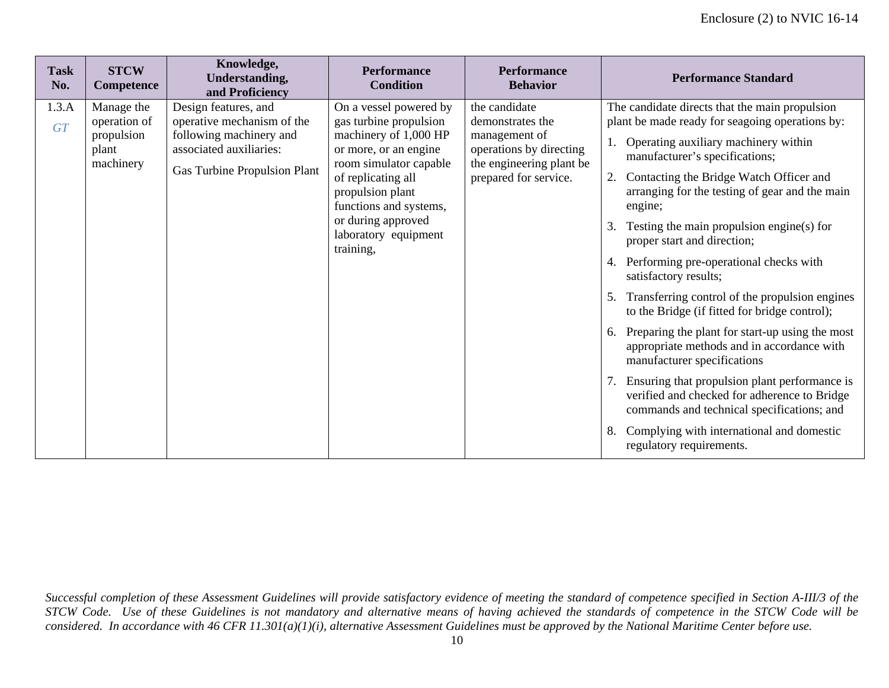| <b>Task</b><br>No. | <b>STCW</b><br>Competence                                      | Knowledge,<br><b>Understanding,</b><br>and Proficiency                                                                                   | <b>Performance</b><br><b>Condition</b>                                                                                                                                                                                                                      | <b>Performance</b><br><b>Behavior</b>                                                                                              | <b>Performance Standard</b>                                                                                                                                                                                                                                                                                                                                                                                                                                                                                                                                                                                                                                                                |
|--------------------|----------------------------------------------------------------|------------------------------------------------------------------------------------------------------------------------------------------|-------------------------------------------------------------------------------------------------------------------------------------------------------------------------------------------------------------------------------------------------------------|------------------------------------------------------------------------------------------------------------------------------------|--------------------------------------------------------------------------------------------------------------------------------------------------------------------------------------------------------------------------------------------------------------------------------------------------------------------------------------------------------------------------------------------------------------------------------------------------------------------------------------------------------------------------------------------------------------------------------------------------------------------------------------------------------------------------------------------|
| 1.3.A<br><b>GT</b> | Manage the<br>operation of<br>propulsion<br>plant<br>machinery | Design features, and<br>operative mechanism of the<br>following machinery and<br>associated auxiliaries:<br>Gas Turbine Propulsion Plant | On a vessel powered by<br>gas turbine propulsion<br>machinery of 1,000 HP<br>or more, or an engine<br>room simulator capable<br>of replicating all<br>propulsion plant<br>functions and systems,<br>or during approved<br>laboratory equipment<br>training, | the candidate<br>demonstrates the<br>management of<br>operations by directing<br>the engineering plant be<br>prepared for service. | The candidate directs that the main propulsion<br>plant be made ready for seagoing operations by:<br>1. Operating auxiliary machinery within<br>manufacturer's specifications;<br>2. Contacting the Bridge Watch Officer and<br>arranging for the testing of gear and the main<br>engine;<br>Testing the main propulsion engine(s) for<br>3.<br>proper start and direction;<br>4. Performing pre-operational checks with<br>satisfactory results;<br>5. Transferring control of the propulsion engines<br>to the Bridge (if fitted for bridge control);<br>6. Preparing the plant for start-up using the most<br>appropriate methods and in accordance with<br>manufacturer specifications |
|                    |                                                                |                                                                                                                                          |                                                                                                                                                                                                                                                             |                                                                                                                                    | 7. Ensuring that propulsion plant performance is<br>verified and checked for adherence to Bridge<br>commands and technical specifications; and<br>Complying with international and domestic<br>8.<br>regulatory requirements.                                                                                                                                                                                                                                                                                                                                                                                                                                                              |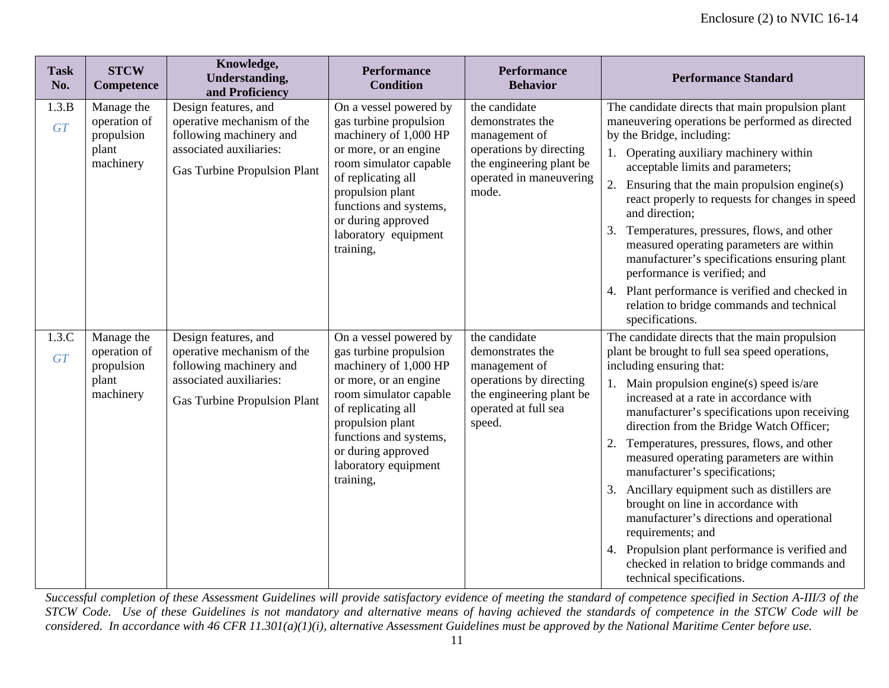| <b>Task</b><br>No. | <b>STCW</b><br>Competence                                      | Knowledge,<br>Understanding,<br>and Proficiency                                                                                                 | <b>Performance</b><br><b>Condition</b>                                                                                                                                                                                                                      | <b>Performance</b><br><b>Behavior</b>                                                                                                         | <b>Performance Standard</b>                                                                                                                                                                                                                                                                                                                                                                                                                                                                                                                                                                                                                                                                                                                             |
|--------------------|----------------------------------------------------------------|-------------------------------------------------------------------------------------------------------------------------------------------------|-------------------------------------------------------------------------------------------------------------------------------------------------------------------------------------------------------------------------------------------------------------|-----------------------------------------------------------------------------------------------------------------------------------------------|---------------------------------------------------------------------------------------------------------------------------------------------------------------------------------------------------------------------------------------------------------------------------------------------------------------------------------------------------------------------------------------------------------------------------------------------------------------------------------------------------------------------------------------------------------------------------------------------------------------------------------------------------------------------------------------------------------------------------------------------------------|
| 1.3.B<br>GT        | Manage the<br>operation of<br>propulsion<br>plant<br>machinery | Design features, and<br>operative mechanism of the<br>following machinery and<br>associated auxiliaries:<br><b>Gas Turbine Propulsion Plant</b> | On a vessel powered by<br>gas turbine propulsion<br>machinery of 1,000 HP<br>or more, or an engine<br>room simulator capable<br>of replicating all<br>propulsion plant<br>functions and systems,<br>or during approved<br>laboratory equipment<br>training, | the candidate<br>demonstrates the<br>management of<br>operations by directing<br>the engineering plant be<br>operated in maneuvering<br>mode. | The candidate directs that main propulsion plant<br>maneuvering operations be performed as directed<br>by the Bridge, including:<br>1. Operating auxiliary machinery within<br>acceptable limits and parameters;<br>2. Ensuring that the main propulsion engine(s)<br>react properly to requests for changes in speed<br>and direction;<br>3. Temperatures, pressures, flows, and other<br>measured operating parameters are within<br>manufacturer's specifications ensuring plant<br>performance is verified; and<br>4. Plant performance is verified and checked in<br>relation to bridge commands and technical                                                                                                                                     |
| 1.3.C<br><b>GT</b> | Manage the<br>operation of<br>propulsion<br>plant<br>machinery | Design features, and<br>operative mechanism of the<br>following machinery and<br>associated auxiliaries:<br>Gas Turbine Propulsion Plant        | On a vessel powered by<br>gas turbine propulsion<br>machinery of 1,000 HP<br>or more, or an engine<br>room simulator capable<br>of replicating all<br>propulsion plant<br>functions and systems,<br>or during approved<br>laboratory equipment<br>training, | the candidate<br>demonstrates the<br>management of<br>operations by directing<br>the engineering plant be<br>operated at full sea<br>speed.   | specifications.<br>The candidate directs that the main propulsion<br>plant be brought to full sea speed operations,<br>including ensuring that:<br>1. Main propulsion engine(s) speed is/are<br>increased at a rate in accordance with<br>manufacturer's specifications upon receiving<br>direction from the Bridge Watch Officer;<br>2. Temperatures, pressures, flows, and other<br>measured operating parameters are within<br>manufacturer's specifications;<br>3. Ancillary equipment such as distillers are<br>brought on line in accordance with<br>manufacturer's directions and operational<br>requirements; and<br>4. Propulsion plant performance is verified and<br>checked in relation to bridge commands and<br>technical specifications. |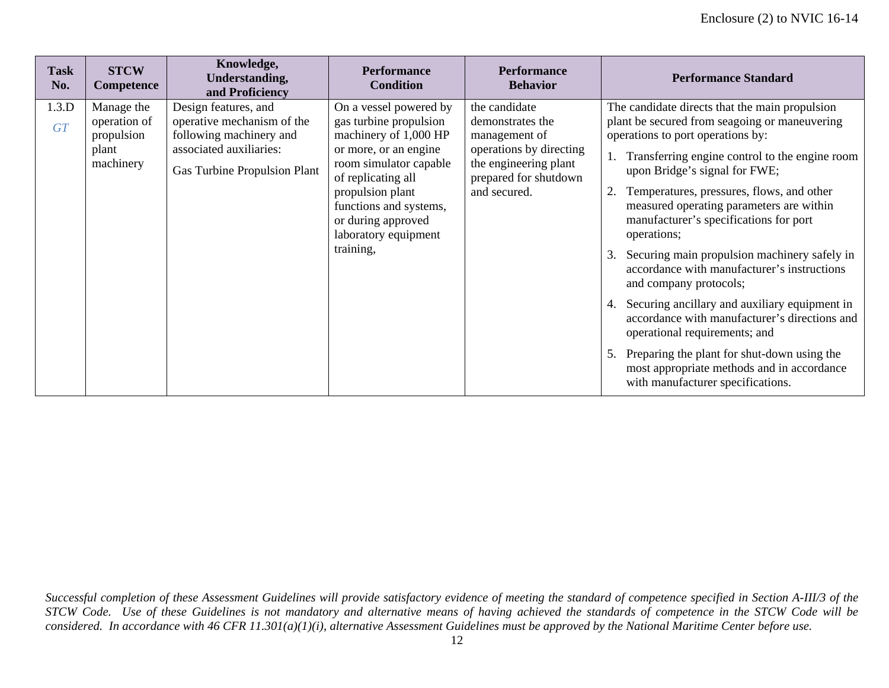| <b>Task</b><br>No. | <b>STCW</b><br>Competence                                      | Knowledge,<br>Understanding,<br>and Proficiency                                                                                          | <b>Performance</b><br><b>Condition</b>                                                                                                                                                                                                                      | <b>Performance</b><br><b>Behavior</b>                                                                                                           | <b>Performance Standard</b>                                                                                                                                                                                                                                                                                                                                                                                                                                              |
|--------------------|----------------------------------------------------------------|------------------------------------------------------------------------------------------------------------------------------------------|-------------------------------------------------------------------------------------------------------------------------------------------------------------------------------------------------------------------------------------------------------------|-------------------------------------------------------------------------------------------------------------------------------------------------|--------------------------------------------------------------------------------------------------------------------------------------------------------------------------------------------------------------------------------------------------------------------------------------------------------------------------------------------------------------------------------------------------------------------------------------------------------------------------|
| 1.3.D<br><b>GT</b> | Manage the<br>operation of<br>propulsion<br>plant<br>machinery | Design features, and<br>operative mechanism of the<br>following machinery and<br>associated auxiliaries:<br>Gas Turbine Propulsion Plant | On a vessel powered by<br>gas turbine propulsion<br>machinery of 1,000 HP<br>or more, or an engine<br>room simulator capable<br>of replicating all<br>propulsion plant<br>functions and systems,<br>or during approved<br>laboratory equipment<br>training, | the candidate<br>demonstrates the<br>management of<br>operations by directing<br>the engineering plant<br>prepared for shutdown<br>and secured. | The candidate directs that the main propulsion<br>plant be secured from seagoing or maneuvering<br>operations to port operations by:<br>Transferring engine control to the engine room<br>upon Bridge's signal for FWE;<br>Temperatures, pressures, flows, and other<br>measured operating parameters are within<br>manufacturer's specifications for port<br>operations;<br>Securing main propulsion machinery safely in<br>accordance with manufacturer's instructions |
|                    |                                                                |                                                                                                                                          |                                                                                                                                                                                                                                                             |                                                                                                                                                 | and company protocols;<br>4. Securing ancillary and auxiliary equipment in<br>accordance with manufacturer's directions and<br>operational requirements; and<br>Preparing the plant for shut-down using the<br>5.<br>most appropriate methods and in accordance<br>with manufacturer specifications.                                                                                                                                                                     |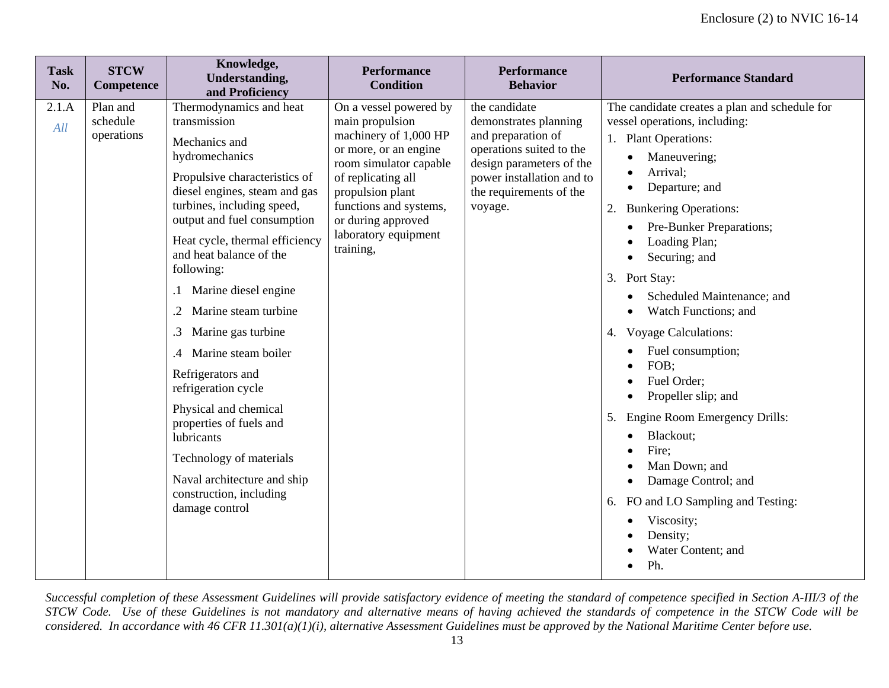| <b>Task</b><br>No. | <b>STCW</b><br>Competence          | Knowledge,<br><b>Understanding,</b><br>and Proficiency                                                                                                                                                                                                                                                                                                                                                                                                                                                                                                                                                                             | <b>Performance</b><br><b>Condition</b>                                                                                                                                                                                                               | <b>Performance</b><br><b>Behavior</b>                                                                                                                                                   | <b>Performance Standard</b>                                                                                                                                                                                                                                                                                                                                                                                                                                                                                                                                                                                                     |
|--------------------|------------------------------------|------------------------------------------------------------------------------------------------------------------------------------------------------------------------------------------------------------------------------------------------------------------------------------------------------------------------------------------------------------------------------------------------------------------------------------------------------------------------------------------------------------------------------------------------------------------------------------------------------------------------------------|------------------------------------------------------------------------------------------------------------------------------------------------------------------------------------------------------------------------------------------------------|-----------------------------------------------------------------------------------------------------------------------------------------------------------------------------------------|---------------------------------------------------------------------------------------------------------------------------------------------------------------------------------------------------------------------------------------------------------------------------------------------------------------------------------------------------------------------------------------------------------------------------------------------------------------------------------------------------------------------------------------------------------------------------------------------------------------------------------|
| 2.1.A<br>All       | Plan and<br>schedule<br>operations | Thermodynamics and heat<br>transmission<br>Mechanics and<br>hydromechanics<br>Propulsive characteristics of<br>diesel engines, steam and gas<br>turbines, including speed,<br>output and fuel consumption<br>Heat cycle, thermal efficiency<br>and heat balance of the<br>following:<br>Marine diesel engine<br>$\cdot$ 1<br>Marine steam turbine<br>.2<br>Marine gas turbine<br>.3<br>.4 Marine steam boiler<br>Refrigerators and<br>refrigeration cycle<br>Physical and chemical<br>properties of fuels and<br>lubricants<br>Technology of materials<br>Naval architecture and ship<br>construction, including<br>damage control | On a vessel powered by<br>main propulsion<br>machinery of 1,000 HP<br>or more, or an engine<br>room simulator capable<br>of replicating all<br>propulsion plant<br>functions and systems,<br>or during approved<br>laboratory equipment<br>training, | the candidate<br>demonstrates planning<br>and preparation of<br>operations suited to the<br>design parameters of the<br>power installation and to<br>the requirements of the<br>voyage. | The candidate creates a plan and schedule for<br>vessel operations, including:<br>1. Plant Operations:<br>Maneuvering;<br>Arrival;<br>Departure; and<br><b>Bunkering Operations:</b><br>2.<br>Pre-Bunker Preparations;<br>Loading Plan;<br>Securing; and<br>3. Port Stay:<br>Scheduled Maintenance; and<br>Watch Functions; and<br>Voyage Calculations:<br>4.<br>Fuel consumption;<br>FOB;<br>Fuel Order;<br>Propeller slip; and<br>5. Engine Room Emergency Drills:<br>Blackout;<br>Fire:<br>Man Down; and<br>Damage Control; and<br>6. FO and LO Sampling and Testing:<br>Viscosity;<br>Density;<br>Water Content; and<br>Ph. |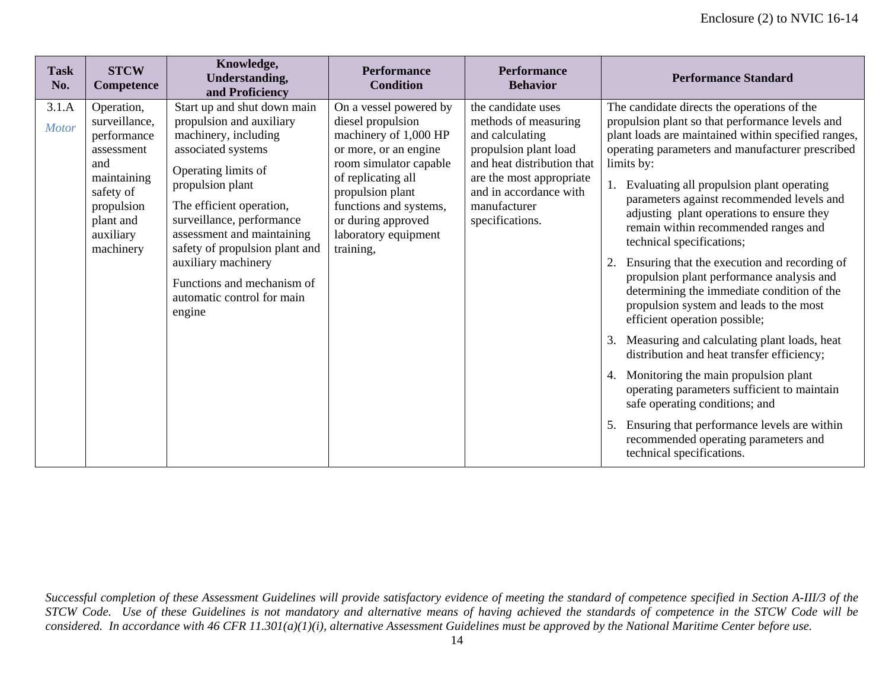| <b>Task</b><br>No.    | <b>STCW</b><br><b>Competence</b>                                                                                                                 | Knowledge,<br><b>Understanding,</b><br>and Proficiency                                                                                                                                                                                                                                                                                                                 | <b>Performance</b><br><b>Condition</b>                                                                                                                                                                                                                 | <b>Performance</b><br><b>Behavior</b>                                                                                                                                                                         | <b>Performance Standard</b>                                                                                                                                                                                                                                                                                                                                                                                                                                                                                                                                                                                                                                                                                                                                                                                                                                                                                                                                                                                               |
|-----------------------|--------------------------------------------------------------------------------------------------------------------------------------------------|------------------------------------------------------------------------------------------------------------------------------------------------------------------------------------------------------------------------------------------------------------------------------------------------------------------------------------------------------------------------|--------------------------------------------------------------------------------------------------------------------------------------------------------------------------------------------------------------------------------------------------------|---------------------------------------------------------------------------------------------------------------------------------------------------------------------------------------------------------------|---------------------------------------------------------------------------------------------------------------------------------------------------------------------------------------------------------------------------------------------------------------------------------------------------------------------------------------------------------------------------------------------------------------------------------------------------------------------------------------------------------------------------------------------------------------------------------------------------------------------------------------------------------------------------------------------------------------------------------------------------------------------------------------------------------------------------------------------------------------------------------------------------------------------------------------------------------------------------------------------------------------------------|
| 3.1.A<br><b>Motor</b> | Operation,<br>surveillance,<br>performance<br>assessment<br>and<br>maintaining<br>safety of<br>propulsion<br>plant and<br>auxiliary<br>machinery | Start up and shut down main<br>propulsion and auxiliary<br>machinery, including<br>associated systems<br>Operating limits of<br>propulsion plant<br>The efficient operation,<br>surveillance, performance<br>assessment and maintaining<br>safety of propulsion plant and<br>auxiliary machinery<br>Functions and mechanism of<br>automatic control for main<br>engine | On a vessel powered by<br>diesel propulsion<br>machinery of 1,000 HP<br>or more, or an engine<br>room simulator capable<br>of replicating all<br>propulsion plant<br>functions and systems,<br>or during approved<br>laboratory equipment<br>training, | the candidate uses<br>methods of measuring<br>and calculating<br>propulsion plant load<br>and heat distribution that<br>are the most appropriate<br>and in accordance with<br>manufacturer<br>specifications. | The candidate directs the operations of the<br>propulsion plant so that performance levels and<br>plant loads are maintained within specified ranges,<br>operating parameters and manufacturer prescribed<br>limits by:<br>1. Evaluating all propulsion plant operating<br>parameters against recommended levels and<br>adjusting plant operations to ensure they<br>remain within recommended ranges and<br>technical specifications;<br>Ensuring that the execution and recording of<br>2.<br>propulsion plant performance analysis and<br>determining the immediate condition of the<br>propulsion system and leads to the most<br>efficient operation possible;<br>3. Measuring and calculating plant loads, heat<br>distribution and heat transfer efficiency;<br>4. Monitoring the main propulsion plant<br>operating parameters sufficient to maintain<br>safe operating conditions; and<br>Ensuring that performance levels are within<br>5.<br>recommended operating parameters and<br>technical specifications. |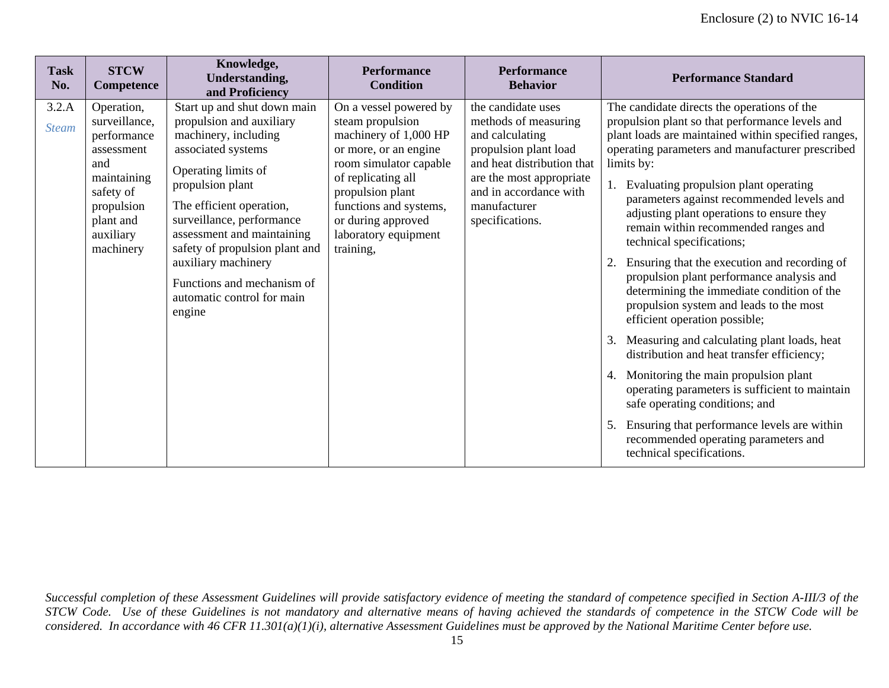| <b>Task</b><br>No.    | <b>STCW</b><br><b>Competence</b>                                                                                                                 | Knowledge,<br><b>Understanding,</b><br>and Proficiency                                                                                                                                                                                                                                                                                                                 | <b>Performance</b><br><b>Condition</b>                                                                                                                                                                                                                | <b>Performance</b><br><b>Behavior</b>                                                                                                                                                                         | <b>Performance Standard</b>                                                                                                                                                                                                                                                                                                                                                                                                                                                                                                                                                                                                                                                                                                                                                                                                                                                                                                                                                                                              |
|-----------------------|--------------------------------------------------------------------------------------------------------------------------------------------------|------------------------------------------------------------------------------------------------------------------------------------------------------------------------------------------------------------------------------------------------------------------------------------------------------------------------------------------------------------------------|-------------------------------------------------------------------------------------------------------------------------------------------------------------------------------------------------------------------------------------------------------|---------------------------------------------------------------------------------------------------------------------------------------------------------------------------------------------------------------|--------------------------------------------------------------------------------------------------------------------------------------------------------------------------------------------------------------------------------------------------------------------------------------------------------------------------------------------------------------------------------------------------------------------------------------------------------------------------------------------------------------------------------------------------------------------------------------------------------------------------------------------------------------------------------------------------------------------------------------------------------------------------------------------------------------------------------------------------------------------------------------------------------------------------------------------------------------------------------------------------------------------------|
| 3.2.A<br><b>Steam</b> | Operation,<br>surveillance,<br>performance<br>assessment<br>and<br>maintaining<br>safety of<br>propulsion<br>plant and<br>auxiliary<br>machinery | Start up and shut down main<br>propulsion and auxiliary<br>machinery, including<br>associated systems<br>Operating limits of<br>propulsion plant<br>The efficient operation,<br>surveillance, performance<br>assessment and maintaining<br>safety of propulsion plant and<br>auxiliary machinery<br>Functions and mechanism of<br>automatic control for main<br>engine | On a vessel powered by<br>steam propulsion<br>machinery of 1,000 HP<br>or more, or an engine<br>room simulator capable<br>of replicating all<br>propulsion plant<br>functions and systems,<br>or during approved<br>laboratory equipment<br>training, | the candidate uses<br>methods of measuring<br>and calculating<br>propulsion plant load<br>and heat distribution that<br>are the most appropriate<br>and in accordance with<br>manufacturer<br>specifications. | The candidate directs the operations of the<br>propulsion plant so that performance levels and<br>plant loads are maintained within specified ranges,<br>operating parameters and manufacturer prescribed<br>limits by:<br>1. Evaluating propulsion plant operating<br>parameters against recommended levels and<br>adjusting plant operations to ensure they<br>remain within recommended ranges and<br>technical specifications;<br>Ensuring that the execution and recording of<br>2.<br>propulsion plant performance analysis and<br>determining the immediate condition of the<br>propulsion system and leads to the most<br>efficient operation possible;<br>3. Measuring and calculating plant loads, heat<br>distribution and heat transfer efficiency;<br>4. Monitoring the main propulsion plant<br>operating parameters is sufficient to maintain<br>safe operating conditions; and<br>Ensuring that performance levels are within<br>5.<br>recommended operating parameters and<br>technical specifications. |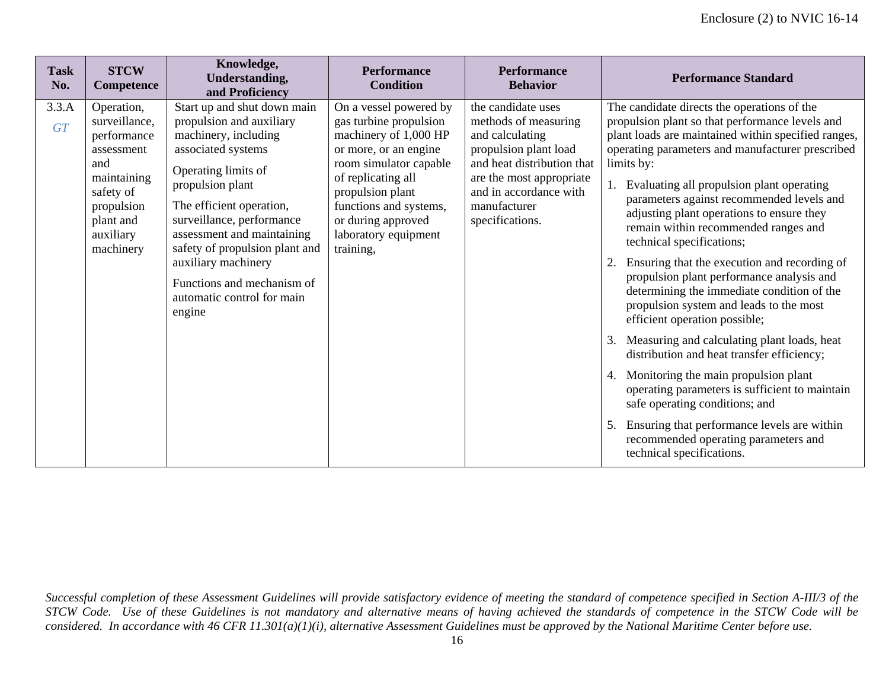| <b>Task</b><br>No. | <b>STCW</b><br>Competence                                                                                                                        | Knowledge,<br><b>Understanding,</b><br>and Proficiency                                                                                                                                                                                                                                                                                                                 | <b>Performance</b><br><b>Condition</b>                                                                                                                                                                                                                      | <b>Performance</b><br><b>Behavior</b>                                                                                                                                                                         | <b>Performance Standard</b>                                                                                                                                                                                                                                                                                                                                                                                                                                                                                                                                                                                                                                                                                                                                                                                                                                                                                                                                                                                            |
|--------------------|--------------------------------------------------------------------------------------------------------------------------------------------------|------------------------------------------------------------------------------------------------------------------------------------------------------------------------------------------------------------------------------------------------------------------------------------------------------------------------------------------------------------------------|-------------------------------------------------------------------------------------------------------------------------------------------------------------------------------------------------------------------------------------------------------------|---------------------------------------------------------------------------------------------------------------------------------------------------------------------------------------------------------------|------------------------------------------------------------------------------------------------------------------------------------------------------------------------------------------------------------------------------------------------------------------------------------------------------------------------------------------------------------------------------------------------------------------------------------------------------------------------------------------------------------------------------------------------------------------------------------------------------------------------------------------------------------------------------------------------------------------------------------------------------------------------------------------------------------------------------------------------------------------------------------------------------------------------------------------------------------------------------------------------------------------------|
| 3.3.A<br><b>GT</b> | Operation,<br>surveillance,<br>performance<br>assessment<br>and<br>maintaining<br>safety of<br>propulsion<br>plant and<br>auxiliary<br>machinery | Start up and shut down main<br>propulsion and auxiliary<br>machinery, including<br>associated systems<br>Operating limits of<br>propulsion plant<br>The efficient operation,<br>surveillance, performance<br>assessment and maintaining<br>safety of propulsion plant and<br>auxiliary machinery<br>Functions and mechanism of<br>automatic control for main<br>engine | On a vessel powered by<br>gas turbine propulsion<br>machinery of 1,000 HP<br>or more, or an engine<br>room simulator capable<br>of replicating all<br>propulsion plant<br>functions and systems,<br>or during approved<br>laboratory equipment<br>training, | the candidate uses<br>methods of measuring<br>and calculating<br>propulsion plant load<br>and heat distribution that<br>are the most appropriate<br>and in accordance with<br>manufacturer<br>specifications. | The candidate directs the operations of the<br>propulsion plant so that performance levels and<br>plant loads are maintained within specified ranges,<br>operating parameters and manufacturer prescribed<br>limits by:<br>1. Evaluating all propulsion plant operating<br>parameters against recommended levels and<br>adjusting plant operations to ensure they<br>remain within recommended ranges and<br>technical specifications;<br>2. Ensuring that the execution and recording of<br>propulsion plant performance analysis and<br>determining the immediate condition of the<br>propulsion system and leads to the most<br>efficient operation possible;<br>3. Measuring and calculating plant loads, heat<br>distribution and heat transfer efficiency;<br>4. Monitoring the main propulsion plant<br>operating parameters is sufficient to maintain<br>safe operating conditions; and<br>5. Ensuring that performance levels are within<br>recommended operating parameters and<br>technical specifications. |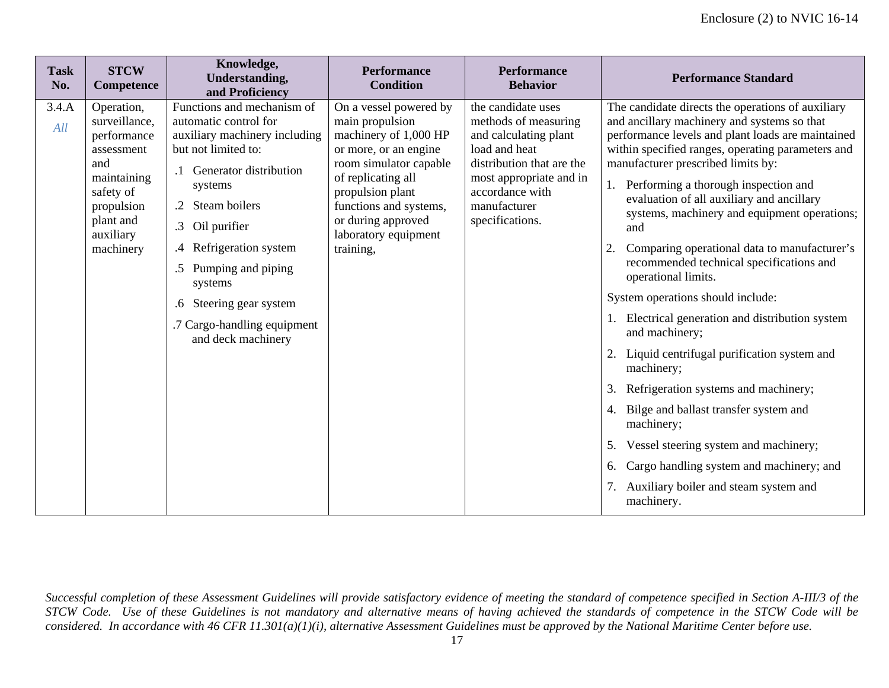| <b>Task</b><br>No. | <b>STCW</b><br>Competence                                                                                                                        | Knowledge,<br><b>Understanding,</b><br>and Proficiency                                                                                                                                                                                                                                                                                              | <b>Performance</b><br><b>Condition</b>                                                                                                                                                                                                               | <b>Performance</b><br><b>Behavior</b>                                                                                                                                                              | <b>Performance Standard</b>                                                                                                                                                                                                                                                                                                                                                                                                                                                                                                                                                                                                                                                                                                                                                                                                                                                                                                                                  |
|--------------------|--------------------------------------------------------------------------------------------------------------------------------------------------|-----------------------------------------------------------------------------------------------------------------------------------------------------------------------------------------------------------------------------------------------------------------------------------------------------------------------------------------------------|------------------------------------------------------------------------------------------------------------------------------------------------------------------------------------------------------------------------------------------------------|----------------------------------------------------------------------------------------------------------------------------------------------------------------------------------------------------|--------------------------------------------------------------------------------------------------------------------------------------------------------------------------------------------------------------------------------------------------------------------------------------------------------------------------------------------------------------------------------------------------------------------------------------------------------------------------------------------------------------------------------------------------------------------------------------------------------------------------------------------------------------------------------------------------------------------------------------------------------------------------------------------------------------------------------------------------------------------------------------------------------------------------------------------------------------|
| 3.4.A<br>All       | Operation,<br>surveillance,<br>performance<br>assessment<br>and<br>maintaining<br>safety of<br>propulsion<br>plant and<br>auxiliary<br>machinery | Functions and mechanism of<br>automatic control for<br>auxiliary machinery including<br>but not limited to:<br>Generator distribution<br>systems<br>.2 Steam boilers<br>Oil purifier<br>.3<br>.4 Refrigeration system<br>Pumping and piping<br>.5<br>systems<br>Steering gear system<br>$.6\,$<br>.7 Cargo-handling equipment<br>and deck machinery | On a vessel powered by<br>main propulsion<br>machinery of 1,000 HP<br>or more, or an engine<br>room simulator capable<br>of replicating all<br>propulsion plant<br>functions and systems,<br>or during approved<br>laboratory equipment<br>training, | the candidate uses<br>methods of measuring<br>and calculating plant<br>load and heat<br>distribution that are the<br>most appropriate and in<br>accordance with<br>manufacturer<br>specifications. | The candidate directs the operations of auxiliary<br>and ancillary machinery and systems so that<br>performance levels and plant loads are maintained<br>within specified ranges, operating parameters and<br>manufacturer prescribed limits by:<br>1. Performing a thorough inspection and<br>evaluation of all auxiliary and ancillary<br>systems, machinery and equipment operations;<br>and<br>Comparing operational data to manufacturer's<br>2.<br>recommended technical specifications and<br>operational limits.<br>System operations should include:<br>1. Electrical generation and distribution system<br>and machinery;<br>2. Liquid centrifugal purification system and<br>machinery;<br>3. Refrigeration systems and machinery;<br>4. Bilge and ballast transfer system and<br>machinery;<br>5. Vessel steering system and machinery;<br>6. Cargo handling system and machinery; and<br>7. Auxiliary boiler and steam system and<br>machinery. |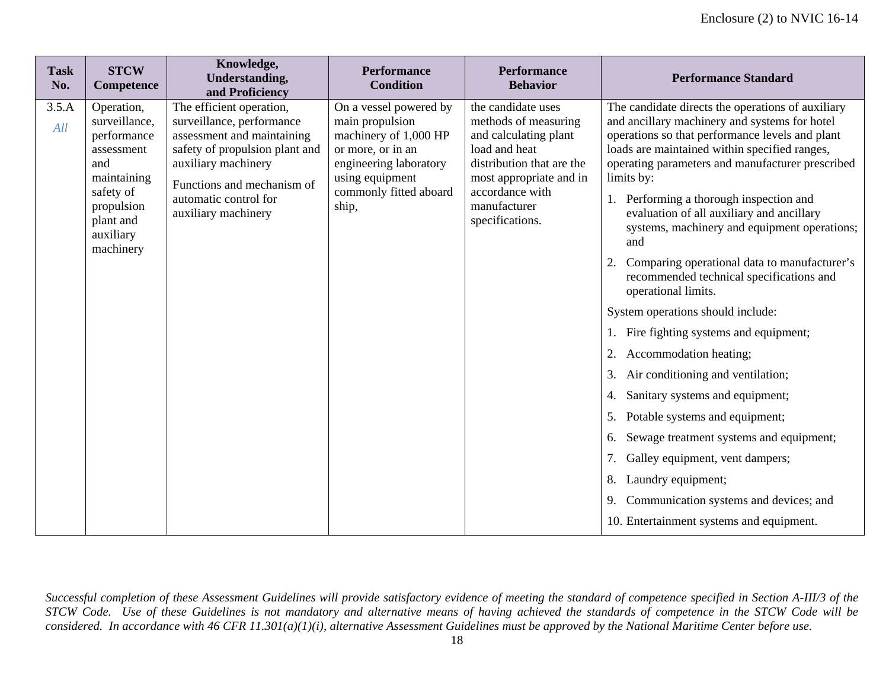| <b>Task</b><br>No. | <b>STCW</b><br>Competence                                                                                                                        | Knowledge,<br><b>Understanding,</b><br>and Proficiency                                                                                                                                                                     | <b>Performance</b><br><b>Condition</b>                                                                                                                                  | <b>Performance</b><br><b>Behavior</b>                                                                                                                                                              | <b>Performance Standard</b>                                                                                                                                                                                                                                                                                                                                                                                                                                                                                                                                                                                                                                                                                                                                                                                                                                                                                                                   |
|--------------------|--------------------------------------------------------------------------------------------------------------------------------------------------|----------------------------------------------------------------------------------------------------------------------------------------------------------------------------------------------------------------------------|-------------------------------------------------------------------------------------------------------------------------------------------------------------------------|----------------------------------------------------------------------------------------------------------------------------------------------------------------------------------------------------|-----------------------------------------------------------------------------------------------------------------------------------------------------------------------------------------------------------------------------------------------------------------------------------------------------------------------------------------------------------------------------------------------------------------------------------------------------------------------------------------------------------------------------------------------------------------------------------------------------------------------------------------------------------------------------------------------------------------------------------------------------------------------------------------------------------------------------------------------------------------------------------------------------------------------------------------------|
| 3.5.A<br>All       | Operation,<br>surveillance,<br>performance<br>assessment<br>and<br>maintaining<br>safety of<br>propulsion<br>plant and<br>auxiliary<br>machinery | The efficient operation,<br>surveillance, performance<br>assessment and maintaining<br>safety of propulsion plant and<br>auxiliary machinery<br>Functions and mechanism of<br>automatic control for<br>auxiliary machinery | On a vessel powered by<br>main propulsion<br>machinery of 1,000 HP<br>or more, or in an<br>engineering laboratory<br>using equipment<br>commonly fitted aboard<br>ship, | the candidate uses<br>methods of measuring<br>and calculating plant<br>load and heat<br>distribution that are the<br>most appropriate and in<br>accordance with<br>manufacturer<br>specifications. | The candidate directs the operations of auxiliary<br>and ancillary machinery and systems for hotel<br>operations so that performance levels and plant<br>loads are maintained within specified ranges,<br>operating parameters and manufacturer prescribed<br>limits by:<br>1. Performing a thorough inspection and<br>evaluation of all auxiliary and ancillary<br>systems, machinery and equipment operations;<br>and<br>Comparing operational data to manufacturer's<br>2.<br>recommended technical specifications and<br>operational limits.<br>System operations should include:<br>1. Fire fighting systems and equipment;<br>2. Accommodation heating;<br>3. Air conditioning and ventilation;<br>4. Sanitary systems and equipment;<br>5. Potable systems and equipment;<br>Sewage treatment systems and equipment;<br>6.<br>7. Galley equipment, vent dampers;<br>8. Laundry equipment;<br>9. Communication systems and devices; and |
|                    |                                                                                                                                                  |                                                                                                                                                                                                                            |                                                                                                                                                                         |                                                                                                                                                                                                    | 10. Entertainment systems and equipment.                                                                                                                                                                                                                                                                                                                                                                                                                                                                                                                                                                                                                                                                                                                                                                                                                                                                                                      |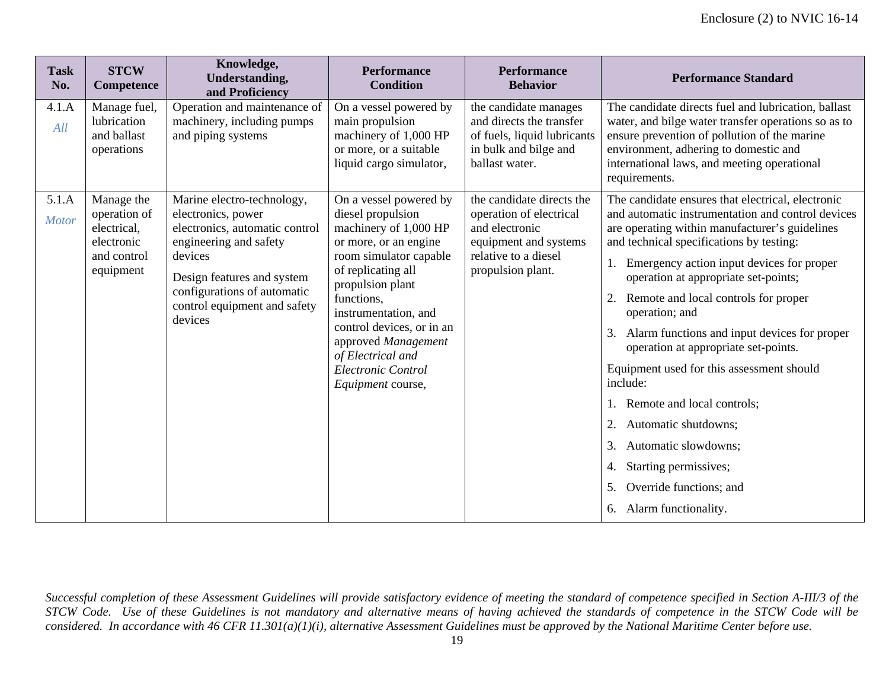| <b>Task</b><br>No.    | <b>STCW</b><br>Competence                                                           | Knowledge,<br><b>Understanding,</b><br>and Proficiency                                                                                                                                                                          | <b>Performance</b><br><b>Condition</b>                                                                                                                                                                                                                                                                                      | <b>Performance</b><br><b>Behavior</b>                                                                                                        | <b>Performance Standard</b>                                                                                                                                                                                                                                                                                                                                                                                                                                                                                                                                                                                                                                                                           |
|-----------------------|-------------------------------------------------------------------------------------|---------------------------------------------------------------------------------------------------------------------------------------------------------------------------------------------------------------------------------|-----------------------------------------------------------------------------------------------------------------------------------------------------------------------------------------------------------------------------------------------------------------------------------------------------------------------------|----------------------------------------------------------------------------------------------------------------------------------------------|-------------------------------------------------------------------------------------------------------------------------------------------------------------------------------------------------------------------------------------------------------------------------------------------------------------------------------------------------------------------------------------------------------------------------------------------------------------------------------------------------------------------------------------------------------------------------------------------------------------------------------------------------------------------------------------------------------|
| 4.1.A<br>All          | Manage fuel,<br>lubrication<br>and ballast<br>operations                            | Operation and maintenance of<br>machinery, including pumps<br>and piping systems                                                                                                                                                | On a vessel powered by<br>main propulsion<br>machinery of 1,000 HP<br>or more, or a suitable<br>liquid cargo simulator,                                                                                                                                                                                                     | the candidate manages<br>and directs the transfer<br>of fuels, liquid lubricants<br>in bulk and bilge and<br>ballast water.                  | The candidate directs fuel and lubrication, ballast<br>water, and bilge water transfer operations so as to<br>ensure prevention of pollution of the marine<br>environment, adhering to domestic and<br>international laws, and meeting operational<br>requirements.                                                                                                                                                                                                                                                                                                                                                                                                                                   |
| 5.1.A<br><b>Motor</b> | Manage the<br>operation of<br>electrical,<br>electronic<br>and control<br>equipment | Marine electro-technology,<br>electronics, power<br>electronics, automatic control<br>engineering and safety<br>devices<br>Design features and system<br>configurations of automatic<br>control equipment and safety<br>devices | On a vessel powered by<br>diesel propulsion<br>machinery of 1,000 HP<br>or more, or an engine<br>room simulator capable<br>of replicating all<br>propulsion plant<br>functions,<br>instrumentation, and<br>control devices, or in an<br>approved Management<br>of Electrical and<br>Electronic Control<br>Equipment course, | the candidate directs the<br>operation of electrical<br>and electronic<br>equipment and systems<br>relative to a diesel<br>propulsion plant. | The candidate ensures that electrical, electronic<br>and automatic instrumentation and control devices<br>are operating within manufacturer's guidelines<br>and technical specifications by testing:<br>1. Emergency action input devices for proper<br>operation at appropriate set-points;<br>2. Remote and local controls for proper<br>operation; and<br>3. Alarm functions and input devices for proper<br>operation at appropriate set-points.<br>Equipment used for this assessment should<br>include:<br>1. Remote and local controls;<br>Automatic shutdowns;<br>2.<br>Automatic slowdowns;<br>3.<br>Starting permissives;<br>4.<br>Override functions; and<br>5.<br>6. Alarm functionality. |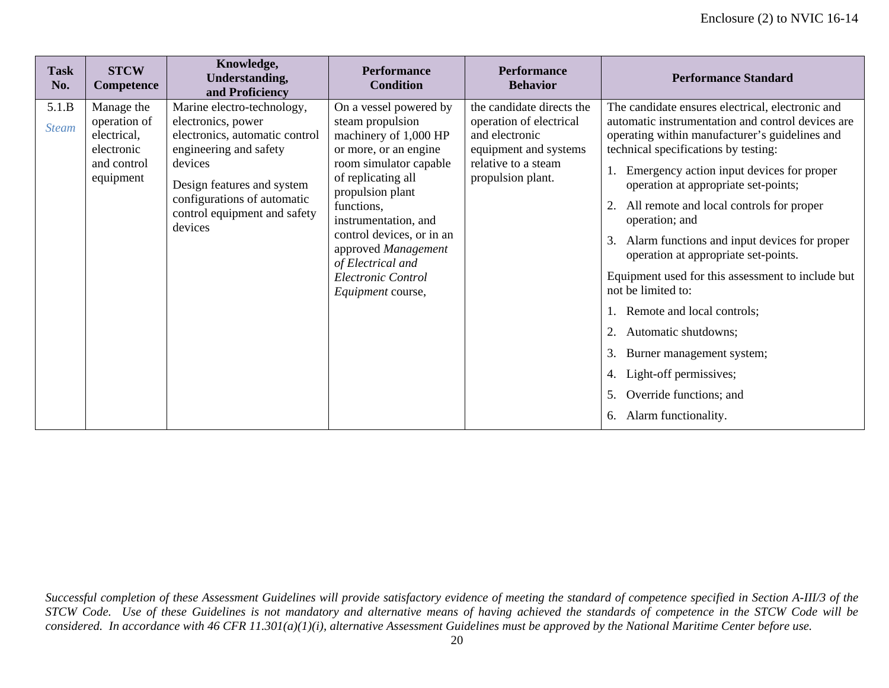| <b>Task</b><br>No.    | <b>STCW</b><br>Competence                                                           | Knowledge,<br>Understanding,<br>and Proficiency                                                                                                                                                                                 | <b>Performance</b><br><b>Condition</b>                                                                                                                                                                                                                                                                                     | <b>Performance</b><br><b>Behavior</b>                                                                                                       | <b>Performance Standard</b>                                                                                                                                                                                                                                                                                                                                                                                                                                                                                                                                                                                                                                                                                                  |
|-----------------------|-------------------------------------------------------------------------------------|---------------------------------------------------------------------------------------------------------------------------------------------------------------------------------------------------------------------------------|----------------------------------------------------------------------------------------------------------------------------------------------------------------------------------------------------------------------------------------------------------------------------------------------------------------------------|---------------------------------------------------------------------------------------------------------------------------------------------|------------------------------------------------------------------------------------------------------------------------------------------------------------------------------------------------------------------------------------------------------------------------------------------------------------------------------------------------------------------------------------------------------------------------------------------------------------------------------------------------------------------------------------------------------------------------------------------------------------------------------------------------------------------------------------------------------------------------------|
| 5.1.B<br><b>Steam</b> | Manage the<br>operation of<br>electrical,<br>electronic<br>and control<br>equipment | Marine electro-technology,<br>electronics, power<br>electronics, automatic control<br>engineering and safety<br>devices<br>Design features and system<br>configurations of automatic<br>control equipment and safety<br>devices | On a vessel powered by<br>steam propulsion<br>machinery of 1,000 HP<br>or more, or an engine<br>room simulator capable<br>of replicating all<br>propulsion plant<br>functions,<br>instrumentation, and<br>control devices, or in an<br>approved Management<br>of Electrical and<br>Electronic Control<br>Equipment course, | the candidate directs the<br>operation of electrical<br>and electronic<br>equipment and systems<br>relative to a steam<br>propulsion plant. | The candidate ensures electrical, electronic and<br>automatic instrumentation and control devices are<br>operating within manufacturer's guidelines and<br>technical specifications by testing:<br>1. Emergency action input devices for proper<br>operation at appropriate set-points;<br>2. All remote and local controls for proper<br>operation; and<br>3. Alarm functions and input devices for proper<br>operation at appropriate set-points.<br>Equipment used for this assessment to include but<br>not be limited to:<br>1. Remote and local controls;<br>Automatic shutdowns;<br>2.<br>3.<br>Burner management system;<br>Light-off permissives;<br>4.<br>Override functions; and<br>5.<br>6. Alarm functionality. |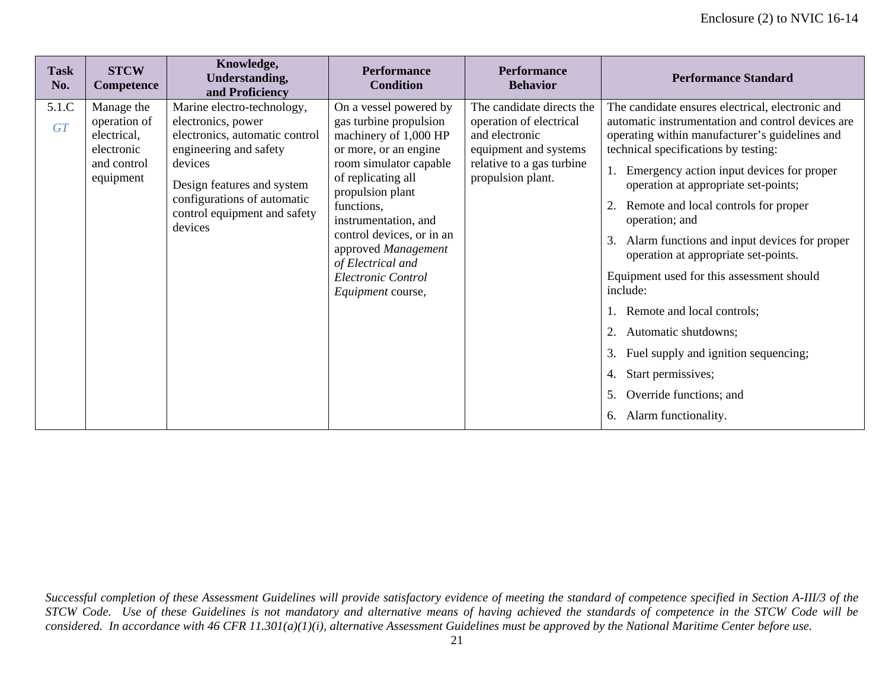| <b>Task</b><br>No. | <b>STCW</b><br>Competence                 | Knowledge,<br><b>Understanding,</b><br>and Proficiency                             | <b>Performance</b><br><b>Condition</b>                                                                                                                 | <b>Performance</b><br><b>Behavior</b>                                  | <b>Performance Standard</b>                                                                                                                             |
|--------------------|-------------------------------------------|------------------------------------------------------------------------------------|--------------------------------------------------------------------------------------------------------------------------------------------------------|------------------------------------------------------------------------|---------------------------------------------------------------------------------------------------------------------------------------------------------|
| 5.1.C<br><b>GT</b> | Manage the<br>operation of<br>electrical, | Marine electro-technology,<br>electronics, power<br>electronics, automatic control | On a vessel powered by<br>gas turbine propulsion<br>machinery of 1,000 HP                                                                              | The candidate directs the<br>operation of electrical<br>and electronic | The candidate ensures electrical, electronic and<br>automatic instrumentation and control devices are<br>operating within manufacturer's guidelines and |
|                    | electronic                                | engineering and safety                                                             | or more, or an engine                                                                                                                                  | equipment and systems                                                  | technical specifications by testing:                                                                                                                    |
|                    | and control<br>equipment                  | devices<br>Design features and system                                              | room simulator capable<br>of replicating all<br>propulsion plant                                                                                       | relative to a gas turbine<br>propulsion plant.                         | 1. Emergency action input devices for proper<br>operation at appropriate set-points;                                                                    |
|                    |                                           | configurations of automatic<br>control equipment and safety<br>devices             | functions,<br>instrumentation, and<br>control devices, or in an<br>approved Management<br>of Electrical and<br>Electronic Control<br>Equipment course, |                                                                        | 2. Remote and local controls for proper<br>operation; and                                                                                               |
|                    |                                           |                                                                                    |                                                                                                                                                        |                                                                        | 3. Alarm functions and input devices for proper<br>operation at appropriate set-points.                                                                 |
|                    |                                           |                                                                                    |                                                                                                                                                        |                                                                        | Equipment used for this assessment should<br>include:                                                                                                   |
|                    |                                           |                                                                                    |                                                                                                                                                        |                                                                        | 1. Remote and local controls;                                                                                                                           |
|                    |                                           |                                                                                    |                                                                                                                                                        |                                                                        | 2. Automatic shutdowns;                                                                                                                                 |
|                    |                                           |                                                                                    |                                                                                                                                                        |                                                                        | Fuel supply and ignition sequencing;<br>3.                                                                                                              |
|                    |                                           |                                                                                    |                                                                                                                                                        |                                                                        | 4. Start permissives;                                                                                                                                   |
|                    |                                           |                                                                                    |                                                                                                                                                        |                                                                        | Override functions; and<br>5.                                                                                                                           |
|                    |                                           |                                                                                    |                                                                                                                                                        |                                                                        | 6. Alarm functionality.                                                                                                                                 |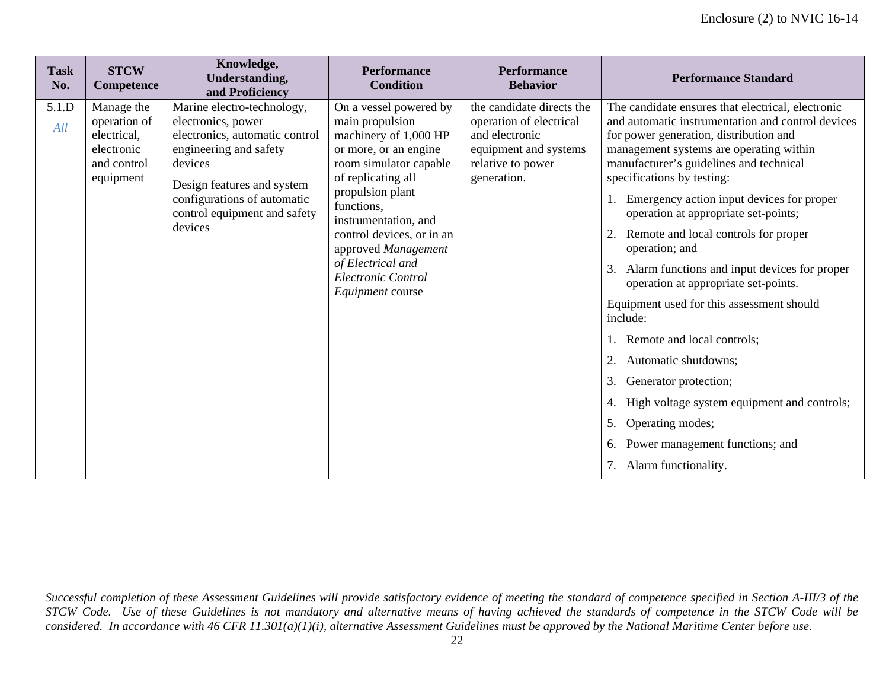| <b>Task</b><br>No. | <b>STCW</b><br>Competence                                                           | Knowledge,<br><b>Understanding,</b><br>and Proficiency                                                                                                                                                                          | <b>Performance</b><br><b>Condition</b>                                                                                                                                                                                                                                                                                          | <b>Performance</b><br><b>Behavior</b>                                                                                               | <b>Performance Standard</b>                                                                                                                                                                                                                                                                                                                                                                                                                                                                                                                                                                                                                                                                                                                                                                                        |
|--------------------|-------------------------------------------------------------------------------------|---------------------------------------------------------------------------------------------------------------------------------------------------------------------------------------------------------------------------------|---------------------------------------------------------------------------------------------------------------------------------------------------------------------------------------------------------------------------------------------------------------------------------------------------------------------------------|-------------------------------------------------------------------------------------------------------------------------------------|--------------------------------------------------------------------------------------------------------------------------------------------------------------------------------------------------------------------------------------------------------------------------------------------------------------------------------------------------------------------------------------------------------------------------------------------------------------------------------------------------------------------------------------------------------------------------------------------------------------------------------------------------------------------------------------------------------------------------------------------------------------------------------------------------------------------|
| 5.1.D<br>All       | Manage the<br>operation of<br>electrical,<br>electronic<br>and control<br>equipment | Marine electro-technology,<br>electronics, power<br>electronics, automatic control<br>engineering and safety<br>devices<br>Design features and system<br>configurations of automatic<br>control equipment and safety<br>devices | On a vessel powered by<br>main propulsion<br>machinery of 1,000 HP<br>or more, or an engine<br>room simulator capable<br>of replicating all<br>propulsion plant<br>functions,<br>instrumentation, and<br>control devices, or in an<br>approved Management<br>of Electrical and<br><b>Electronic Control</b><br>Equipment course | the candidate directs the<br>operation of electrical<br>and electronic<br>equipment and systems<br>relative to power<br>generation. | The candidate ensures that electrical, electronic<br>and automatic instrumentation and control devices<br>for power generation, distribution and<br>management systems are operating within<br>manufacturer's guidelines and technical<br>specifications by testing:<br>1. Emergency action input devices for proper<br>operation at appropriate set-points;<br>2. Remote and local controls for proper<br>operation; and<br>3. Alarm functions and input devices for proper<br>operation at appropriate set-points.<br>Equipment used for this assessment should<br>include:<br>1. Remote and local controls;<br>2. Automatic shutdowns;<br>3.<br>Generator protection;<br>4. High voltage system equipment and controls;<br>5. Operating modes;<br>6. Power management functions; and<br>7. Alarm functionality. |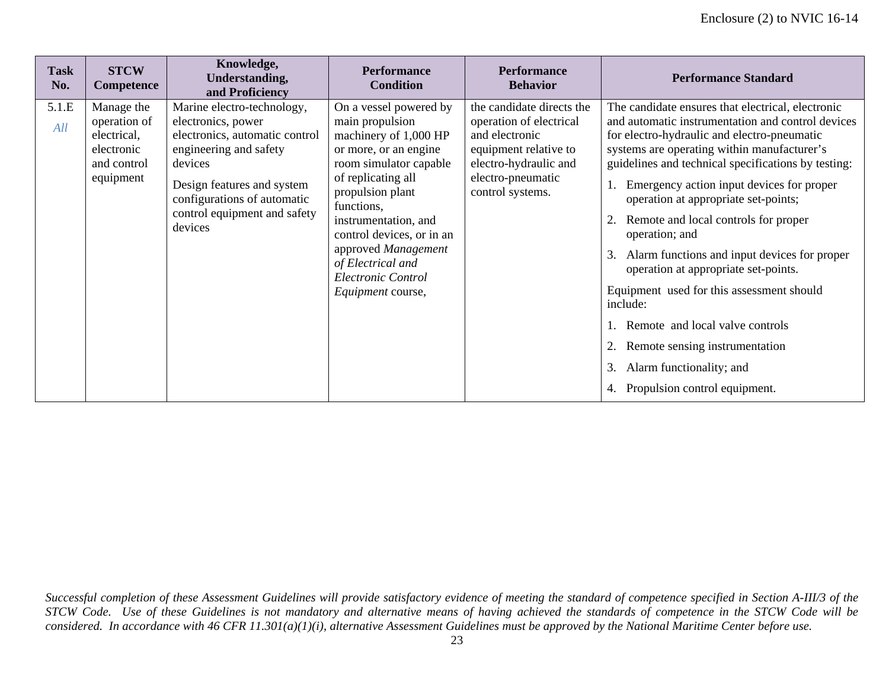| <b>Task</b><br>No. | <b>STCW</b><br><b>Competence</b>                                                    | Knowledge,<br>Understanding,<br>and Proficiency                                                                                                                                                                                 | <b>Performance</b><br><b>Condition</b>                                                                                                                                                                                                                                                                                           | <b>Performance</b><br><b>Behavior</b>                                                                                                                             | <b>Performance Standard</b>                                                                                                                                                                                                                                                                                                                                                                                                                                                                                                                                                                                                                                                                                     |
|--------------------|-------------------------------------------------------------------------------------|---------------------------------------------------------------------------------------------------------------------------------------------------------------------------------------------------------------------------------|----------------------------------------------------------------------------------------------------------------------------------------------------------------------------------------------------------------------------------------------------------------------------------------------------------------------------------|-------------------------------------------------------------------------------------------------------------------------------------------------------------------|-----------------------------------------------------------------------------------------------------------------------------------------------------------------------------------------------------------------------------------------------------------------------------------------------------------------------------------------------------------------------------------------------------------------------------------------------------------------------------------------------------------------------------------------------------------------------------------------------------------------------------------------------------------------------------------------------------------------|
| 5.1.E<br>All       | Manage the<br>operation of<br>electrical,<br>electronic<br>and control<br>equipment | Marine electro-technology,<br>electronics, power<br>electronics, automatic control<br>engineering and safety<br>devices<br>Design features and system<br>configurations of automatic<br>control equipment and safety<br>devices | On a vessel powered by<br>main propulsion<br>machinery of 1,000 HP<br>or more, or an engine<br>room simulator capable<br>of replicating all<br>propulsion plant<br>functions,<br>instrumentation, and<br>control devices, or in an<br>approved Management<br>of Electrical and<br><b>Electronic Control</b><br>Equipment course, | the candidate directs the<br>operation of electrical<br>and electronic<br>equipment relative to<br>electro-hydraulic and<br>electro-pneumatic<br>control systems. | The candidate ensures that electrical, electronic<br>and automatic instrumentation and control devices<br>for electro-hydraulic and electro-pneumatic<br>systems are operating within manufacturer's<br>guidelines and technical specifications by testing:<br>1. Emergency action input devices for proper<br>operation at appropriate set-points;<br>Remote and local controls for proper<br>operation; and<br>Alarm functions and input devices for proper<br>3.<br>operation at appropriate set-points.<br>Equipment used for this assessment should<br>include:<br>Remote and local valve controls<br>Remote sensing instrumentation<br>Alarm functionality; and<br>3.<br>4. Propulsion control equipment. |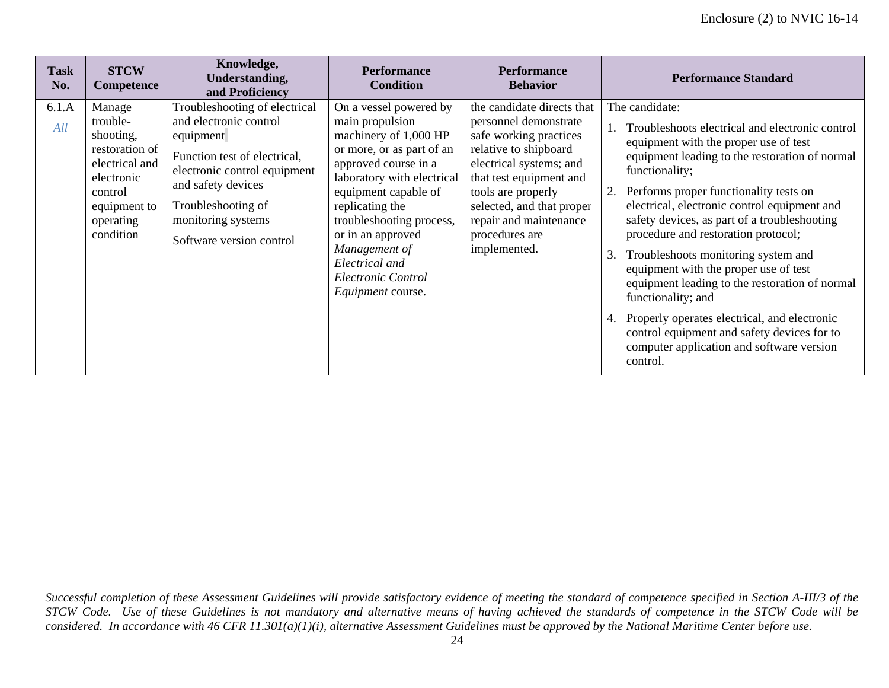| <b>Task</b><br>No. | <b>STCW</b><br><b>Competence</b>                                                                                                       | Knowledge,<br><b>Understanding,</b><br>and Proficiency                                                                                                                                                                             | <b>Performance</b><br><b>Condition</b>                                                                                                                                                                                                                                                                                          | <b>Performance</b><br><b>Behavior</b>                                                                                                                                                                                                                                       | <b>Performance Standard</b>                                                                                                                                                                                                                                                                                                                                                                                                                                                                                                                                                                                                                                                                 |
|--------------------|----------------------------------------------------------------------------------------------------------------------------------------|------------------------------------------------------------------------------------------------------------------------------------------------------------------------------------------------------------------------------------|---------------------------------------------------------------------------------------------------------------------------------------------------------------------------------------------------------------------------------------------------------------------------------------------------------------------------------|-----------------------------------------------------------------------------------------------------------------------------------------------------------------------------------------------------------------------------------------------------------------------------|---------------------------------------------------------------------------------------------------------------------------------------------------------------------------------------------------------------------------------------------------------------------------------------------------------------------------------------------------------------------------------------------------------------------------------------------------------------------------------------------------------------------------------------------------------------------------------------------------------------------------------------------------------------------------------------------|
| 6.1.A<br>All       | Manage<br>trouble-<br>shooting,<br>restoration of<br>electrical and<br>electronic<br>control<br>equipment to<br>operating<br>condition | Troubleshooting of electrical<br>and electronic control<br>equipment<br>Function test of electrical,<br>electronic control equipment<br>and safety devices<br>Troubleshooting of<br>monitoring systems<br>Software version control | On a vessel powered by<br>main propulsion<br>machinery of 1,000 HP<br>or more, or as part of an<br>approved course in a<br>laboratory with electrical<br>equipment capable of<br>replicating the<br>troubleshooting process,<br>or in an approved<br>Management of<br>Electrical and<br>Electronic Control<br>Equipment course. | the candidate directs that<br>personnel demonstrate<br>safe working practices<br>relative to shipboard<br>electrical systems; and<br>that test equipment and<br>tools are properly<br>selected, and that proper<br>repair and maintenance<br>procedures are<br>implemented. | The candidate:<br>Troubleshoots electrical and electronic control<br>equipment with the proper use of test<br>equipment leading to the restoration of normal<br>functionality;<br>2. Performs proper functionality tests on<br>electrical, electronic control equipment and<br>safety devices, as part of a troubleshooting<br>procedure and restoration protocol;<br>Troubleshoots monitoring system and<br>3.<br>equipment with the proper use of test<br>equipment leading to the restoration of normal<br>functionality; and<br>4. Properly operates electrical, and electronic<br>control equipment and safety devices for to<br>computer application and software version<br>control. |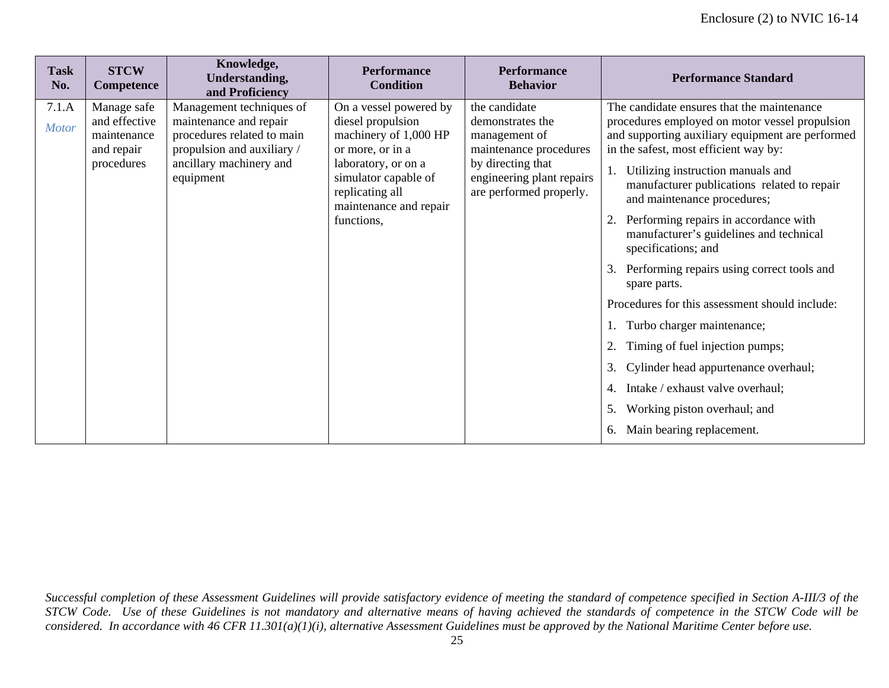| <b>Task</b><br>No.    | <b>STCW</b><br>Competence                                               | Knowledge,<br><b>Understanding,</b><br>and Proficiency                                                                                                 | <b>Performance</b><br><b>Condition</b>                                                                                                                                                             | <b>Performance</b><br><b>Behavior</b>                                                                                                                     | <b>Performance Standard</b>                                                                                                                                                                                                                                                                                                                                                                                                                                                                                                                                                                                                                                                                                                                                                           |
|-----------------------|-------------------------------------------------------------------------|--------------------------------------------------------------------------------------------------------------------------------------------------------|----------------------------------------------------------------------------------------------------------------------------------------------------------------------------------------------------|-----------------------------------------------------------------------------------------------------------------------------------------------------------|---------------------------------------------------------------------------------------------------------------------------------------------------------------------------------------------------------------------------------------------------------------------------------------------------------------------------------------------------------------------------------------------------------------------------------------------------------------------------------------------------------------------------------------------------------------------------------------------------------------------------------------------------------------------------------------------------------------------------------------------------------------------------------------|
| 7.1.A<br><b>Motor</b> | Manage safe<br>and effective<br>maintenance<br>and repair<br>procedures | Management techniques of<br>maintenance and repair<br>procedures related to main<br>propulsion and auxiliary /<br>ancillary machinery and<br>equipment | On a vessel powered by<br>diesel propulsion<br>machinery of 1,000 HP<br>or more, or in a<br>laboratory, or on a<br>simulator capable of<br>replicating all<br>maintenance and repair<br>functions, | the candidate<br>demonstrates the<br>management of<br>maintenance procedures<br>by directing that<br>engineering plant repairs<br>are performed properly. | The candidate ensures that the maintenance<br>procedures employed on motor vessel propulsion<br>and supporting auxiliary equipment are performed<br>in the safest, most efficient way by:<br>1. Utilizing instruction manuals and<br>manufacturer publications related to repair<br>and maintenance procedures;<br>2. Performing repairs in accordance with<br>manufacturer's guidelines and technical<br>specifications; and<br>3. Performing repairs using correct tools and<br>spare parts.<br>Procedures for this assessment should include:<br>1. Turbo charger maintenance;<br>Timing of fuel injection pumps;<br>2.<br>Cylinder head appurtenance overhaul;<br>3.<br>4. Intake / exhaust valve overhaul;<br>Working piston overhaul; and<br>5.<br>6. Main bearing replacement. |
|                       |                                                                         |                                                                                                                                                        |                                                                                                                                                                                                    |                                                                                                                                                           |                                                                                                                                                                                                                                                                                                                                                                                                                                                                                                                                                                                                                                                                                                                                                                                       |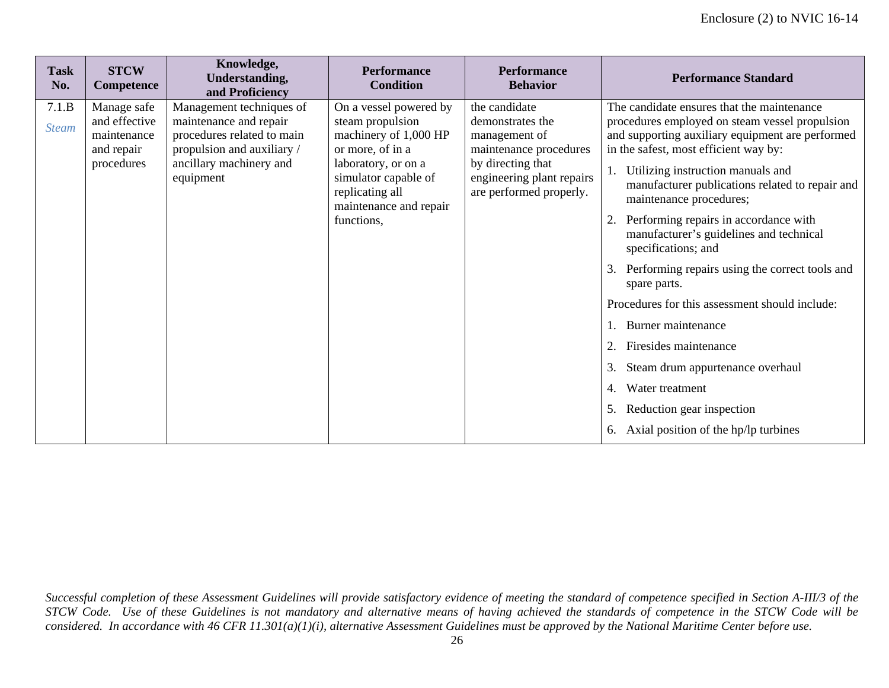| <b>Task</b><br>No.    | <b>STCW</b><br>Competence                                               | Knowledge,<br><b>Understanding,</b><br>and Proficiency                                                                                                 | <b>Performance</b><br><b>Condition</b>                                                                                                                                                            | <b>Performance</b><br><b>Behavior</b>                                                                                                                     | <b>Performance Standard</b>                                                                                                                                                                                                                                                                                                                                                                                                                                                                                                                                                                                                                                                                                                                                |
|-----------------------|-------------------------------------------------------------------------|--------------------------------------------------------------------------------------------------------------------------------------------------------|---------------------------------------------------------------------------------------------------------------------------------------------------------------------------------------------------|-----------------------------------------------------------------------------------------------------------------------------------------------------------|------------------------------------------------------------------------------------------------------------------------------------------------------------------------------------------------------------------------------------------------------------------------------------------------------------------------------------------------------------------------------------------------------------------------------------------------------------------------------------------------------------------------------------------------------------------------------------------------------------------------------------------------------------------------------------------------------------------------------------------------------------|
| 7.1.B<br><b>Steam</b> | Manage safe<br>and effective<br>maintenance<br>and repair<br>procedures | Management techniques of<br>maintenance and repair<br>procedures related to main<br>propulsion and auxiliary /<br>ancillary machinery and<br>equipment | On a vessel powered by<br>steam propulsion<br>machinery of 1,000 HP<br>or more, of in a<br>laboratory, or on a<br>simulator capable of<br>replicating all<br>maintenance and repair<br>functions, | the candidate<br>demonstrates the<br>management of<br>maintenance procedures<br>by directing that<br>engineering plant repairs<br>are performed properly. | The candidate ensures that the maintenance<br>procedures employed on steam vessel propulsion<br>and supporting auxiliary equipment are performed<br>in the safest, most efficient way by:<br>1. Utilizing instruction manuals and<br>manufacturer publications related to repair and<br>maintenance procedures;<br>2. Performing repairs in accordance with<br>manufacturer's guidelines and technical<br>specifications; and<br>3. Performing repairs using the correct tools and<br>spare parts.<br>Procedures for this assessment should include:<br>1. Burner maintenance<br>Firesides maintenance<br>2.<br>Steam drum appurtenance overhaul<br>3.<br>Water treatment<br>4.<br>5. Reduction gear inspection<br>6. Axial position of the hp/lp turbines |
|                       |                                                                         |                                                                                                                                                        |                                                                                                                                                                                                   |                                                                                                                                                           |                                                                                                                                                                                                                                                                                                                                                                                                                                                                                                                                                                                                                                                                                                                                                            |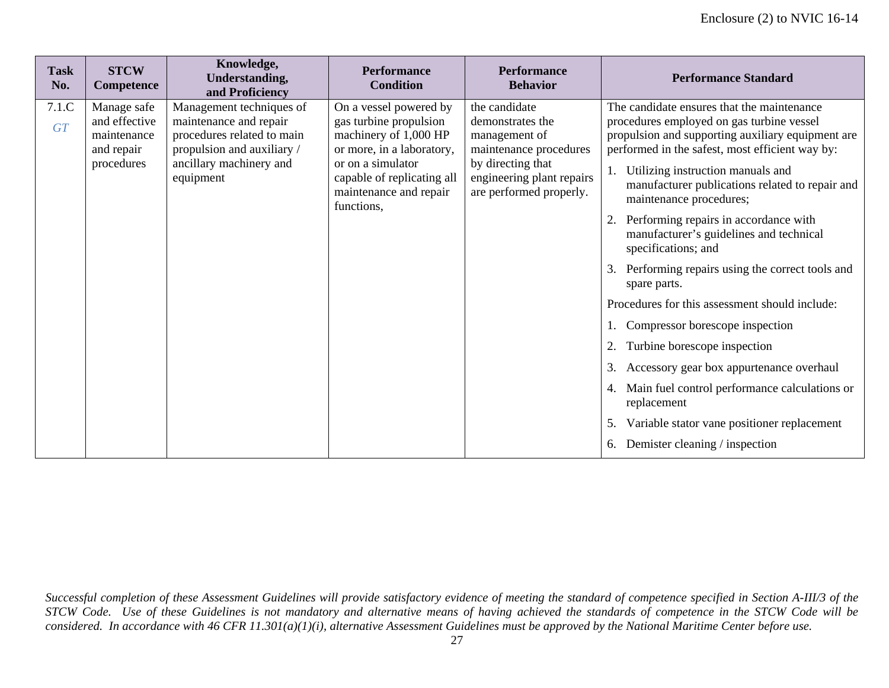| <b>Task</b><br>No. | <b>STCW</b><br>Competence    | Knowledge,<br><b>Understanding,</b><br>and Proficiency | <b>Performance</b><br><b>Condition</b>                                                  | <b>Performance</b><br><b>Behavior</b>                                     | <b>Performance Standard</b>                                                                                |                                                                                                                    |
|--------------------|------------------------------|--------------------------------------------------------|-----------------------------------------------------------------------------------------|---------------------------------------------------------------------------|------------------------------------------------------------------------------------------------------------|--------------------------------------------------------------------------------------------------------------------|
| 7.1.C              | Manage safe                  | Management techniques of                               | On a vessel powered by                                                                  | the candidate                                                             | The candidate ensures that the maintenance                                                                 |                                                                                                                    |
| GT                 | and effective<br>maintenance | maintenance and repair<br>procedures related to main   | gas turbine propulsion<br>machinery of 1,000 HP                                         | demonstrates the<br>management of                                         | procedures employed on gas turbine vessel<br>propulsion and supporting auxiliary equipment are             |                                                                                                                    |
|                    | and repair                   | propulsion and auxiliary /                             | or more, in a laboratory,                                                               | maintenance procedures                                                    | performed in the safest, most efficient way by:                                                            |                                                                                                                    |
|                    | procedures                   | ancillary machinery and<br>equipment                   | or on a simulator<br>capable of replicating all<br>maintenance and repair<br>functions, | by directing that<br>engineering plant repairs<br>are performed properly. |                                                                                                            | 1. Utilizing instruction manuals and<br>manufacturer publications related to repair and<br>maintenance procedures; |
|                    |                              |                                                        |                                                                                         |                                                                           | 2. Performing repairs in accordance with<br>manufacturer's guidelines and technical<br>specifications; and |                                                                                                                    |
|                    |                              |                                                        |                                                                                         |                                                                           | 3. Performing repairs using the correct tools and<br>spare parts.                                          |                                                                                                                    |
|                    |                              |                                                        |                                                                                         |                                                                           | Procedures for this assessment should include:                                                             |                                                                                                                    |
|                    |                              |                                                        |                                                                                         |                                                                           | 1. Compressor borescope inspection                                                                         |                                                                                                                    |
|                    |                              |                                                        |                                                                                         |                                                                           | Turbine borescope inspection<br>2.                                                                         |                                                                                                                    |
|                    |                              |                                                        |                                                                                         |                                                                           | 3. Accessory gear box appurtenance overhaul                                                                |                                                                                                                    |
|                    |                              |                                                        |                                                                                         |                                                                           | 4. Main fuel control performance calculations or<br>replacement                                            |                                                                                                                    |
|                    |                              |                                                        |                                                                                         |                                                                           | Variable stator vane positioner replacement<br>5.                                                          |                                                                                                                    |
|                    |                              |                                                        |                                                                                         |                                                                           | 6. Demister cleaning / inspection                                                                          |                                                                                                                    |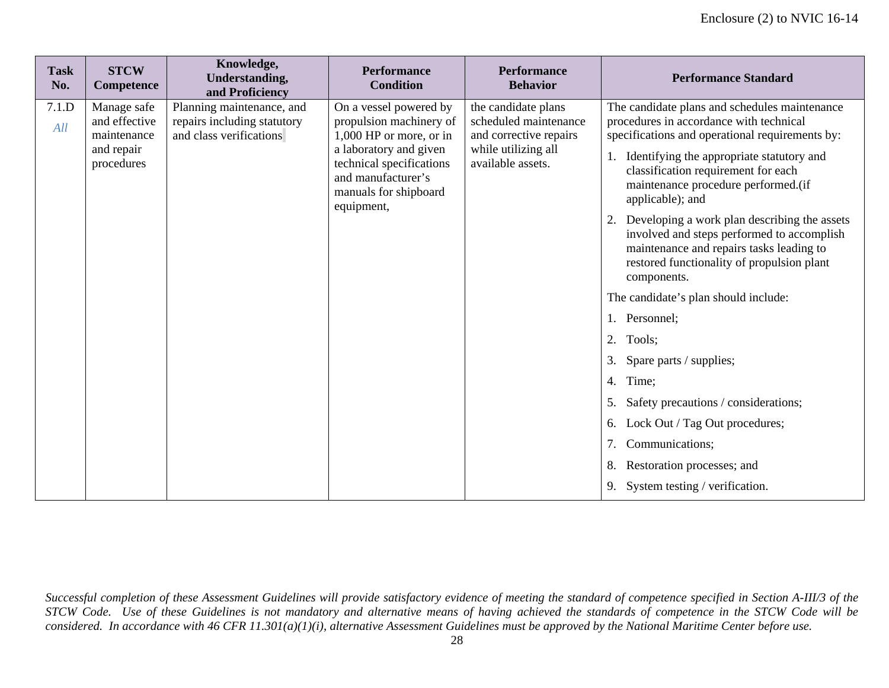| <b>Task</b><br>No. | <b>STCW</b><br>Competence                                               | Knowledge,<br>Understanding,<br>and Proficiency                                     | <b>Performance</b><br><b>Condition</b>                                                                                                                                                          | <b>Performance</b><br><b>Behavior</b>                                                                              | <b>Performance Standard</b>                                                                                                                                                                                                                                                                                                                                                                                                                                                                                                                                                                                                                                                                                                                                             |
|--------------------|-------------------------------------------------------------------------|-------------------------------------------------------------------------------------|-------------------------------------------------------------------------------------------------------------------------------------------------------------------------------------------------|--------------------------------------------------------------------------------------------------------------------|-------------------------------------------------------------------------------------------------------------------------------------------------------------------------------------------------------------------------------------------------------------------------------------------------------------------------------------------------------------------------------------------------------------------------------------------------------------------------------------------------------------------------------------------------------------------------------------------------------------------------------------------------------------------------------------------------------------------------------------------------------------------------|
| 7.1.D<br>All       | Manage safe<br>and effective<br>maintenance<br>and repair<br>procedures | Planning maintenance, and<br>repairs including statutory<br>and class verifications | On a vessel powered by<br>propulsion machinery of<br>1,000 HP or more, or in<br>a laboratory and given<br>technical specifications<br>and manufacturer's<br>manuals for shipboard<br>equipment, | the candidate plans<br>scheduled maintenance<br>and corrective repairs<br>while utilizing all<br>available assets. | The candidate plans and schedules maintenance<br>procedures in accordance with technical<br>specifications and operational requirements by:<br>1. Identifying the appropriate statutory and<br>classification requirement for each<br>maintenance procedure performed.(if<br>applicable); and<br>2. Developing a work plan describing the assets<br>involved and steps performed to accomplish<br>maintenance and repairs tasks leading to<br>restored functionality of propulsion plant<br>components.<br>The candidate's plan should include:<br>1. Personnel;<br>2. Tools;<br>Spare parts / supplies;<br>3.<br>4. Time;<br>Safety precautions / considerations;<br>5.<br>6. Lock Out / Tag Out procedures;<br>Communications;<br>7.<br>8. Restoration processes; and |
|                    |                                                                         |                                                                                     |                                                                                                                                                                                                 |                                                                                                                    | 9. System testing / verification.                                                                                                                                                                                                                                                                                                                                                                                                                                                                                                                                                                                                                                                                                                                                       |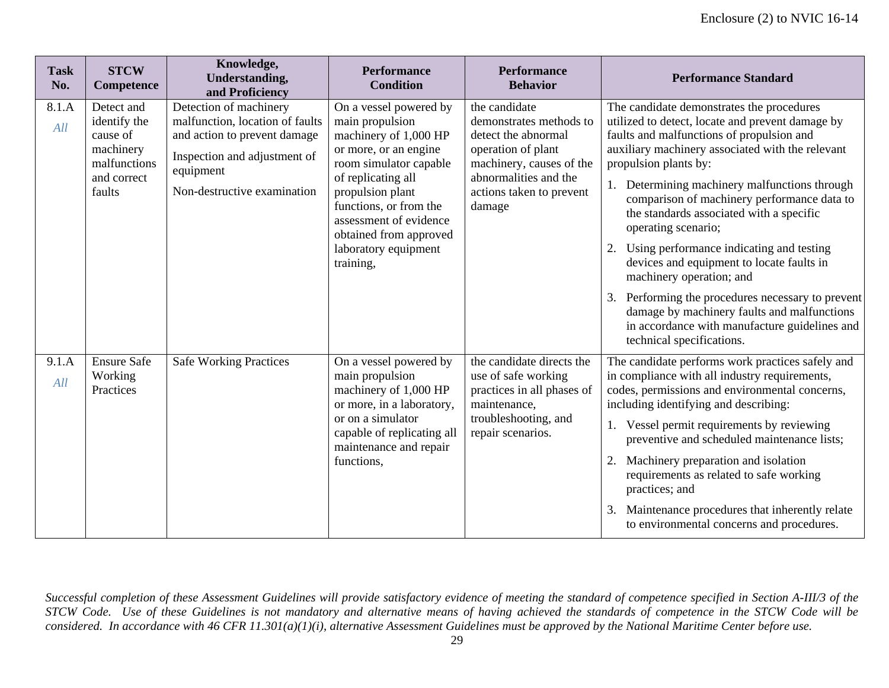| <b>Task</b><br>No. | <b>STCW</b><br>Competence                                                                    | Knowledge,<br>Understanding,<br>and Proficiency                                                                                                                       | <b>Performance</b><br><b>Condition</b>                                                                                                                                                                                                                                             | <b>Performance</b><br><b>Behavior</b>                                                                                                                                            | <b>Performance Standard</b>                                                                                                                                                                                                                                                                                                                                                                                                                                                                                                                                                                                                                                                                             |
|--------------------|----------------------------------------------------------------------------------------------|-----------------------------------------------------------------------------------------------------------------------------------------------------------------------|------------------------------------------------------------------------------------------------------------------------------------------------------------------------------------------------------------------------------------------------------------------------------------|----------------------------------------------------------------------------------------------------------------------------------------------------------------------------------|---------------------------------------------------------------------------------------------------------------------------------------------------------------------------------------------------------------------------------------------------------------------------------------------------------------------------------------------------------------------------------------------------------------------------------------------------------------------------------------------------------------------------------------------------------------------------------------------------------------------------------------------------------------------------------------------------------|
| 8.1.A<br>All       | Detect and<br>identify the<br>cause of<br>machinery<br>malfunctions<br>and correct<br>faults | Detection of machinery<br>malfunction, location of faults<br>and action to prevent damage<br>Inspection and adjustment of<br>equipment<br>Non-destructive examination | On a vessel powered by<br>main propulsion<br>machinery of 1,000 HP<br>or more, or an engine<br>room simulator capable<br>of replicating all<br>propulsion plant<br>functions, or from the<br>assessment of evidence<br>obtained from approved<br>laboratory equipment<br>training, | the candidate<br>demonstrates methods to<br>detect the abnormal<br>operation of plant<br>machinery, causes of the<br>abnormalities and the<br>actions taken to prevent<br>damage | The candidate demonstrates the procedures<br>utilized to detect, locate and prevent damage by<br>faults and malfunctions of propulsion and<br>auxiliary machinery associated with the relevant<br>propulsion plants by:<br>1. Determining machinery malfunctions through<br>comparison of machinery performance data to<br>the standards associated with a specific<br>operating scenario;<br>2.<br>Using performance indicating and testing<br>devices and equipment to locate faults in<br>machinery operation; and<br>3. Performing the procedures necessary to prevent<br>damage by machinery faults and malfunctions<br>in accordance with manufacture guidelines and<br>technical specifications. |
| 9.1.A<br>All       | <b>Ensure Safe</b><br>Working<br>Practices                                                   | Safe Working Practices                                                                                                                                                | On a vessel powered by<br>main propulsion<br>machinery of 1,000 HP<br>or more, in a laboratory,<br>or on a simulator<br>capable of replicating all<br>maintenance and repair<br>functions,                                                                                         | the candidate directs the<br>use of safe working<br>practices in all phases of<br>maintenance,<br>troubleshooting, and<br>repair scenarios.                                      | The candidate performs work practices safely and<br>in compliance with all industry requirements,<br>codes, permissions and environmental concerns,<br>including identifying and describing:<br>1. Vessel permit requirements by reviewing<br>preventive and scheduled maintenance lists;<br>2. Machinery preparation and isolation<br>requirements as related to safe working<br>practices; and<br>3. Maintenance procedures that inherently relate<br>to environmental concerns and procedures.                                                                                                                                                                                                       |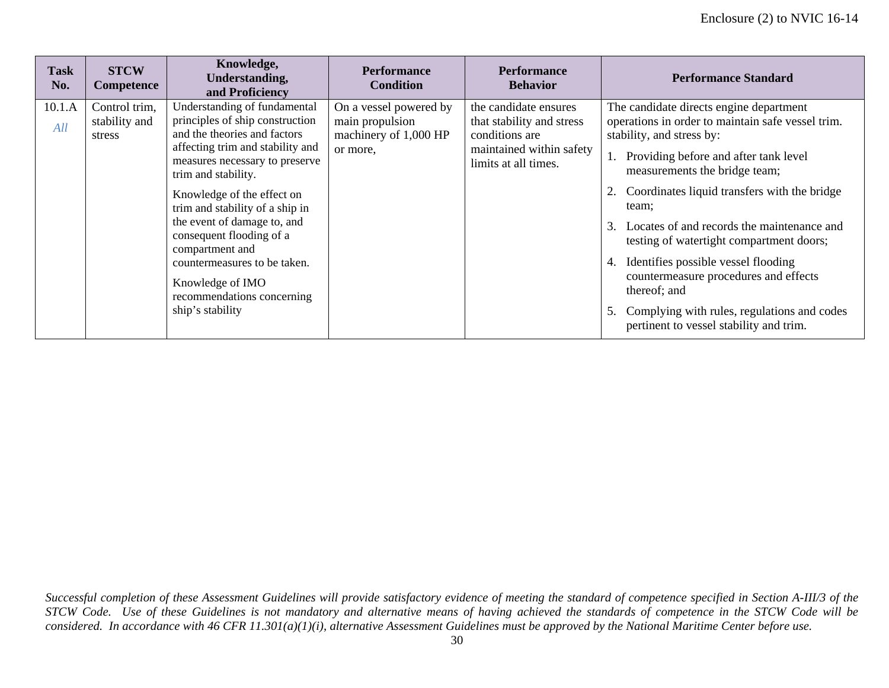| <b>Task</b><br>No. | <b>STCW</b><br>Competence                | Knowledge,<br><b>Understanding,</b><br>and Proficiency                                                                                                                                                                                                                                                                                                                                                                                            | <b>Performance</b><br><b>Condition</b>                                         | <b>Performance</b><br><b>Behavior</b>                                                                                    | <b>Performance Standard</b>                                                                                                                                                                                                                                                                                                                                                                                                                                                                                                                                        |
|--------------------|------------------------------------------|---------------------------------------------------------------------------------------------------------------------------------------------------------------------------------------------------------------------------------------------------------------------------------------------------------------------------------------------------------------------------------------------------------------------------------------------------|--------------------------------------------------------------------------------|--------------------------------------------------------------------------------------------------------------------------|--------------------------------------------------------------------------------------------------------------------------------------------------------------------------------------------------------------------------------------------------------------------------------------------------------------------------------------------------------------------------------------------------------------------------------------------------------------------------------------------------------------------------------------------------------------------|
| 10.1.A<br>All      | Control trim,<br>stability and<br>stress | Understanding of fundamental<br>principles of ship construction<br>and the theories and factors<br>affecting trim and stability and<br>measures necessary to preserve<br>trim and stability.<br>Knowledge of the effect on<br>trim and stability of a ship in<br>the event of damage to, and<br>consequent flooding of a<br>compartment and<br>countermeasures to be taken.<br>Knowledge of IMO<br>recommendations concerning<br>ship's stability | On a vessel powered by<br>main propulsion<br>machinery of 1,000 HP<br>or more, | the candidate ensures<br>that stability and stress<br>conditions are<br>maintained within safety<br>limits at all times. | The candidate directs engine department<br>operations in order to maintain safe vessel trim.<br>stability, and stress by:<br>1. Providing before and after tank level<br>measurements the bridge team;<br>2. Coordinates liquid transfers with the bridge<br>team:<br>Locates of and records the maintenance and<br>3.<br>testing of watertight compartment doors;<br>4. Identifies possible vessel flooding<br>countermeasure procedures and effects<br>thereof; and<br>5. Complying with rules, regulations and codes<br>pertinent to vessel stability and trim. |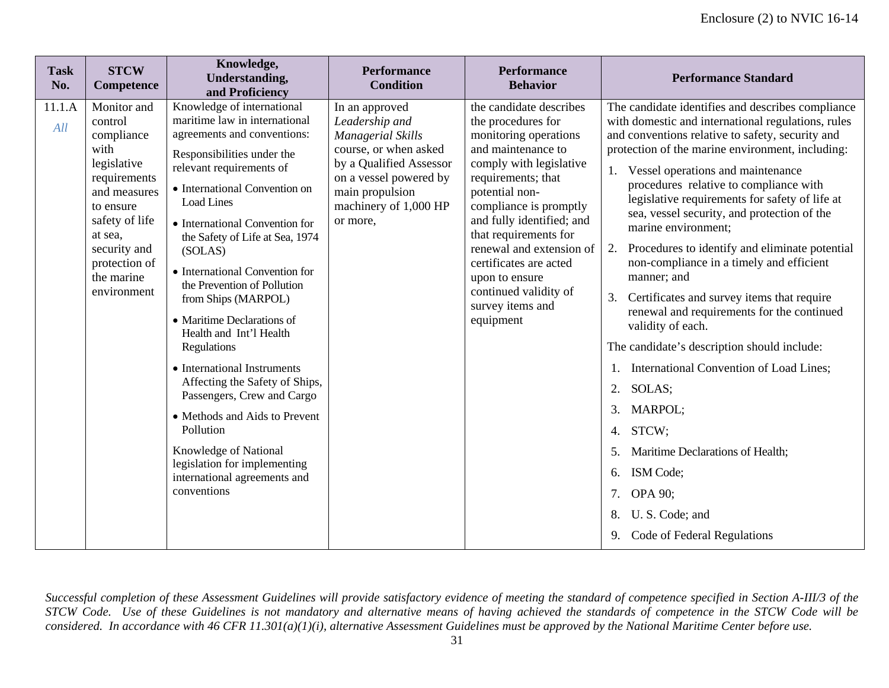| <b>Task</b><br>No. | <b>STCW</b><br>Competence                                                                                                                                                                           | Knowledge,<br><b>Understanding,</b><br>and Proficiency                                                                                                                                                                                                                                                                                                                                                                                                                                                                                                                                                                                                                                                          | <b>Performance</b><br><b>Condition</b>                                                                                                                                                             | <b>Performance</b><br><b>Behavior</b>                                                                                                                                                                                                                                                                                                                                             | <b>Performance Standard</b>                                                                                                                                                                                                                                                                                                                                                                                                                                                                                                                                                                                                                                                                                                                                                                                                                                                                                                                                  |
|--------------------|-----------------------------------------------------------------------------------------------------------------------------------------------------------------------------------------------------|-----------------------------------------------------------------------------------------------------------------------------------------------------------------------------------------------------------------------------------------------------------------------------------------------------------------------------------------------------------------------------------------------------------------------------------------------------------------------------------------------------------------------------------------------------------------------------------------------------------------------------------------------------------------------------------------------------------------|----------------------------------------------------------------------------------------------------------------------------------------------------------------------------------------------------|-----------------------------------------------------------------------------------------------------------------------------------------------------------------------------------------------------------------------------------------------------------------------------------------------------------------------------------------------------------------------------------|--------------------------------------------------------------------------------------------------------------------------------------------------------------------------------------------------------------------------------------------------------------------------------------------------------------------------------------------------------------------------------------------------------------------------------------------------------------------------------------------------------------------------------------------------------------------------------------------------------------------------------------------------------------------------------------------------------------------------------------------------------------------------------------------------------------------------------------------------------------------------------------------------------------------------------------------------------------|
| 11.1.A<br>All      | Monitor and<br>control<br>compliance<br>with<br>legislative<br>requirements<br>and measures<br>to ensure<br>safety of life<br>at sea,<br>security and<br>protection of<br>the marine<br>environment | Knowledge of international<br>maritime law in international<br>agreements and conventions:<br>Responsibilities under the<br>relevant requirements of<br>• International Convention on<br><b>Load Lines</b><br>• International Convention for<br>the Safety of Life at Sea, 1974<br>(SOLAS)<br>• International Convention for<br>the Prevention of Pollution<br>from Ships (MARPOL)<br>• Maritime Declarations of<br>Health and Int'l Health<br>Regulations<br>• International Instruments<br>Affecting the Safety of Ships,<br>Passengers, Crew and Cargo<br>• Methods and Aids to Prevent<br>Pollution<br>Knowledge of National<br>legislation for implementing<br>international agreements and<br>conventions | In an approved<br>Leadership and<br><b>Managerial Skills</b><br>course, or when asked<br>by a Qualified Assessor<br>on a vessel powered by<br>main propulsion<br>machinery of 1,000 HP<br>or more, | the candidate describes<br>the procedures for<br>monitoring operations<br>and maintenance to<br>comply with legislative<br>requirements; that<br>potential non-<br>compliance is promptly<br>and fully identified; and<br>that requirements for<br>renewal and extension of<br>certificates are acted<br>upon to ensure<br>continued validity of<br>survey items and<br>equipment | The candidate identifies and describes compliance<br>with domestic and international regulations, rules<br>and conventions relative to safety, security and<br>protection of the marine environment, including:<br>1. Vessel operations and maintenance<br>procedures relative to compliance with<br>legislative requirements for safety of life at<br>sea, vessel security, and protection of the<br>marine environment;<br>Procedures to identify and eliminate potential<br>2.<br>non-compliance in a timely and efficient<br>manner; and<br>Certificates and survey items that require<br>3.<br>renewal and requirements for the continued<br>validity of each.<br>The candidate's description should include:<br>International Convention of Load Lines;<br>2.<br>SOLAS;<br>MARPOL;<br>3.<br>STCW;<br>4.<br>Maritime Declarations of Health;<br>5.<br>ISM Code;<br>6.<br><b>OPA 90:</b><br>7.<br>U.S. Code; and<br>8.<br>9. Code of Federal Regulations |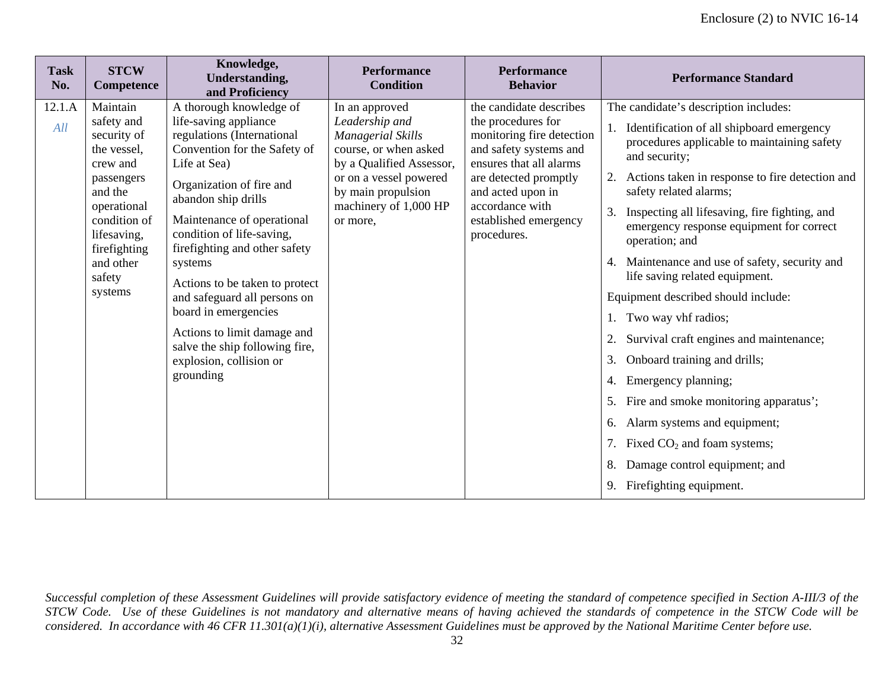| <b>Task</b><br>No. | <b>STCW</b><br>Competence                                                                                                                                                                 | Knowledge,<br><b>Understanding,</b><br>and Proficiency                                                                                                                                                                                                                                                                                                                                                                                                                                      | <b>Performance</b><br><b>Condition</b>                                                                                                                                                                 | <b>Performance</b><br><b>Behavior</b>                                                                                                                                                                                                    | <b>Performance Standard</b>                                                                                                                                                                                                                                                                                                                                                                                                                                                                                                                                                                                                                                                                                                                                                                                     |
|--------------------|-------------------------------------------------------------------------------------------------------------------------------------------------------------------------------------------|---------------------------------------------------------------------------------------------------------------------------------------------------------------------------------------------------------------------------------------------------------------------------------------------------------------------------------------------------------------------------------------------------------------------------------------------------------------------------------------------|--------------------------------------------------------------------------------------------------------------------------------------------------------------------------------------------------------|------------------------------------------------------------------------------------------------------------------------------------------------------------------------------------------------------------------------------------------|-----------------------------------------------------------------------------------------------------------------------------------------------------------------------------------------------------------------------------------------------------------------------------------------------------------------------------------------------------------------------------------------------------------------------------------------------------------------------------------------------------------------------------------------------------------------------------------------------------------------------------------------------------------------------------------------------------------------------------------------------------------------------------------------------------------------|
| 12.1.A<br>All      | Maintain<br>safety and<br>security of<br>the vessel,<br>crew and<br>passengers<br>and the<br>operational<br>condition of<br>lifesaving,<br>firefighting<br>and other<br>safety<br>systems | A thorough knowledge of<br>life-saving appliance<br>regulations (International<br>Convention for the Safety of<br>Life at Sea)<br>Organization of fire and<br>abandon ship drills<br>Maintenance of operational<br>condition of life-saving,<br>firefighting and other safety<br>systems<br>Actions to be taken to protect<br>and safeguard all persons on<br>board in emergencies<br>Actions to limit damage and<br>salve the ship following fire,<br>explosion, collision or<br>grounding | In an approved<br>Leadership and<br><b>Managerial Skills</b><br>course, or when asked<br>by a Qualified Assessor,<br>or on a vessel powered<br>by main propulsion<br>machinery of 1,000 HP<br>or more, | the candidate describes<br>the procedures for<br>monitoring fire detection<br>and safety systems and<br>ensures that all alarms<br>are detected promptly<br>and acted upon in<br>accordance with<br>established emergency<br>procedures. | The candidate's description includes:<br>1. Identification of all shipboard emergency<br>procedures applicable to maintaining safety<br>and security;<br>2. Actions taken in response to fire detection and<br>safety related alarms;<br>3. Inspecting all lifesaving, fire fighting, and<br>emergency response equipment for correct<br>operation; and<br>4. Maintenance and use of safety, security and<br>life saving related equipment.<br>Equipment described should include:<br>1. Two way vhf radios;<br>2. Survival craft engines and maintenance;<br>Onboard training and drills;<br>3.<br>4. Emergency planning;<br>5. Fire and smoke monitoring apparatus';<br>6. Alarm systems and equipment;<br>7. Fixed $CO2$ and foam systems;<br>8. Damage control equipment; and<br>9. Firefighting equipment. |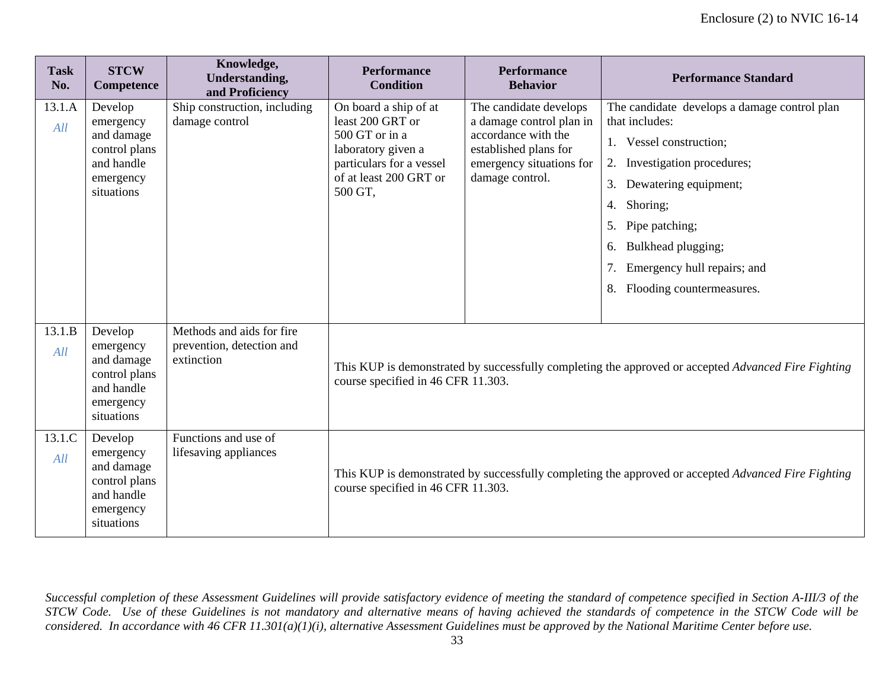| <b>Task</b><br>No. | <b>STCW</b><br>Competence                                                                    | Knowledge,<br><b>Understanding,</b><br>and Proficiency               | <b>Performance</b><br><b>Condition</b>                                                                                                             | <b>Performance</b><br><b>Behavior</b>                                                                                                             | <b>Performance Standard</b>                                                                                                                                                                                                                                                             |  |  |
|--------------------|----------------------------------------------------------------------------------------------|----------------------------------------------------------------------|----------------------------------------------------------------------------------------------------------------------------------------------------|---------------------------------------------------------------------------------------------------------------------------------------------------|-----------------------------------------------------------------------------------------------------------------------------------------------------------------------------------------------------------------------------------------------------------------------------------------|--|--|
| 13.1.A<br>All      | Develop<br>emergency<br>and damage<br>control plans<br>and handle<br>emergency<br>situations | Ship construction, including<br>damage control                       | On board a ship of at<br>least 200 GRT or<br>500 GT or in a<br>laboratory given a<br>particulars for a vessel<br>of at least 200 GRT or<br>500 GT, | The candidate develops<br>a damage control plan in<br>accordance with the<br>established plans for<br>emergency situations for<br>damage control. | The candidate develops a damage control plan<br>that includes:<br>1. Vessel construction;<br>2. Investigation procedures;<br>Dewatering equipment;<br>3.<br>4. Shoring;<br>5. Pipe patching;<br>6. Bulkhead plugging;<br>7. Emergency hull repairs; and<br>8. Flooding countermeasures. |  |  |
| 13.1.B<br>All      | Develop<br>emergency<br>and damage<br>control plans<br>and handle<br>emergency<br>situations | Methods and aids for fire<br>prevention, detection and<br>extinction | This KUP is demonstrated by successfully completing the approved or accepted Advanced Fire Fighting<br>course specified in 46 CFR 11.303.          |                                                                                                                                                   |                                                                                                                                                                                                                                                                                         |  |  |
| 13.1.C<br>All      | Develop<br>emergency<br>and damage<br>control plans<br>and handle<br>emergency<br>situations | Functions and use of<br>lifesaving appliances                        | course specified in 46 CFR 11.303.                                                                                                                 |                                                                                                                                                   | This KUP is demonstrated by successfully completing the approved or accepted Advanced Fire Fighting                                                                                                                                                                                     |  |  |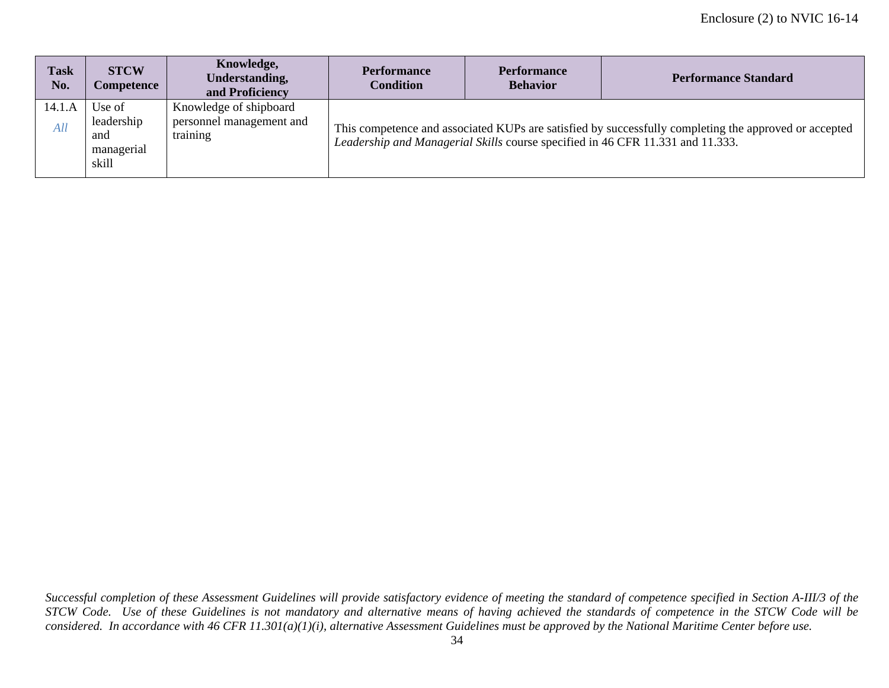| <b>Task</b><br>No. | <b>STCW</b><br>Competence                          | Knowledge,<br>Understanding,<br>and Proficiency                | <b>Performance</b><br>Condition | <b>Performance</b><br><b>Behavior</b> | <b>Performance Standard</b>                                                                                                                                                             |
|--------------------|----------------------------------------------------|----------------------------------------------------------------|---------------------------------|---------------------------------------|-----------------------------------------------------------------------------------------------------------------------------------------------------------------------------------------|
| 14.1.A<br>All      | Use of<br>leadership<br>and<br>managerial<br>skill | Knowledge of shipboard<br>personnel management and<br>training |                                 |                                       | This competence and associated KUPs are satisfied by successfully completing the approved or accepted<br>Leadership and Managerial Skills course specified in 46 CFR 11.331 and 11.333. |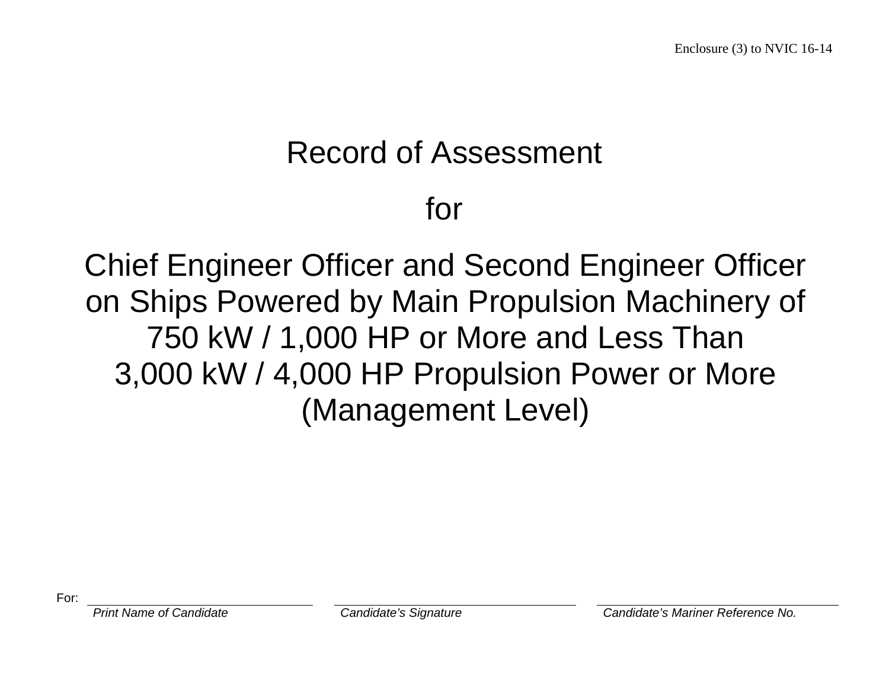# Record of Assessment

# for

Chief Engineer Officer and Second Engineer Officer on Ships Powered by Main Propulsion Machinery of 750 kW / 1,000 HP or More and Less Than 3,000 kW / 4,000 HP Propulsion Power or More (Management Level)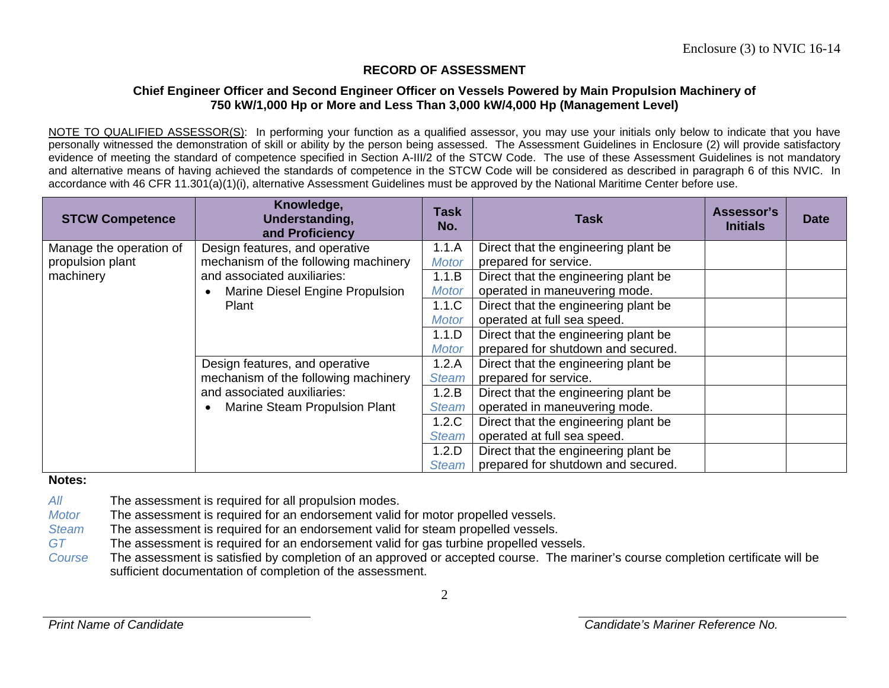#### **Chief Engineer Officer and Second Engineer Officer on Vessels Powered by Main Propulsion Machinery of 750 kW/1,000 Hp or More and Less Than 3,000 kW/4,000 Hp (Management Level)**

NOTE TO QUALIFIED ASSESSOR(S): In performing your function as a qualified assessor, you may use your initials only below to indicate that you have personally witnessed the demonstration of skill or ability by the person being assessed. The Assessment Guidelines in Enclosure (2) will provide satisfactory evidence of meeting the standard of competence specified in Section A-III/2 of the STCW Code. The use of these Assessment Guidelines is not mandatory and alternative means of having achieved the standards of competence in the STCW Code will be considered as described in paragraph 6 of this NVIC. In accordance with 46 CFR 11.301(a)(1)(i), alternative Assessment Guidelines must be approved by the National Maritime Center before use.

| <b>STCW Competence</b>  | Knowledge,<br>Understanding,<br>and Proficiency | <b>Task</b><br>No. | <b>Task</b>                          | Assessor's<br><b>Initials</b> | Date |
|-------------------------|-------------------------------------------------|--------------------|--------------------------------------|-------------------------------|------|
| Manage the operation of | Design features, and operative                  | 1.1.A              | Direct that the engineering plant be |                               |      |
| propulsion plant        | mechanism of the following machinery            | <b>Motor</b>       | prepared for service.                |                               |      |
| machinery               | and associated auxiliaries:                     | 1.1.B              | Direct that the engineering plant be |                               |      |
|                         | Marine Diesel Engine Propulsion                 | <b>Motor</b>       | operated in maneuvering mode.        |                               |      |
|                         | Plant                                           | 1.1.C              | Direct that the engineering plant be |                               |      |
|                         |                                                 | <b>Motor</b>       | operated at full sea speed.          |                               |      |
|                         |                                                 | 1.1.D              | Direct that the engineering plant be |                               |      |
|                         |                                                 | <b>Motor</b>       | prepared for shutdown and secured.   |                               |      |
|                         | Design features, and operative                  | 1.2.A              | Direct that the engineering plant be |                               |      |
|                         | mechanism of the following machinery            | <b>Steam</b>       | prepared for service.                |                               |      |
|                         | and associated auxiliaries:                     | 1.2.B              | Direct that the engineering plant be |                               |      |
|                         | Marine Steam Propulsion Plant                   | <b>Steam</b>       | operated in maneuvering mode.        |                               |      |
|                         |                                                 | 1.2.C              | Direct that the engineering plant be |                               |      |
|                         |                                                 | <b>Steam</b>       | operated at full sea speed.          |                               |      |
|                         |                                                 | 1.2.D              | Direct that the engineering plant be |                               |      |
|                         |                                                 | Steam I            | prepared for shutdown and secured.   |                               |      |

#### **Notes:**

*All* The assessment is required for all propulsion modes.

*Motor* The assessment is required for an endorsement valid for motor propelled vessels.

*Steam* The assessment is required for an endorsement valid for steam propelled vessels.

*GT* The assessment is required for an endorsement valid for gas turbine propelled vessels.

*Course* The assessment is satisfied by completion of an approved or accepted course. The mariner's course completion certificate will be sufficient documentation of completion of the assessment.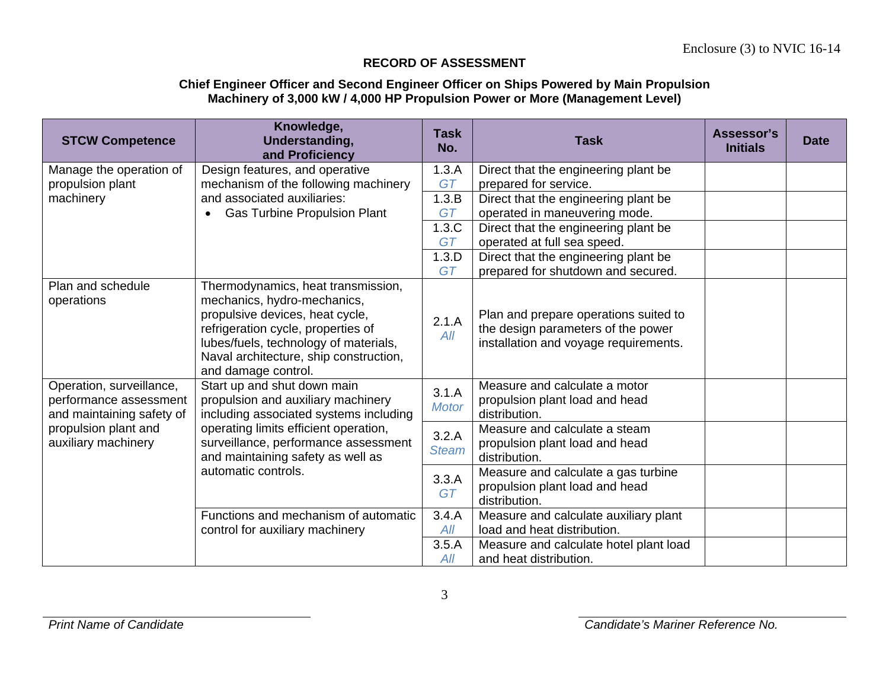| <b>STCW Competence</b>                                                          | Knowledge,<br>Understanding,<br>and Proficiency                                                                                                                                                                                                      | Task<br>No.           | <b>Task</b>                                                                                                          | Assessor's<br><b>Initials</b> | <b>Date</b> |
|---------------------------------------------------------------------------------|------------------------------------------------------------------------------------------------------------------------------------------------------------------------------------------------------------------------------------------------------|-----------------------|----------------------------------------------------------------------------------------------------------------------|-------------------------------|-------------|
| Manage the operation of                                                         | Design features, and operative                                                                                                                                                                                                                       | 1.3.A                 | Direct that the engineering plant be                                                                                 |                               |             |
| propulsion plant                                                                | mechanism of the following machinery                                                                                                                                                                                                                 | <b>GT</b>             | prepared for service.                                                                                                |                               |             |
| machinery                                                                       | and associated auxiliaries:                                                                                                                                                                                                                          | 1.3.B                 | Direct that the engineering plant be                                                                                 |                               |             |
|                                                                                 | <b>Gas Turbine Propulsion Plant</b><br>$\bullet$                                                                                                                                                                                                     | GT                    | operated in maneuvering mode.                                                                                        |                               |             |
|                                                                                 |                                                                                                                                                                                                                                                      | 1.3.C                 | Direct that the engineering plant be                                                                                 |                               |             |
|                                                                                 |                                                                                                                                                                                                                                                      | GT                    | operated at full sea speed.                                                                                          |                               |             |
|                                                                                 |                                                                                                                                                                                                                                                      | 1.3.D                 | Direct that the engineering plant be                                                                                 |                               |             |
|                                                                                 |                                                                                                                                                                                                                                                      | GT                    | prepared for shutdown and secured.                                                                                   |                               |             |
| Plan and schedule<br>operations                                                 | Thermodynamics, heat transmission,<br>mechanics, hydro-mechanics,<br>propulsive devices, heat cycle,<br>refrigeration cycle, properties of<br>lubes/fuels, technology of materials,<br>Naval architecture, ship construction,<br>and damage control. | 2.1.A<br>All          | Plan and prepare operations suited to<br>the design parameters of the power<br>installation and voyage requirements. |                               |             |
| Operation, surveillance,<br>performance assessment<br>and maintaining safety of | Start up and shut down main<br>propulsion and auxiliary machinery<br>including associated systems including                                                                                                                                          | 3.1.A<br><b>Motor</b> | Measure and calculate a motor<br>propulsion plant load and head<br>distribution.                                     |                               |             |
| propulsion plant and<br>auxiliary machinery                                     | operating limits efficient operation,<br>surveillance, performance assessment<br>and maintaining safety as well as                                                                                                                                   | 3.2.A<br><b>Steam</b> | Measure and calculate a steam<br>propulsion plant load and head<br>distribution.                                     |                               |             |
|                                                                                 | automatic controls.                                                                                                                                                                                                                                  | 3.3.A<br>GT           | Measure and calculate a gas turbine<br>propulsion plant load and head<br>distribution.                               |                               |             |
|                                                                                 | Functions and mechanism of automatic<br>control for auxiliary machinery                                                                                                                                                                              | 3.4.A<br>All          | Measure and calculate auxiliary plant<br>load and heat distribution.                                                 |                               |             |
|                                                                                 |                                                                                                                                                                                                                                                      | 3.5.A<br>All          | Measure and calculate hotel plant load<br>and heat distribution.                                                     |                               |             |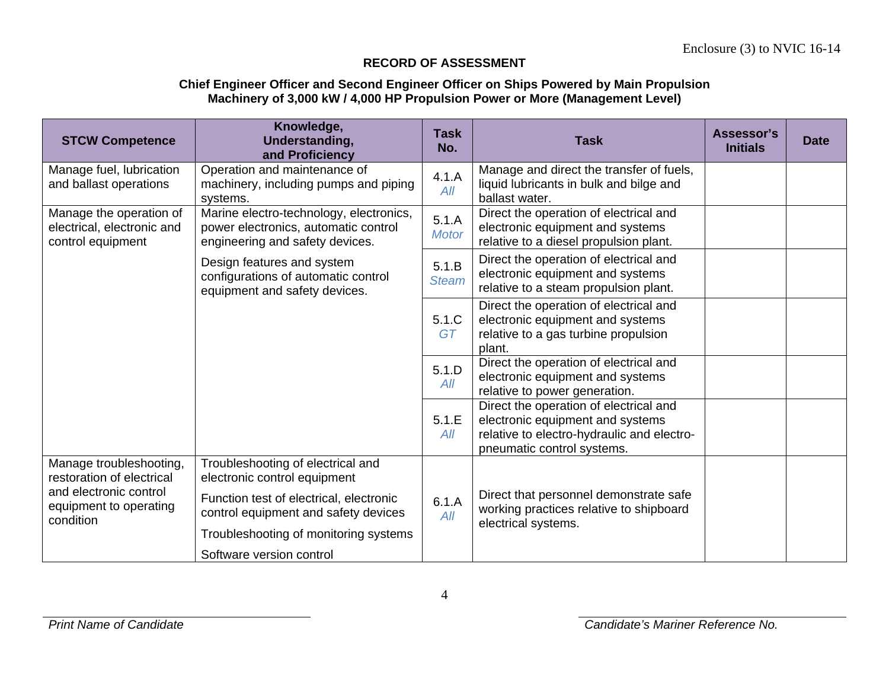| Knowledge,<br>Understanding,<br>and Proficiency                                                                    | <b>Task</b><br>No.       | <b>Task</b>                                                                                                                                            | Assessor's<br><b>Initials</b>                                 | <b>Date</b> |
|--------------------------------------------------------------------------------------------------------------------|--------------------------|--------------------------------------------------------------------------------------------------------------------------------------------------------|---------------------------------------------------------------|-------------|
| Operation and maintenance of<br>machinery, including pumps and piping<br>systems.                                  | 4.1.A<br>All             | Manage and direct the transfer of fuels,<br>liquid lubricants in bulk and bilge and<br>ballast water.                                                  |                                                               |             |
| Marine electro-technology, electronics,<br>power electronics, automatic control<br>engineering and safety devices. | 5.1.A<br><b>Motor</b>    | Direct the operation of electrical and<br>electronic equipment and systems<br>relative to a diesel propulsion plant.                                   |                                                               |             |
| Design features and system<br>configurations of automatic control<br>equipment and safety devices.                 | 5.1.B<br><b>Steam</b>    | Direct the operation of electrical and<br>electronic equipment and systems<br>relative to a steam propulsion plant.                                    |                                                               |             |
|                                                                                                                    | 5.1.C<br>GT              | Direct the operation of electrical and<br>electronic equipment and systems<br>relative to a gas turbine propulsion<br>plant.                           |                                                               |             |
|                                                                                                                    | 5.1.D<br>All             | electronic equipment and systems<br>relative to power generation.                                                                                      |                                                               |             |
|                                                                                                                    | 5.1.E<br>All             | Direct the operation of electrical and<br>electronic equipment and systems<br>relative to electro-hydraulic and electro-<br>pneumatic control systems. |                                                               |             |
| Troubleshooting of electrical and<br>electronic control equipment                                                  |                          |                                                                                                                                                        |                                                               |             |
| Function test of electrical, electronic<br>control equipment and safety devices                                    | 6.1.A<br>All             | Direct that personnel demonstrate safe<br>working practices relative to shipboard                                                                      |                                                               |             |
| Troubleshooting of monitoring systems                                                                              |                          |                                                                                                                                                        |                                                               |             |
|                                                                                                                    | Software version control |                                                                                                                                                        | Direct the operation of electrical and<br>electrical systems. |             |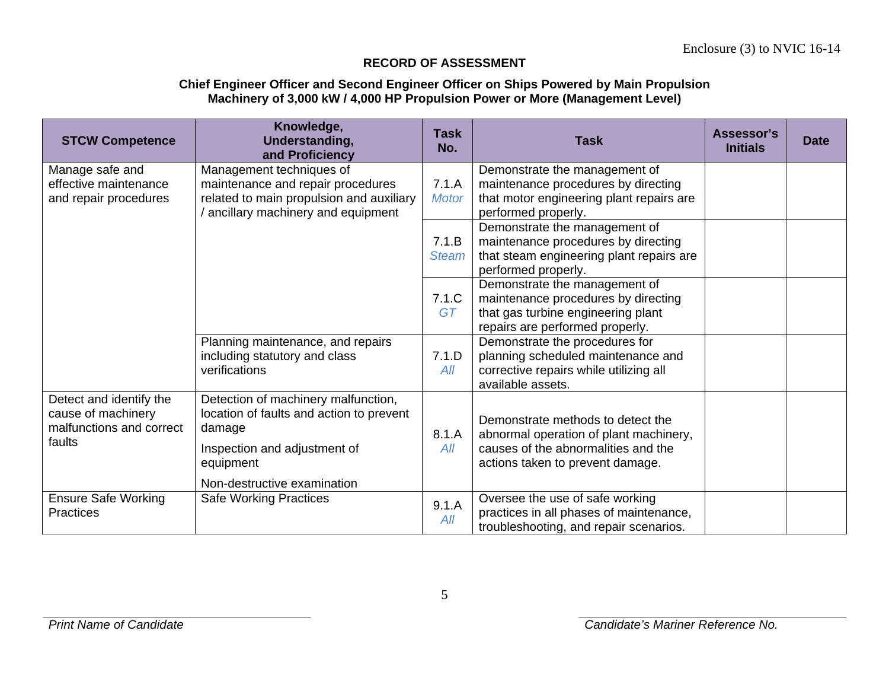| <b>STCW Competence</b>                                                              | Knowledge,<br>Understanding,<br>and Proficiency                                                                                                | Task<br>No.           | <b>Task</b>                                                                                                                                            | Assessor's<br><b>Initials</b> | <b>Date</b> |
|-------------------------------------------------------------------------------------|------------------------------------------------------------------------------------------------------------------------------------------------|-----------------------|--------------------------------------------------------------------------------------------------------------------------------------------------------|-------------------------------|-------------|
| Manage safe and<br>effective maintenance<br>and repair procedures                   | Management techniques of<br>maintenance and repair procedures<br>related to main propulsion and auxiliary<br>ancillary machinery and equipment | 7.1.A<br><b>Motor</b> | Demonstrate the management of<br>maintenance procedures by directing<br>that motor engineering plant repairs are<br>performed properly.                |                               |             |
|                                                                                     |                                                                                                                                                | 7.1.B<br><b>Steam</b> | Demonstrate the management of<br>maintenance procedures by directing<br>that steam engineering plant repairs are<br>performed properly.                |                               |             |
|                                                                                     |                                                                                                                                                | 7.1.C<br>GT           | Demonstrate the management of<br>maintenance procedures by directing<br>that gas turbine engineering plant<br>repairs are performed properly.          |                               |             |
|                                                                                     | Planning maintenance, and repairs<br>including statutory and class<br>verifications                                                            | 7.1.D<br>All          | Demonstrate the procedures for<br>planning scheduled maintenance and<br>corrective repairs while utilizing all<br>available assets.                    |                               |             |
| Detect and identify the<br>cause of machinery<br>malfunctions and correct<br>faults | Detection of machinery malfunction,<br>location of faults and action to prevent<br>damage<br>Inspection and adjustment of<br>equipment         | 8.1.A<br>All          | Demonstrate methods to detect the<br>abnormal operation of plant machinery,<br>causes of the abnormalities and the<br>actions taken to prevent damage. |                               |             |
| <b>Ensure Safe Working</b><br>Practices                                             | Non-destructive examination<br><b>Safe Working Practices</b>                                                                                   | 9.1.A<br>All          | Oversee the use of safe working<br>practices in all phases of maintenance,<br>troubleshooting, and repair scenarios.                                   |                               |             |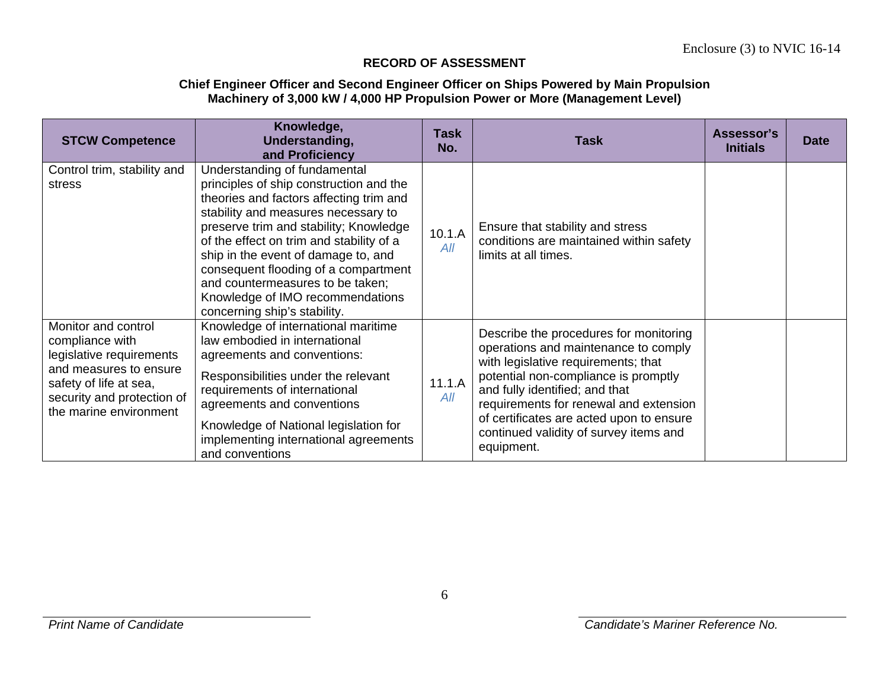| <b>STCW Competence</b>                                                                                                                                                         | Knowledge,<br>Understanding,<br>and Proficiency                                                                                                                                                                                                                                                                                                                                                                                        | <b>Task</b><br>No. | <b>Task</b>                                                                                                                                                                                                                                                                                                                                   | Assessor's<br><b>Initials</b> | <b>Date</b> |
|--------------------------------------------------------------------------------------------------------------------------------------------------------------------------------|----------------------------------------------------------------------------------------------------------------------------------------------------------------------------------------------------------------------------------------------------------------------------------------------------------------------------------------------------------------------------------------------------------------------------------------|--------------------|-----------------------------------------------------------------------------------------------------------------------------------------------------------------------------------------------------------------------------------------------------------------------------------------------------------------------------------------------|-------------------------------|-------------|
| Control trim, stability and<br>stress                                                                                                                                          | Understanding of fundamental<br>principles of ship construction and the<br>theories and factors affecting trim and<br>stability and measures necessary to<br>preserve trim and stability; Knowledge<br>of the effect on trim and stability of a<br>ship in the event of damage to, and<br>consequent flooding of a compartment<br>and countermeasures to be taken;<br>Knowledge of IMO recommendations<br>concerning ship's stability. | 10.1.A<br>All      | Ensure that stability and stress<br>conditions are maintained within safety<br>limits at all times.                                                                                                                                                                                                                                           |                               |             |
| Monitor and control<br>compliance with<br>legislative requirements<br>and measures to ensure<br>safety of life at sea,<br>security and protection of<br>the marine environment | Knowledge of international maritime<br>law embodied in international<br>agreements and conventions:<br>Responsibilities under the relevant<br>requirements of international<br>agreements and conventions<br>Knowledge of National legislation for<br>implementing international agreements<br>and conventions                                                                                                                         | 11.1.A<br>All      | Describe the procedures for monitoring<br>operations and maintenance to comply<br>with legislative requirements; that<br>potential non-compliance is promptly<br>and fully identified; and that<br>requirements for renewal and extension<br>of certificates are acted upon to ensure<br>continued validity of survey items and<br>equipment. |                               |             |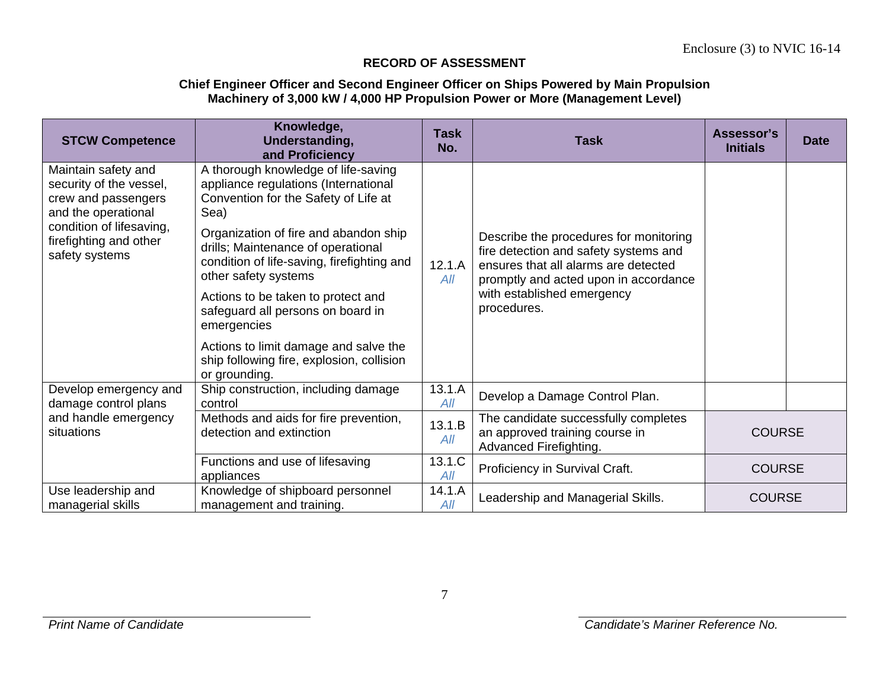| <b>STCW Competence</b>                                                                                                                                                                                                    | Knowledge,<br>Understanding,<br>and Proficiency                                                                             | <b>Task</b><br>No. | <b>Task</b>                                                                                                                                                      | Assessor's<br><b>Initials</b> | <b>Date</b> |
|---------------------------------------------------------------------------------------------------------------------------------------------------------------------------------------------------------------------------|-----------------------------------------------------------------------------------------------------------------------------|--------------------|------------------------------------------------------------------------------------------------------------------------------------------------------------------|-------------------------------|-------------|
| Maintain safety and<br>security of the vessel,<br>crew and passengers<br>and the operational                                                                                                                              | A thorough knowledge of life-saving<br>appliance regulations (International<br>Convention for the Safety of Life at<br>Sea) |                    |                                                                                                                                                                  |                               |             |
| condition of lifesaving,<br>Organization of fire and abandon ship<br>firefighting and other<br>drills; Maintenance of operational<br>safety systems<br>condition of life-saving, firefighting and<br>other safety systems |                                                                                                                             | 12.1.A<br>All      | Describe the procedures for monitoring<br>fire detection and safety systems and<br>ensures that all alarms are detected<br>promptly and acted upon in accordance |                               |             |
|                                                                                                                                                                                                                           | Actions to be taken to protect and<br>safeguard all persons on board in<br>emergencies                                      |                    | with established emergency<br>procedures.                                                                                                                        |                               |             |
|                                                                                                                                                                                                                           | Actions to limit damage and salve the<br>ship following fire, explosion, collision<br>or grounding.                         |                    |                                                                                                                                                                  |                               |             |
| Develop emergency and<br>damage control plans                                                                                                                                                                             | Ship construction, including damage<br>control                                                                              | 13.1.A<br>All      | Develop a Damage Control Plan.                                                                                                                                   |                               |             |
| and handle emergency<br>situations                                                                                                                                                                                        | Methods and aids for fire prevention,<br>detection and extinction                                                           | 13.1.B<br>All      | The candidate successfully completes<br>an approved training course in<br>Advanced Firefighting.                                                                 | <b>COURSE</b>                 |             |
|                                                                                                                                                                                                                           | Functions and use of lifesaving<br>appliances                                                                               | 13.1.C<br>All      | Proficiency in Survival Craft.                                                                                                                                   | <b>COURSE</b>                 |             |
| Use leadership and<br>managerial skills                                                                                                                                                                                   | Knowledge of shipboard personnel<br>management and training.                                                                | 14.1.A<br>All      | Leadership and Managerial Skills.<br><b>COURSE</b>                                                                                                               |                               |             |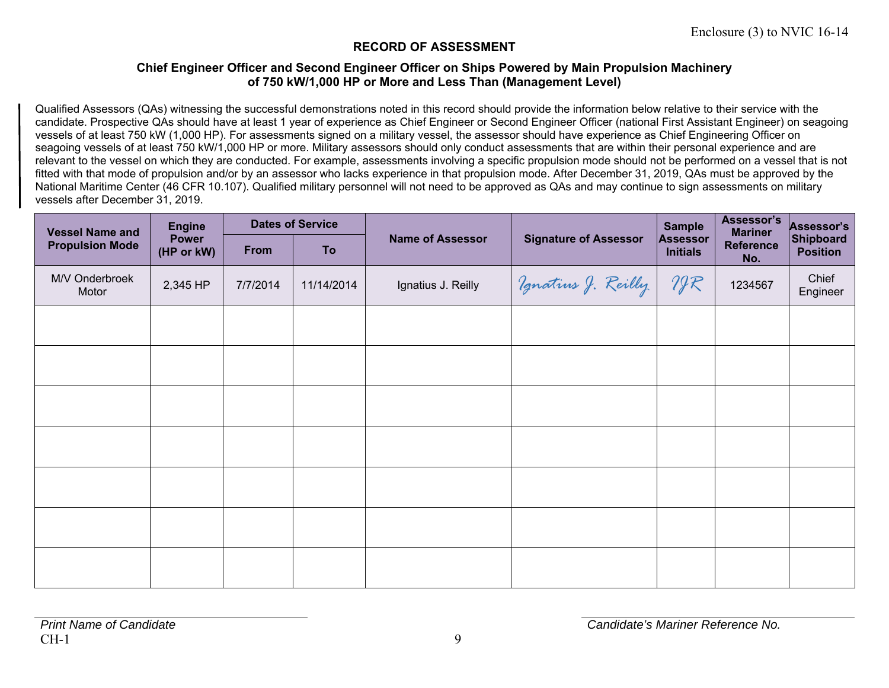#### **Chief Engineer Officer and Second Engineer Officer on Ships Powered by Main Propulsion Machinery of 750 kW/1,000 HP or More and Less Than (Management Level)**

Qualified Assessors (QAs) witnessing the successful demonstrations noted in this record should provide the information below relative to their service with the candidate. Prospective QAs should have at least 1 year of experience as Chief Engineer or Second Engineer Officer (national First Assistant Engineer) on seagoing vessels of at least 750 kW (1,000 HP). For assessments signed on a military vessel, the assessor should have experience as Chief Engineering Officer on seagoing vessels of at least 750 kW/1,000 HP or more. Military assessors should only conduct assessments that are within their personal experience and are relevant to the vessel on which they are conducted. For example, assessments involving a specific propulsion mode should not be performed on a vessel that is not fitted with that mode of propulsion and/or by an assessor who lacks experience in that propulsion mode. After December 31, 2019, QAs must be approved by the National Maritime Center (46 CFR 10.107). Qualified military personnel will not need to be approved as QAs and may continue to sign assessments on military vessels after December 31, 2019.

| <b>Vessel Name and</b>  | <b>Engine</b>              | <b>Dates of Service</b> |            |                         |                              | <b>Sample</b>                      | Assessor's<br><b>Mariner</b> | Assessor's                          |
|-------------------------|----------------------------|-------------------------|------------|-------------------------|------------------------------|------------------------------------|------------------------------|-------------------------------------|
| <b>Propulsion Mode</b>  | <b>Power</b><br>(HP or kW) | From                    | <b>To</b>  | <b>Name of Assessor</b> | <b>Signature of Assessor</b> | <b>Assessor</b><br><b>Initials</b> | <b>Reference</b><br>No.      | <b>Shipboard</b><br><b>Position</b> |
| M/V Onderbroek<br>Motor | 2,345 HP                   | 7/7/2014                | 11/14/2014 | Ignatius J. Reilly      | Vgnatius J. Reilly           | 297                                | 1234567                      | Chief<br>Engineer                   |
|                         |                            |                         |            |                         |                              |                                    |                              |                                     |
|                         |                            |                         |            |                         |                              |                                    |                              |                                     |
|                         |                            |                         |            |                         |                              |                                    |                              |                                     |
|                         |                            |                         |            |                         |                              |                                    |                              |                                     |
|                         |                            |                         |            |                         |                              |                                    |                              |                                     |
|                         |                            |                         |            |                         |                              |                                    |                              |                                     |
|                         |                            |                         |            |                         |                              |                                    |                              |                                     |

*Print Name of Candidate Candidate's Mariner Reference No.*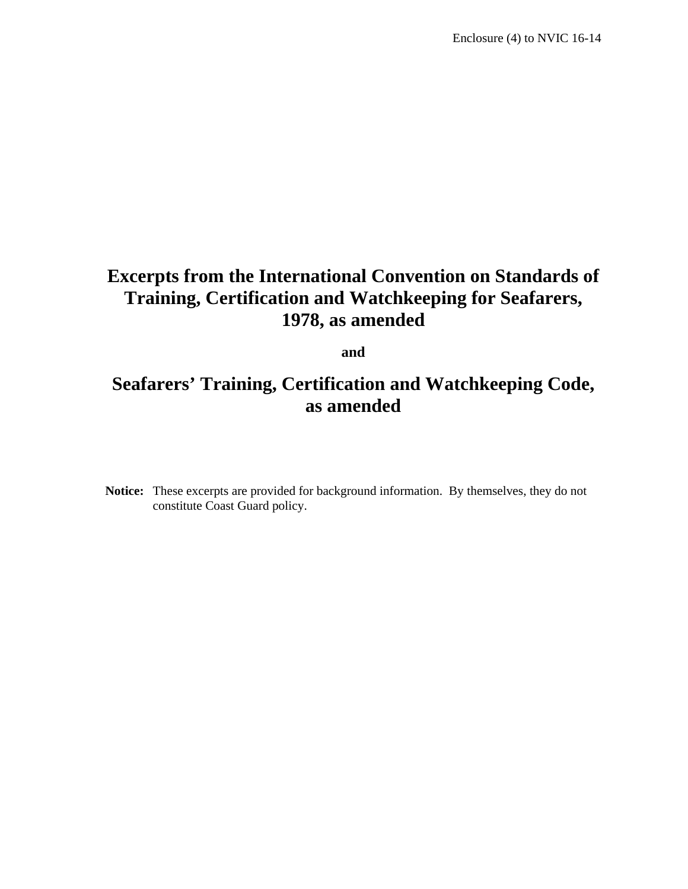# **Excerpts from the International Convention on Standards of Training, Certification and Watchkeeping for Seafarers, 1978, as amended**

**and** 

# **Seafarers' Training, Certification and Watchkeeping Code, as amended**

**Notice:** These excerpts are provided for background information. By themselves, they do not constitute Coast Guard policy.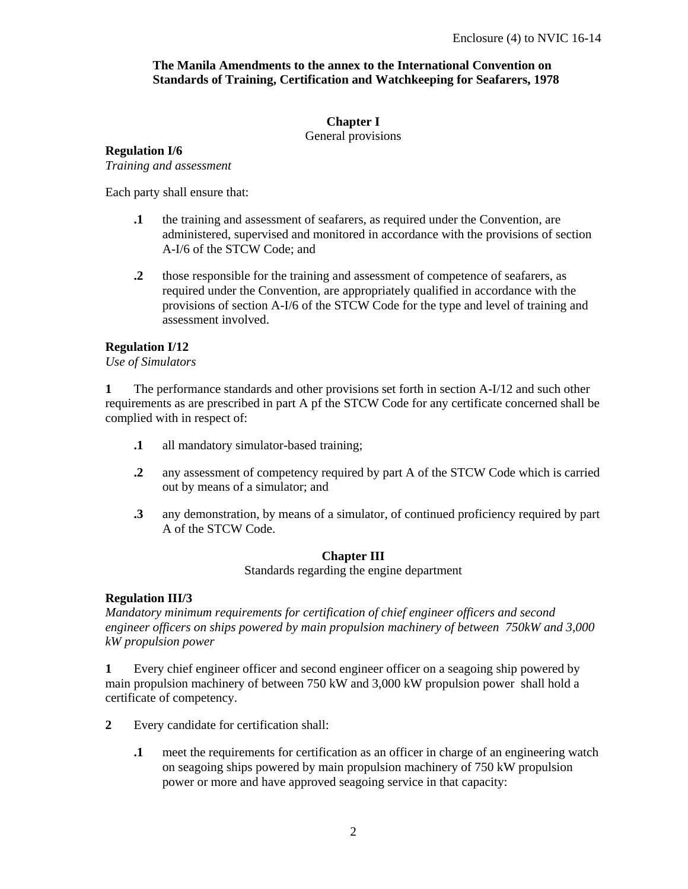#### **The Manila Amendments to the annex to the International Convention on Standards of Training, Certification and Watchkeeping for Seafarers, 1978**

#### **Chapter I**

#### General provisions

#### **Regulation I/6**

*Training and assessment* 

Each party shall ensure that:

- **.1** the training and assessment of seafarers, as required under the Convention, are administered, supervised and monitored in accordance with the provisions of section A-I/6 of the STCW Code; and
- **.2** those responsible for the training and assessment of competence of seafarers, as required under the Convention, are appropriately qualified in accordance with the provisions of section A-I/6 of the STCW Code for the type and level of training and assessment involved.

#### **Regulation I/12**

#### *Use of Simulators*

**1** The performance standards and other provisions set forth in section A-I/12 and such other requirements as are prescribed in part A pf the STCW Code for any certificate concerned shall be complied with in respect of:

- **.1** all mandatory simulator-based training;
- **.2** any assessment of competency required by part A of the STCW Code which is carried out by means of a simulator; and
- **.3** any demonstration, by means of a simulator, of continued proficiency required by part A of the STCW Code.

#### **Chapter III**

Standards regarding the engine department

#### **Regulation III/3**

*Mandatory minimum requirements for certification of chief engineer officers and second engineer officers on ships powered by main propulsion machinery of between 750kW and 3,000 kW propulsion power* 

**1** Every chief engineer officer and second engineer officer on a seagoing ship powered by main propulsion machinery of between 750 kW and 3,000 kW propulsion power shall hold a certificate of competency.

- **2** Every candidate for certification shall:
	- **.1** meet the requirements for certification as an officer in charge of an engineering watch on seagoing ships powered by main propulsion machinery of 750 kW propulsion power or more and have approved seagoing service in that capacity: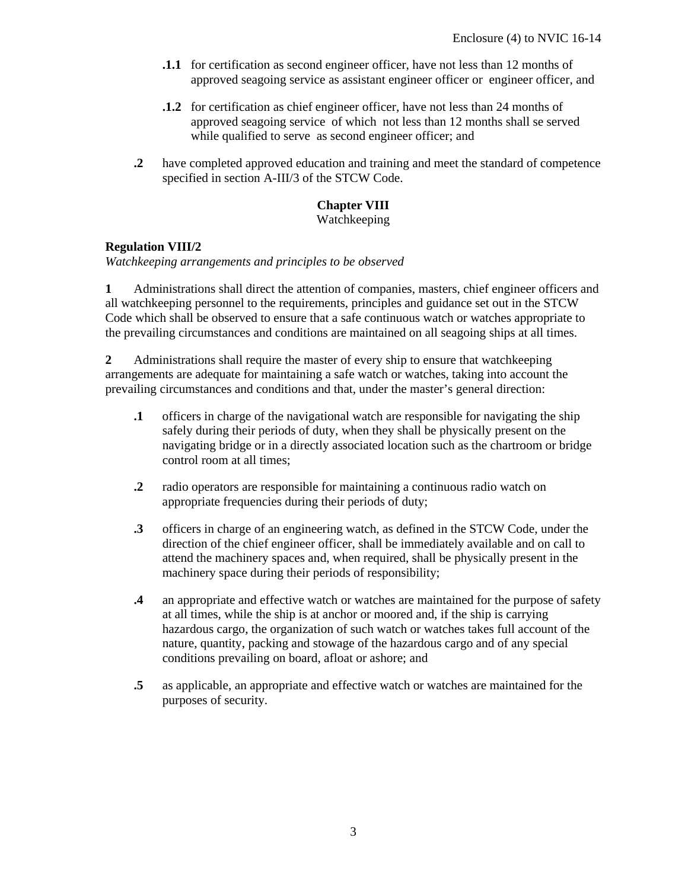- **.1.1** for certification as second engineer officer, have not less than 12 months of approved seagoing service as assistant engineer officer or engineer officer, and
- **.1.2** for certification as chief engineer officer, have not less than 24 months of approved seagoing service of which not less than 12 months shall se served while qualified to serve as second engineer officer; and
- **.2** have completed approved education and training and meet the standard of competence specified in section A-III/3 of the STCW Code.

#### **Chapter VIII**  Watchkeeping

#### **Regulation VIII/2**

*Watchkeeping arrangements and principles to be observed*

**1** Administrations shall direct the attention of companies, masters, chief engineer officers and all watchkeeping personnel to the requirements, principles and guidance set out in the STCW Code which shall be observed to ensure that a safe continuous watch or watches appropriate to the prevailing circumstances and conditions are maintained on all seagoing ships at all times.

**2** Administrations shall require the master of every ship to ensure that watchkeeping arrangements are adequate for maintaining a safe watch or watches, taking into account the prevailing circumstances and conditions and that, under the master's general direction:

- **.1** officers in charge of the navigational watch are responsible for navigating the ship safely during their periods of duty, when they shall be physically present on the navigating bridge or in a directly associated location such as the chartroom or bridge control room at all times;
- **.2** radio operators are responsible for maintaining a continuous radio watch on appropriate frequencies during their periods of duty;
- **.3** officers in charge of an engineering watch, as defined in the STCW Code, under the direction of the chief engineer officer, shall be immediately available and on call to attend the machinery spaces and, when required, shall be physically present in the machinery space during their periods of responsibility;
- **.4** an appropriate and effective watch or watches are maintained for the purpose of safety at all times, while the ship is at anchor or moored and, if the ship is carrying hazardous cargo, the organization of such watch or watches takes full account of the nature, quantity, packing and stowage of the hazardous cargo and of any special conditions prevailing on board, afloat or ashore; and
- **.5** as applicable, an appropriate and effective watch or watches are maintained for the purposes of security.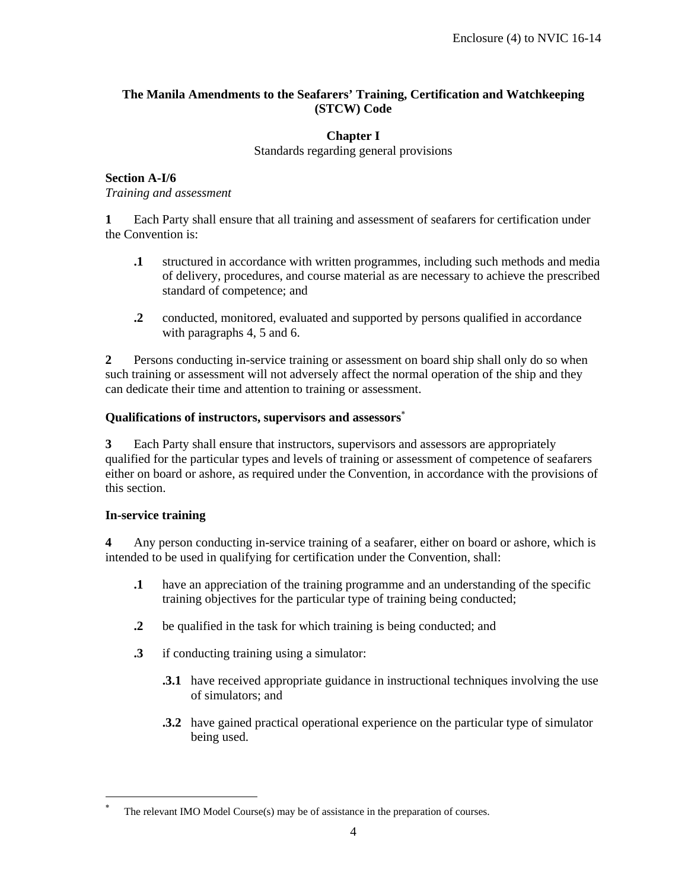#### **The Manila Amendments to the Seafarers' Training, Certification and Watchkeeping (STCW) Code**

#### **Chapter I**

Standards regarding general provisions

#### **Section A-I/6**

*Training and assessment* 

**1** Each Party shall ensure that all training and assessment of seafarers for certification under the Convention is:

- **.1** structured in accordance with written programmes, including such methods and media of delivery, procedures, and course material as are necessary to achieve the prescribed standard of competence; and
- **.2** conducted, monitored, evaluated and supported by persons qualified in accordance with paragraphs 4, 5 and 6.

**2** Persons conducting in-service training or assessment on board ship shall only do so when such training or assessment will not adversely affect the normal operation of the ship and they can dedicate their time and attention to training or assessment.

#### **Qualifications of instructors, supervisors and assessors**<sup>∗</sup>

**3** Each Party shall ensure that instructors, supervisors and assessors are appropriately qualified for the particular types and levels of training or assessment of competence of seafarers either on board or ashore, as required under the Convention, in accordance with the provisions of this section.

#### **In-service training**

-

**4** Any person conducting in-service training of a seafarer, either on board or ashore, which is intended to be used in qualifying for certification under the Convention, shall:

- **.1** have an appreciation of the training programme and an understanding of the specific training objectives for the particular type of training being conducted;
- **.2** be qualified in the task for which training is being conducted; and
- **.3** if conducting training using a simulator:
	- **3.1** have received appropriate guidance in instructional techniques involving the use of simulators; and
	- **.3.2** have gained practical operational experience on the particular type of simulator being used.

<sup>∗</sup> The relevant IMO Model Course(s) may be of assistance in the preparation of courses.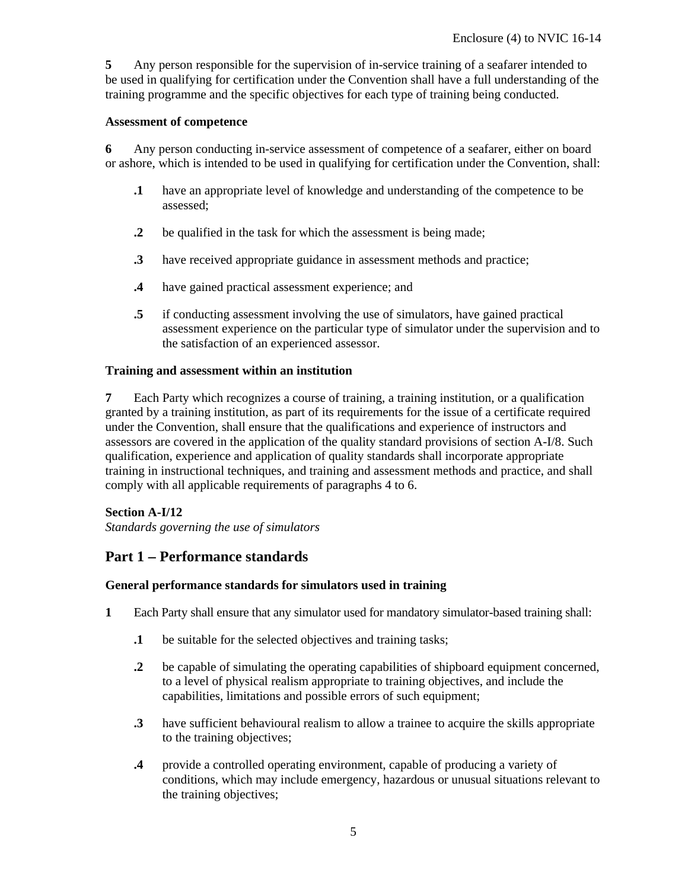**5** Any person responsible for the supervision of in-service training of a seafarer intended to be used in qualifying for certification under the Convention shall have a full understanding of the training programme and the specific objectives for each type of training being conducted.

#### **Assessment of competence**

**6** Any person conducting in-service assessment of competence of a seafarer, either on board or ashore, which is intended to be used in qualifying for certification under the Convention, shall:

- **.1** have an appropriate level of knowledge and understanding of the competence to be assessed;
- **.2** be qualified in the task for which the assessment is being made;
- **.3** have received appropriate guidance in assessment methods and practice;
- **.4** have gained practical assessment experience; and
- **.5** if conducting assessment involving the use of simulators, have gained practical assessment experience on the particular type of simulator under the supervision and to the satisfaction of an experienced assessor.

#### **Training and assessment within an institution**

**7** Each Party which recognizes a course of training, a training institution, or a qualification granted by a training institution, as part of its requirements for the issue of a certificate required under the Convention, shall ensure that the qualifications and experience of instructors and assessors are covered in the application of the quality standard provisions of section A-I/8. Such qualification, experience and application of quality standards shall incorporate appropriate training in instructional techniques, and training and assessment methods and practice, and shall comply with all applicable requirements of paragraphs 4 to 6.

#### **Section A-I/12**

*Standards governing the use of simulators* 

#### **Part 1** − **Performance standards**

#### **General performance standards for simulators used in training**

- **1** Each Party shall ensure that any simulator used for mandatory simulator-based training shall:
	- **.1** be suitable for the selected objectives and training tasks;
	- **.2** be capable of simulating the operating capabilities of shipboard equipment concerned, to a level of physical realism appropriate to training objectives, and include the capabilities, limitations and possible errors of such equipment;
	- **.3** have sufficient behavioural realism to allow a trainee to acquire the skills appropriate to the training objectives;
	- **.4** provide a controlled operating environment, capable of producing a variety of conditions, which may include emergency, hazardous or unusual situations relevant to the training objectives;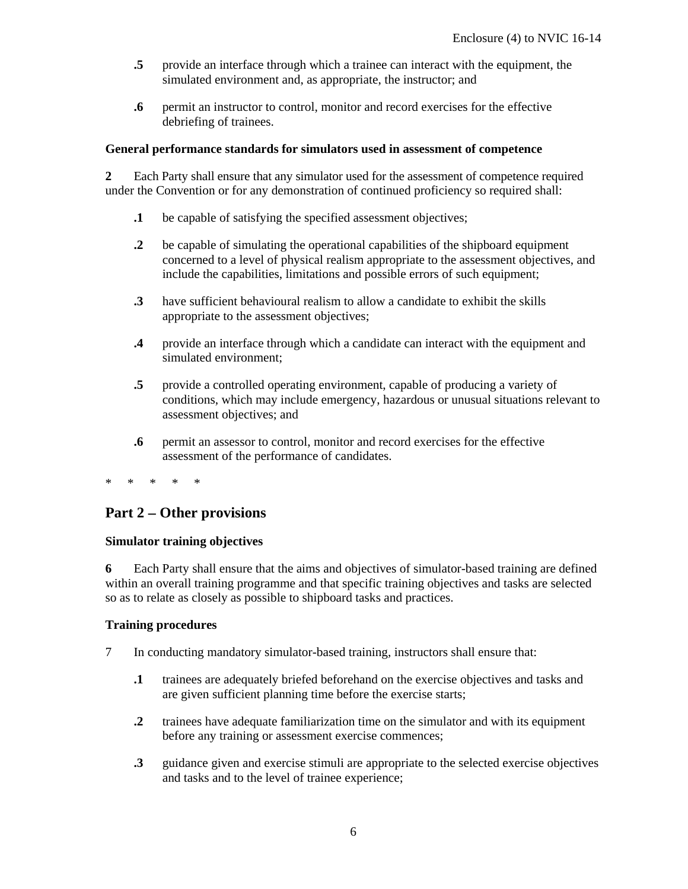- **.5** provide an interface through which a trainee can interact with the equipment, the simulated environment and, as appropriate, the instructor; and
- **.6** permit an instructor to control, monitor and record exercises for the effective debriefing of trainees.

#### **General performance standards for simulators used in assessment of competence**

**2** Each Party shall ensure that any simulator used for the assessment of competence required under the Convention or for any demonstration of continued proficiency so required shall:

- **.1** be capable of satisfying the specified assessment objectives;
- **.2** be capable of simulating the operational capabilities of the shipboard equipment concerned to a level of physical realism appropriate to the assessment objectives, and include the capabilities, limitations and possible errors of such equipment;
- **.3** have sufficient behavioural realism to allow a candidate to exhibit the skills appropriate to the assessment objectives;
- **.4** provide an interface through which a candidate can interact with the equipment and simulated environment;
- **.5** provide a controlled operating environment, capable of producing a variety of conditions, which may include emergency, hazardous or unusual situations relevant to assessment objectives; and
- **.6** permit an assessor to control, monitor and record exercises for the effective assessment of the performance of candidates.

\* \* \* \* \*

#### **Part 2** − **Other provisions**

#### **Simulator training objectives**

**6** Each Party shall ensure that the aims and objectives of simulator-based training are defined within an overall training programme and that specific training objectives and tasks are selected so as to relate as closely as possible to shipboard tasks and practices.

#### **Training procedures**

- 7 In conducting mandatory simulator-based training, instructors shall ensure that:
	- **.1** trainees are adequately briefed beforehand on the exercise objectives and tasks and are given sufficient planning time before the exercise starts;
	- **.2** trainees have adequate familiarization time on the simulator and with its equipment before any training or assessment exercise commences;
	- **.3** guidance given and exercise stimuli are appropriate to the selected exercise objectives and tasks and to the level of trainee experience;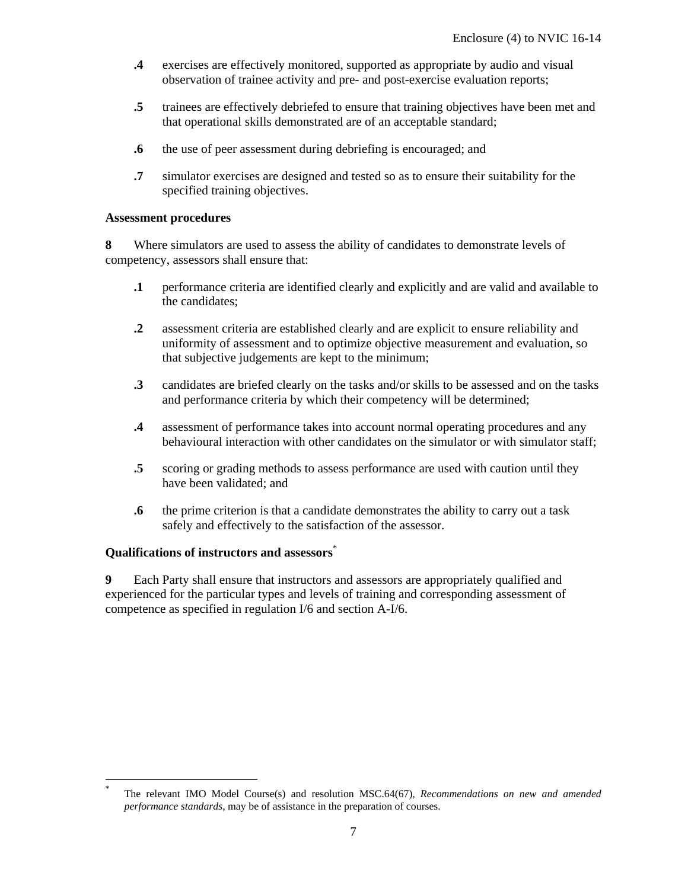- **.4** exercises are effectively monitored, supported as appropriate by audio and visual observation of trainee activity and pre- and post-exercise evaluation reports;
- **.5** trainees are effectively debriefed to ensure that training objectives have been met and that operational skills demonstrated are of an acceptable standard;
- **.6** the use of peer assessment during debriefing is encouraged; and
- **.7** simulator exercises are designed and tested so as to ensure their suitability for the specified training objectives.

#### **Assessment procedures**

**8** Where simulators are used to assess the ability of candidates to demonstrate levels of competency, assessors shall ensure that:

- **.1** performance criteria are identified clearly and explicitly and are valid and available to the candidates;
- **.2** assessment criteria are established clearly and are explicit to ensure reliability and uniformity of assessment and to optimize objective measurement and evaluation, so that subjective judgements are kept to the minimum;
- **.3** candidates are briefed clearly on the tasks and/or skills to be assessed and on the tasks and performance criteria by which their competency will be determined;
- **.4** assessment of performance takes into account normal operating procedures and any behavioural interaction with other candidates on the simulator or with simulator staff;
- **.5** scoring or grading methods to assess performance are used with caution until they have been validated; and
- **.6** the prime criterion is that a candidate demonstrates the ability to carry out a task safely and effectively to the satisfaction of the assessor.

#### **Qualifications of instructors and assessors**\*

-

**9** Each Party shall ensure that instructors and assessors are appropriately qualified and experienced for the particular types and levels of training and corresponding assessment of competence as specified in regulation I/6 and section A-I/6.

<sup>\*</sup> The relevant IMO Model Course(s) and resolution MSC.64(67), *Recommendations on new and amended performance standards*, may be of assistance in the preparation of courses.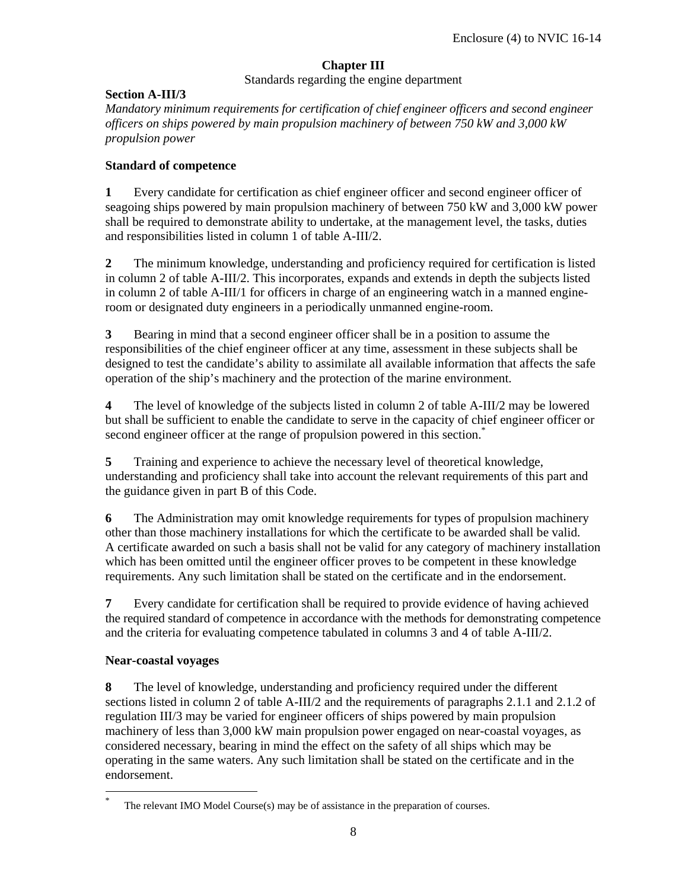#### **Chapter III**

Standards regarding the engine department

#### **Section A-III/3**

*Mandatory minimum requirements for certification of chief engineer officers and second engineer officers on ships powered by main propulsion machinery of between 750 kW and 3,000 kW propulsion power* 

#### **Standard of competence**

**1** Every candidate for certification as chief engineer officer and second engineer officer of seagoing ships powered by main propulsion machinery of between 750 kW and 3,000 kW power shall be required to demonstrate ability to undertake, at the management level, the tasks, duties and responsibilities listed in column 1 of table A-III/2.

**2** The minimum knowledge, understanding and proficiency required for certification is listed in column 2 of table A-III/2. This incorporates, expands and extends in depth the subjects listed in column 2 of table A-III/1 for officers in charge of an engineering watch in a manned engineroom or designated duty engineers in a periodically unmanned engine-room.

**3** Bearing in mind that a second engineer officer shall be in a position to assume the responsibilities of the chief engineer officer at any time, assessment in these subjects shall be designed to test the candidate's ability to assimilate all available information that affects the safe operation of the ship's machinery and the protection of the marine environment.

**4** The level of knowledge of the subjects listed in column 2 of table A-III/2 may be lowered but shall be sufficient to enable the candidate to serve in the capacity of chief engineer officer or second engineer officer at the range of propulsion powered in this section.<sup>\*</sup>

**5** Training and experience to achieve the necessary level of theoretical knowledge, understanding and proficiency shall take into account the relevant requirements of this part and the guidance given in part B of this Code.

**6** The Administration may omit knowledge requirements for types of propulsion machinery other than those machinery installations for which the certificate to be awarded shall be valid. A certificate awarded on such a basis shall not be valid for any category of machinery installation which has been omitted until the engineer officer proves to be competent in these knowledge requirements. Any such limitation shall be stated on the certificate and in the endorsement.

**7** Every candidate for certification shall be required to provide evidence of having achieved the required standard of competence in accordance with the methods for demonstrating competence and the criteria for evaluating competence tabulated in columns 3 and 4 of table A-III/2.

#### **Near-coastal voyages**

-

**8** The level of knowledge, understanding and proficiency required under the different sections listed in column 2 of table A-III/2 and the requirements of paragraphs 2.1.1 and 2.1.2 of regulation III/3 may be varied for engineer officers of ships powered by main propulsion machinery of less than 3,000 kW main propulsion power engaged on near-coastal voyages, as considered necessary, bearing in mind the effect on the safety of all ships which may be operating in the same waters. Any such limitation shall be stated on the certificate and in the endorsement.

The relevant IMO Model Course(s) may be of assistance in the preparation of courses.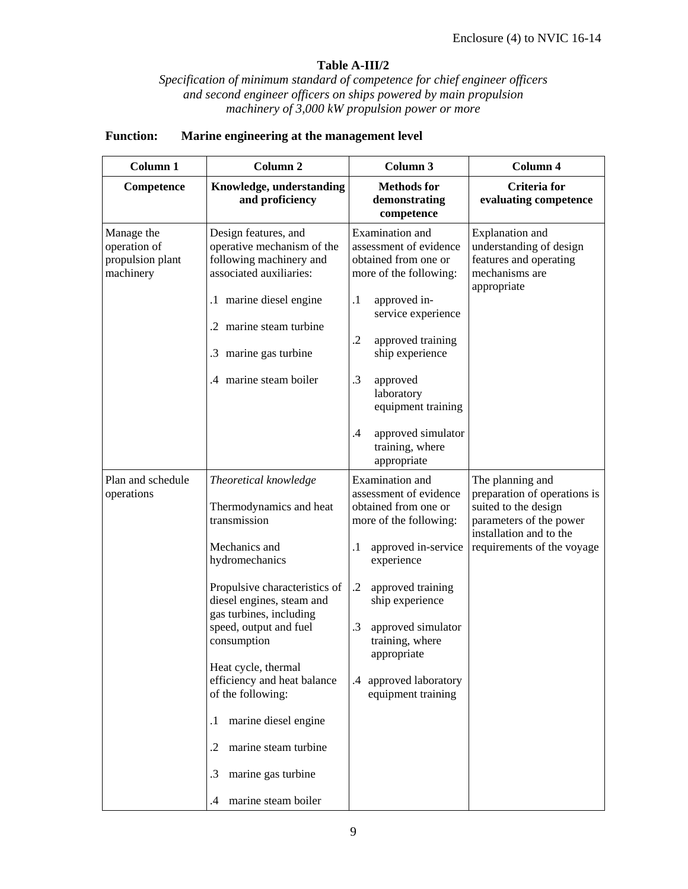#### **Table A-III/2**

*Specification of minimum standard of competence for chief engineer officers and second engineer officers on ships powered by main propulsion machinery of 3,000 kW propulsion power or more*

| Column 1                                                    | Column <sub>2</sub>                                                                                      | Column 3                                                                                    | Column 4                                                                                                                       |
|-------------------------------------------------------------|----------------------------------------------------------------------------------------------------------|---------------------------------------------------------------------------------------------|--------------------------------------------------------------------------------------------------------------------------------|
| Competence                                                  | Knowledge, understanding<br>and proficiency                                                              | <b>Methods</b> for<br>demonstrating<br>competence                                           | <b>Criteria</b> for<br>evaluating competence                                                                                   |
| Manage the<br>operation of<br>propulsion plant<br>machinery | Design features, and<br>operative mechanism of the<br>following machinery and<br>associated auxiliaries: | Examination and<br>assessment of evidence<br>obtained from one or<br>more of the following: | <b>Explanation</b> and<br>understanding of design<br>features and operating<br>mechanisms are<br>appropriate                   |
|                                                             | .1 marine diesel engine                                                                                  | $\cdot$<br>approved in-<br>service experience                                               |                                                                                                                                |
|                                                             | .2 marine steam turbine<br>.3 marine gas turbine                                                         | $\cdot$<br>approved training<br>ship experience                                             |                                                                                                                                |
|                                                             | .4 marine steam boiler                                                                                   | $\cdot$ 3<br>approved<br>laboratory<br>equipment training                                   |                                                                                                                                |
|                                                             |                                                                                                          | approved simulator<br>$\mathcal{A}$<br>training, where<br>appropriate                       |                                                                                                                                |
| Plan and schedule<br>operations                             | Theoretical knowledge<br>Thermodynamics and heat<br>transmission                                         | Examination and<br>assessment of evidence<br>obtained from one or<br>more of the following: | The planning and<br>preparation of operations is<br>suited to the design<br>parameters of the power<br>installation and to the |
|                                                             | Mechanics and<br>hydromechanics                                                                          | approved in-service<br>$\cdot$<br>experience                                                | requirements of the voyage                                                                                                     |
|                                                             | Propulsive characteristics of<br>diesel engines, steam and<br>gas turbines, including                    | $\cdot$ .2<br>approved training<br>ship experience                                          |                                                                                                                                |
|                                                             | speed, output and fuel<br>consumption                                                                    | $\cdot$ 3<br>approved simulator<br>training, where<br>appropriate                           |                                                                                                                                |
|                                                             | Heat cycle, thermal<br>efficiency and heat balance<br>of the following:                                  | .4 approved laboratory<br>equipment training                                                |                                                                                                                                |
|                                                             | marine diesel engine<br>.1                                                                               |                                                                                             |                                                                                                                                |
|                                                             | marine steam turbine<br>.2                                                                               |                                                                                             |                                                                                                                                |
|                                                             | marine gas turbine<br>.3                                                                                 |                                                                                             |                                                                                                                                |
|                                                             | marine steam boiler<br>.4                                                                                |                                                                                             |                                                                                                                                |

#### **Function: Marine engineering at the management level**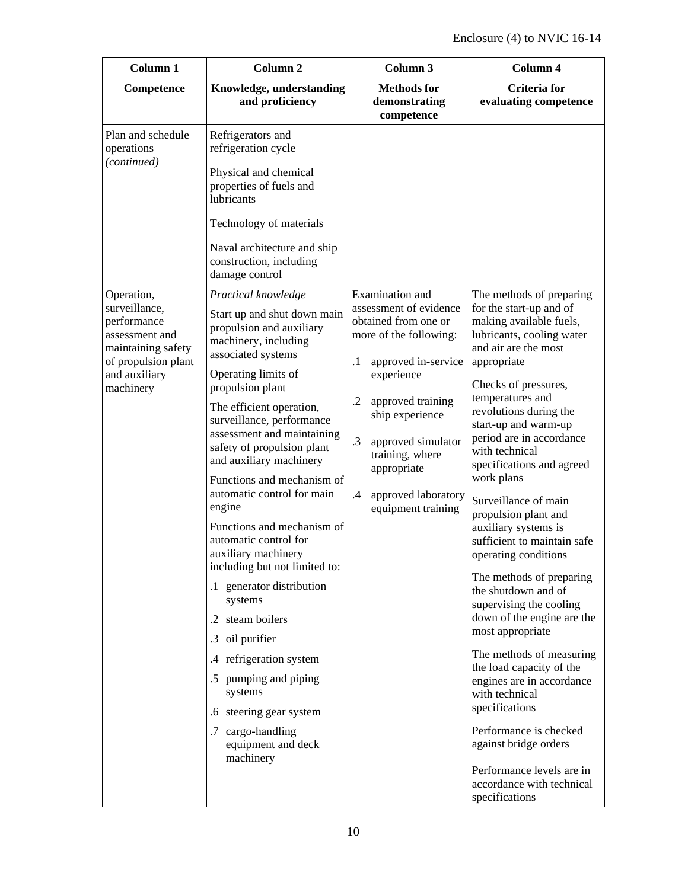| Column 1                                                                                                                  | Column <sub>2</sub>                                                                                                                                                                                                                                                                                                                                                                                                                                                                                                                                                                                                                                                                                                    | Column 3                                                                                                                                                                                                                                                                                                       | Column 4                                                                                                                                                                                                                                                                                                                                                                                                                                                                                                                                                                                                                                                                                                                                                                                                                             |
|---------------------------------------------------------------------------------------------------------------------------|------------------------------------------------------------------------------------------------------------------------------------------------------------------------------------------------------------------------------------------------------------------------------------------------------------------------------------------------------------------------------------------------------------------------------------------------------------------------------------------------------------------------------------------------------------------------------------------------------------------------------------------------------------------------------------------------------------------------|----------------------------------------------------------------------------------------------------------------------------------------------------------------------------------------------------------------------------------------------------------------------------------------------------------------|--------------------------------------------------------------------------------------------------------------------------------------------------------------------------------------------------------------------------------------------------------------------------------------------------------------------------------------------------------------------------------------------------------------------------------------------------------------------------------------------------------------------------------------------------------------------------------------------------------------------------------------------------------------------------------------------------------------------------------------------------------------------------------------------------------------------------------------|
| Competence                                                                                                                | Knowledge, understanding<br>and proficiency                                                                                                                                                                                                                                                                                                                                                                                                                                                                                                                                                                                                                                                                            | <b>Methods</b> for<br>demonstrating<br>competence                                                                                                                                                                                                                                                              | <b>Criteria</b> for<br>evaluating competence                                                                                                                                                                                                                                                                                                                                                                                                                                                                                                                                                                                                                                                                                                                                                                                         |
| Plan and schedule<br>operations<br>(continued)<br>Operation,                                                              | Refrigerators and<br>refrigeration cycle<br>Physical and chemical<br>properties of fuels and<br>lubricants<br>Technology of materials<br>Naval architecture and ship<br>construction, including<br>damage control<br>Practical knowledge                                                                                                                                                                                                                                                                                                                                                                                                                                                                               | Examination and                                                                                                                                                                                                                                                                                                | The methods of preparing                                                                                                                                                                                                                                                                                                                                                                                                                                                                                                                                                                                                                                                                                                                                                                                                             |
| surveillance,<br>performance<br>assessment and<br>maintaining safety<br>of propulsion plant<br>and auxiliary<br>machinery | Start up and shut down main<br>propulsion and auxiliary<br>machinery, including<br>associated systems<br>Operating limits of<br>propulsion plant<br>The efficient operation,<br>surveillance, performance<br>assessment and maintaining<br>safety of propulsion plant<br>and auxiliary machinery<br>Functions and mechanism of<br>automatic control for main<br>engine<br>Functions and mechanism of<br>automatic control for<br>auxiliary machinery<br>including but not limited to:<br>.1 generator distribution<br>systems<br>.2 steam boilers<br>.3 oil purifier<br>.4 refrigeration system<br>.5 pumping and piping<br>systems<br>.6 steering gear system<br>.7 cargo-handling<br>equipment and deck<br>machinery | assessment of evidence<br>obtained from one or<br>more of the following:<br>approved in-service<br>$\cdot$<br>experience<br>$\cdot$<br>approved training<br>ship experience<br>$\cdot$ 3<br>approved simulator<br>training, where<br>appropriate<br>$\mathcal{A}$<br>approved laboratory<br>equipment training | for the start-up and of<br>making available fuels,<br>lubricants, cooling water<br>and air are the most<br>appropriate<br>Checks of pressures,<br>temperatures and<br>revolutions during the<br>start-up and warm-up<br>period are in accordance<br>with technical<br>specifications and agreed<br>work plans<br>Surveillance of main<br>propulsion plant and<br>auxiliary systems is<br>sufficient to maintain safe<br>operating conditions<br>The methods of preparing<br>the shutdown and of<br>supervising the cooling<br>down of the engine are the<br>most appropriate<br>The methods of measuring<br>the load capacity of the<br>engines are in accordance<br>with technical<br>specifications<br>Performance is checked<br>against bridge orders<br>Performance levels are in<br>accordance with technical<br>specifications |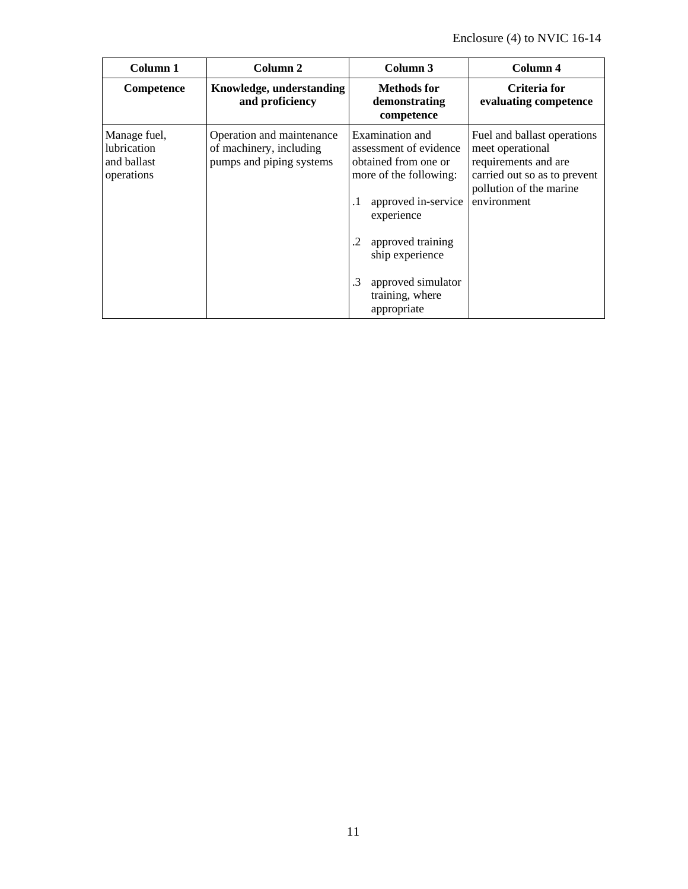| Column 1                                                 | Column <sub>2</sub>                                                              | Column 3                                                                                                                                                                                                                                                | Column 4                                                                                                                                          |
|----------------------------------------------------------|----------------------------------------------------------------------------------|---------------------------------------------------------------------------------------------------------------------------------------------------------------------------------------------------------------------------------------------------------|---------------------------------------------------------------------------------------------------------------------------------------------------|
| Competence                                               | Knowledge, understanding<br>and proficiency                                      | <b>Methods for</b><br>demonstrating<br>competence                                                                                                                                                                                                       | Criteria for<br>evaluating competence                                                                                                             |
| Manage fuel,<br>lubrication<br>and ballast<br>operations | Operation and maintenance<br>of machinery, including<br>pumps and piping systems | Examination and<br>assessment of evidence<br>obtained from one or<br>more of the following:<br>approved in-service<br>$\cdot$<br>experience<br>approved training<br>.2<br>ship experience<br>approved simulator<br>.3<br>training, where<br>appropriate | Fuel and ballast operations<br>meet operational<br>requirements and are<br>carried out so as to prevent<br>pollution of the marine<br>environment |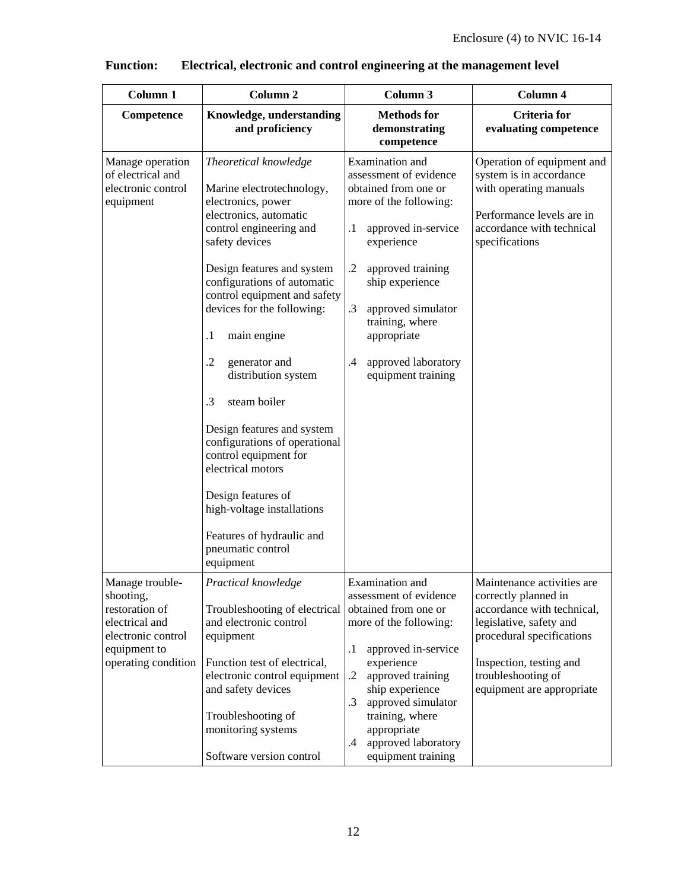| Column 1                                                                                                                      | Column <sub>2</sub>                                                                                                                                                                                                                                                                                                                                                                                                                                                                                                                                                                                                  | Column 3                                                                                                                                                                                                                                                                                                          | Column 4                                                                                                                                                                                                               |
|-------------------------------------------------------------------------------------------------------------------------------|----------------------------------------------------------------------------------------------------------------------------------------------------------------------------------------------------------------------------------------------------------------------------------------------------------------------------------------------------------------------------------------------------------------------------------------------------------------------------------------------------------------------------------------------------------------------------------------------------------------------|-------------------------------------------------------------------------------------------------------------------------------------------------------------------------------------------------------------------------------------------------------------------------------------------------------------------|------------------------------------------------------------------------------------------------------------------------------------------------------------------------------------------------------------------------|
| Competence                                                                                                                    | Knowledge, understanding<br>and proficiency                                                                                                                                                                                                                                                                                                                                                                                                                                                                                                                                                                          | <b>Methods</b> for<br>demonstrating<br>competence                                                                                                                                                                                                                                                                 | <b>Criteria</b> for<br>evaluating competence                                                                                                                                                                           |
| Manage operation<br>of electrical and<br>electronic control<br>equipment                                                      | Theoretical knowledge<br>Marine electrotechnology,<br>electronics, power<br>electronics, automatic<br>control engineering and<br>safety devices<br>Design features and system<br>configurations of automatic<br>control equipment and safety<br>devices for the following:<br>$\cdot$<br>main engine<br>$\cdot$<br>generator and<br>distribution system<br>$\cdot$ 3<br>steam boiler<br>Design features and system<br>configurations of operational<br>control equipment for<br>electrical motors<br>Design features of<br>high-voltage installations<br>Features of hydraulic and<br>pneumatic control<br>equipment | Examination and<br>assessment of evidence<br>obtained from one or<br>more of the following:<br>approved in-service<br>$\cdot$<br>experience<br>approved training<br>.2<br>ship experience<br>$\cdot$ 3<br>approved simulator<br>training, where<br>appropriate<br>approved laboratory<br>.4<br>equipment training | Operation of equipment and<br>system is in accordance<br>with operating manuals<br>Performance levels are in<br>accordance with technical<br>specifications                                                            |
| Manage trouble-<br>shooting,<br>restoration of<br>electrical and<br>electronic control<br>equipment to<br>operating condition | Practical knowledge<br>Troubleshooting of electrical<br>and electronic control<br>equipment<br>Function test of electrical,<br>electronic control equipment<br>and safety devices<br>Troubleshooting of<br>monitoring systems<br>Software version control                                                                                                                                                                                                                                                                                                                                                            | Examination and<br>assessment of evidence<br>obtained from one or<br>more of the following:<br>approved in-service<br>$\cdot$<br>experience<br>approved training<br>.2<br>ship experience<br>$\cdot$ 3<br>approved simulator<br>training, where<br>appropriate<br>approved laboratory<br>.4<br>equipment training | Maintenance activities are<br>correctly planned in<br>accordance with technical,<br>legislative, safety and<br>procedural specifications<br>Inspection, testing and<br>troubleshooting of<br>equipment are appropriate |

## **Function: Electrical, electronic and control engineering at the management level**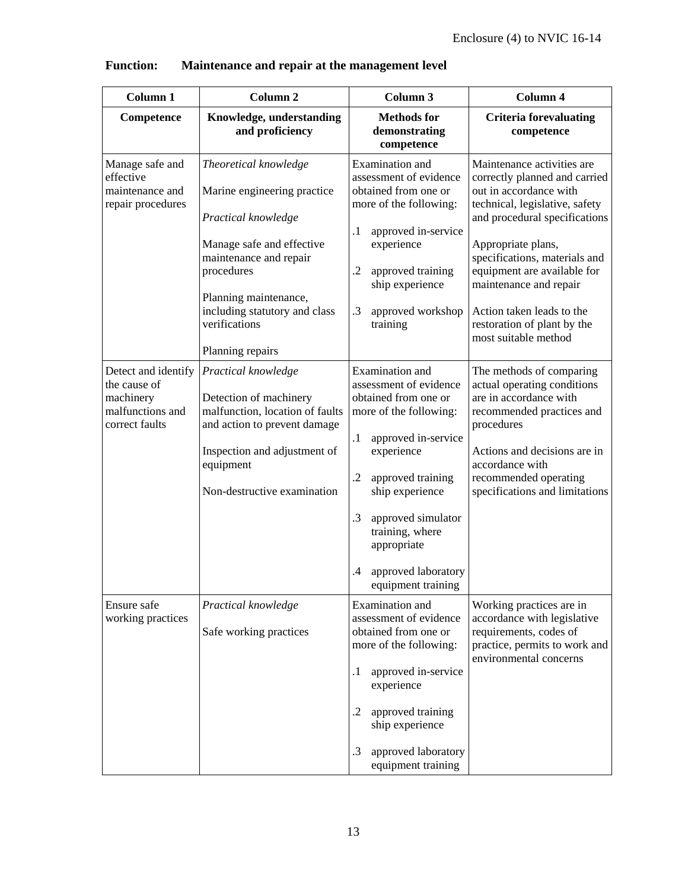| Column <sub>1</sub>                                                                    | Column <sub>2</sub>                                                                                                                                                                                                                             | Column 3                                                                                                                                                                                                                                                                                                               | Column 4                                                                                                                                                                                                                                                                                                                                                     |
|----------------------------------------------------------------------------------------|-------------------------------------------------------------------------------------------------------------------------------------------------------------------------------------------------------------------------------------------------|------------------------------------------------------------------------------------------------------------------------------------------------------------------------------------------------------------------------------------------------------------------------------------------------------------------------|--------------------------------------------------------------------------------------------------------------------------------------------------------------------------------------------------------------------------------------------------------------------------------------------------------------------------------------------------------------|
| Competence                                                                             | Knowledge, understanding<br>and proficiency                                                                                                                                                                                                     | <b>Methods</b> for<br>demonstrating<br>competence                                                                                                                                                                                                                                                                      | <b>Criteria forevaluating</b><br>competence                                                                                                                                                                                                                                                                                                                  |
| Manage safe and<br>effective<br>maintenance and<br>repair procedures                   | Theoretical knowledge<br>Marine engineering practice<br>Practical knowledge<br>Manage safe and effective<br>maintenance and repair<br>procedures<br>Planning maintenance,<br>including statutory and class<br>verifications<br>Planning repairs | Examination and<br>assessment of evidence<br>obtained from one or<br>more of the following:<br>approved in-service<br>$\cdot$<br>experience<br>$\cdot$<br>approved training<br>ship experience<br>approved workshop<br>$\cdot$ 3<br>training                                                                           | Maintenance activities are<br>correctly planned and carried<br>out in accordance with<br>technical, legislative, safety<br>and procedural specifications<br>Appropriate plans,<br>specifications, materials and<br>equipment are available for<br>maintenance and repair<br>Action taken leads to the<br>restoration of plant by the<br>most suitable method |
| Detect and identify<br>the cause of<br>machinery<br>malfunctions and<br>correct faults | Practical knowledge<br>Detection of machinery<br>malfunction, location of faults<br>and action to prevent damage<br>Inspection and adjustment of<br>equipment<br>Non-destructive examination                                                    | Examination and<br>assessment of evidence<br>obtained from one or<br>more of the following:<br>approved in-service<br>$\cdot$<br>experience<br>$\cdot$<br>approved training<br>ship experience<br>$\cdot$ 3<br>approved simulator<br>training, where<br>appropriate<br>approved laboratory<br>.4<br>equipment training | The methods of comparing<br>actual operating conditions<br>are in accordance with<br>recommended practices and<br>procedures<br>Actions and decisions are in<br>accordance with<br>recommended operating<br>specifications and limitations                                                                                                                   |
| Ensure safe<br>working practices                                                       | Practical knowledge<br>Safe working practices                                                                                                                                                                                                   | Examination and<br>assessment of evidence<br>obtained from one or<br>more of the following:<br>approved in-service<br>$\cdot$<br>experience<br>approved training<br>$\cdot$ 2<br>ship experience<br>approved laboratory<br>$\cdot$ 3<br>equipment training                                                             | Working practices are in<br>accordance with legislative<br>requirements, codes of<br>practice, permits to work and<br>environmental concerns                                                                                                                                                                                                                 |

## **Function: Maintenance and repair at the management level**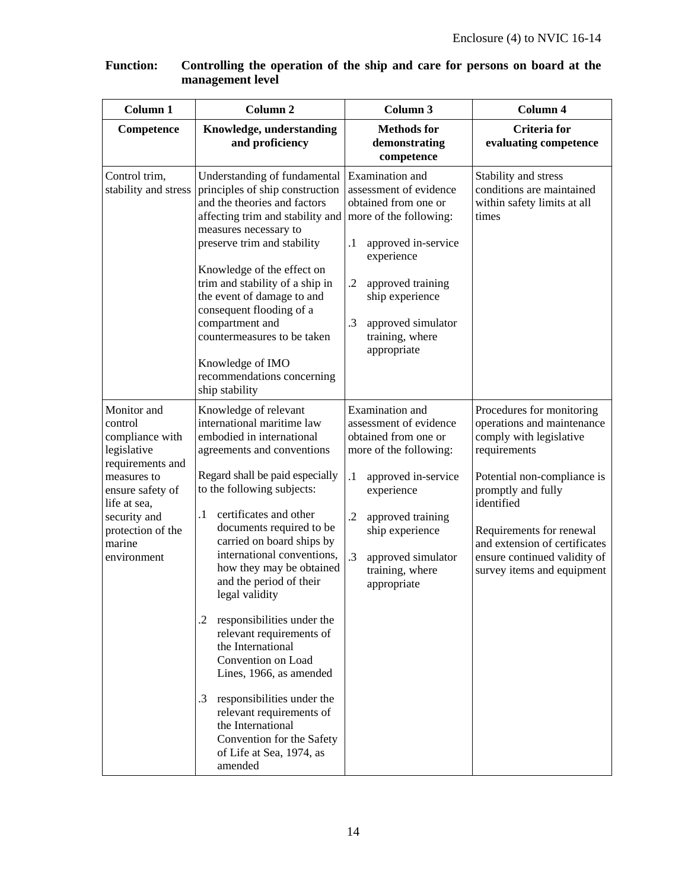#### **Column 1 Column 2 Column 3 Column 4 Competence Knowledge, understanding and proficiency Methods for demonstrating competence Criteria for evaluating competence** Control trim, stability and stress Understanding of fundamental principles of ship construction and the theories and factors affecting trim and stability and measures necessary to preserve trim and stability Knowledge of the effect on trim and stability of a ship in the event of damage to and consequent flooding of a compartment and countermeasures to be taken Knowledge of IMO recommendations concerning ship stability Examination and assessment of evidence obtained from one or more of the following: .1 approved in-service experience .2 approved training ship experience .3 approved simulator training, where appropriate Stability and stress conditions are maintained within safety limits at all times Monitor and control compliance with legislative requirements and measures to ensure safety of life at sea, security and protection of the marine environment Knowledge of relevant international maritime law embodied in international agreements and conventions Regard shall be paid especially to the following subjects: .1 certificates and other documents required to be carried on board ships by international conventions, how they may be obtained and the period of their legal validity .2 responsibilities under the relevant requirements of the International Convention on Load Lines, 1966, as amended .3 responsibilities under the relevant requirements of the International Convention for the Safety of Life at Sea, 1974, as amended Examination and assessment of evidence obtained from one or more of the following: .1 approved in-service experience .2 approved training ship experience .3 approved simulator training, where appropriate Procedures for monitoring operations and maintenance comply with legislative requirements Potential non-compliance is promptly and fully identified Requirements for renewal and extension of certificates ensure continued validity of survey items and equipment

#### **Function: Controlling the operation of the ship and care for persons on board at the management level**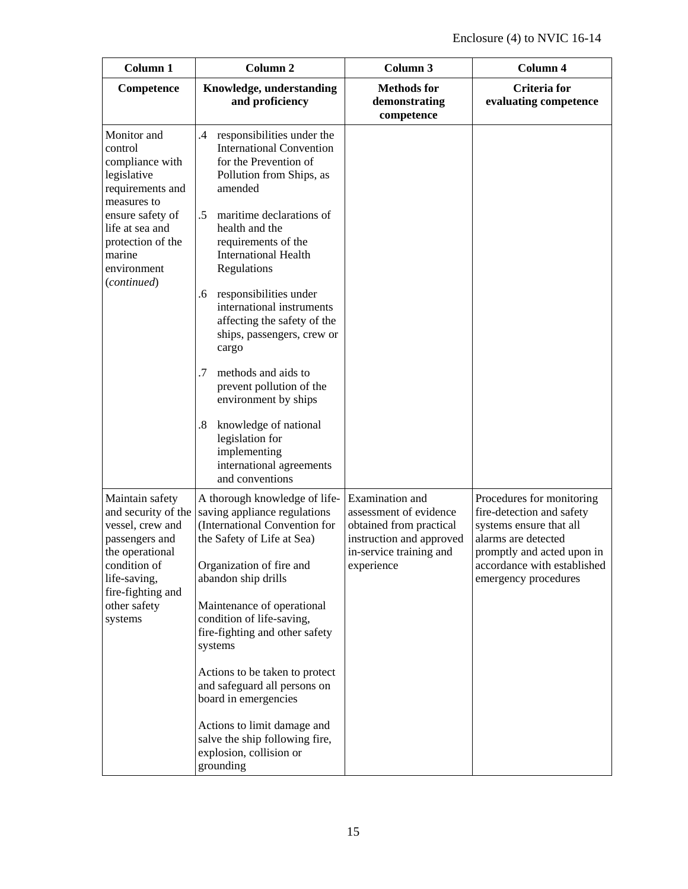| Column 1                                                                                                                        | Column <sub>2</sub>                                                                                                                                                             | Column 3                                                                                                                                  | Column 4                                                                                                                                                                                      |
|---------------------------------------------------------------------------------------------------------------------------------|---------------------------------------------------------------------------------------------------------------------------------------------------------------------------------|-------------------------------------------------------------------------------------------------------------------------------------------|-----------------------------------------------------------------------------------------------------------------------------------------------------------------------------------------------|
| Competence                                                                                                                      | Knowledge, understanding<br>and proficiency                                                                                                                                     | <b>Methods</b> for<br>demonstrating<br>competence                                                                                         | <b>Criteria</b> for<br>evaluating competence                                                                                                                                                  |
| Monitor and<br>control<br>compliance with<br>legislative<br>requirements and<br>measures to                                     | .4<br>responsibilities under the<br><b>International Convention</b><br>for the Prevention of<br>Pollution from Ships, as<br>amended                                             |                                                                                                                                           |                                                                                                                                                                                               |
| ensure safety of<br>life at sea and<br>protection of the<br>marine<br>environment<br>(continued)                                | maritime declarations of<br>.5<br>health and the<br>requirements of the<br><b>International Health</b><br>Regulations                                                           |                                                                                                                                           |                                                                                                                                                                                               |
|                                                                                                                                 | responsibilities under<br>.6<br>international instruments<br>affecting the safety of the<br>ships, passengers, crew or<br>cargo                                                 |                                                                                                                                           |                                                                                                                                                                                               |
|                                                                                                                                 | methods and aids to<br>.7<br>prevent pollution of the<br>environment by ships                                                                                                   |                                                                                                                                           |                                                                                                                                                                                               |
|                                                                                                                                 | knowledge of national<br>.8<br>legislation for<br>implementing<br>international agreements<br>and conventions                                                                   |                                                                                                                                           |                                                                                                                                                                                               |
| Maintain safety<br>and security of the<br>vessel, crew and<br>passengers and<br>the operational<br>condition of<br>life-saving, | A thorough knowledge of life-<br>saving appliance regulations<br>(International Convention for<br>the Safety of Life at Sea)<br>Organization of fire and<br>abandon ship drills | Examination and<br>assessment of evidence<br>obtained from practical<br>instruction and approved<br>in-service training and<br>experience | Procedures for monitoring<br>fire-detection and safety<br>systems ensure that all<br>alarms are detected<br>promptly and acted upon in<br>accordance with established<br>emergency procedures |
| fire-fighting and<br>other safety<br>systems                                                                                    | Maintenance of operational<br>condition of life-saving,<br>fire-fighting and other safety<br>systems                                                                            |                                                                                                                                           |                                                                                                                                                                                               |
|                                                                                                                                 | Actions to be taken to protect<br>and safeguard all persons on<br>board in emergencies                                                                                          |                                                                                                                                           |                                                                                                                                                                                               |
|                                                                                                                                 | Actions to limit damage and<br>salve the ship following fire,<br>explosion, collision or<br>grounding                                                                           |                                                                                                                                           |                                                                                                                                                                                               |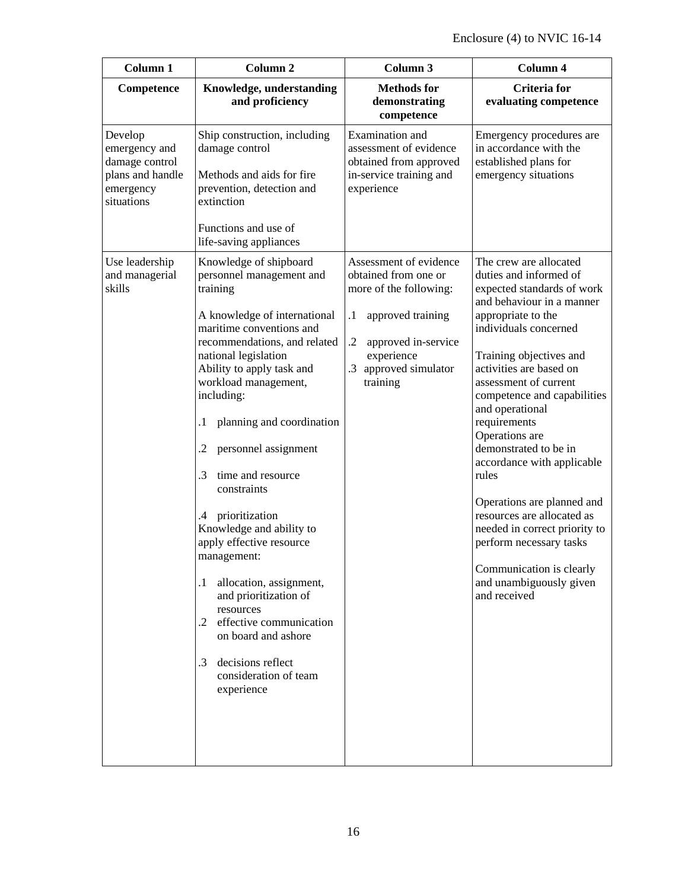| Column 1                                                                                  | Column <sub>2</sub>                                                                                                                                                                                                                                                                                                                                                                                                                                                                                                                                                                                                                                                         | Column 3                                                                                                                                                                                      | Column 4                                                                                                                                                                                                                                                                                                                                                                                                                                                                                                                                                                                     |
|-------------------------------------------------------------------------------------------|-----------------------------------------------------------------------------------------------------------------------------------------------------------------------------------------------------------------------------------------------------------------------------------------------------------------------------------------------------------------------------------------------------------------------------------------------------------------------------------------------------------------------------------------------------------------------------------------------------------------------------------------------------------------------------|-----------------------------------------------------------------------------------------------------------------------------------------------------------------------------------------------|----------------------------------------------------------------------------------------------------------------------------------------------------------------------------------------------------------------------------------------------------------------------------------------------------------------------------------------------------------------------------------------------------------------------------------------------------------------------------------------------------------------------------------------------------------------------------------------------|
| Competence                                                                                | Knowledge, understanding<br>and proficiency                                                                                                                                                                                                                                                                                                                                                                                                                                                                                                                                                                                                                                 | <b>Methods</b> for<br>demonstrating<br>competence                                                                                                                                             | Criteria for<br>evaluating competence                                                                                                                                                                                                                                                                                                                                                                                                                                                                                                                                                        |
| Develop<br>emergency and<br>damage control<br>plans and handle<br>emergency<br>situations | Ship construction, including<br>damage control<br>Methods and aids for fire.<br>prevention, detection and<br>extinction<br>Functions and use of<br>life-saving appliances                                                                                                                                                                                                                                                                                                                                                                                                                                                                                                   | Examination and<br>assessment of evidence<br>obtained from approved<br>in-service training and<br>experience                                                                                  | Emergency procedures are<br>in accordance with the<br>established plans for<br>emergency situations                                                                                                                                                                                                                                                                                                                                                                                                                                                                                          |
| Use leadership<br>and managerial<br>skills                                                | Knowledge of shipboard<br>personnel management and<br>training<br>A knowledge of international<br>maritime conventions and<br>recommendations, and related<br>national legislation<br>Ability to apply task and<br>workload management,<br>including:<br>planning and coordination<br>.1<br>personnel assignment<br>.2<br>time and resource<br>.3<br>constraints<br>.4 prioritization<br>Knowledge and ability to<br>apply effective resource<br>management:<br>allocation, assignment,<br>$\cdot$ 1<br>and prioritization of<br>resources<br>effective communication<br>$\cdot$ 2<br>on board and ashore<br>decisions reflect<br>.3<br>consideration of team<br>experience | Assessment of evidence<br>obtained from one or<br>more of the following:<br>approved training<br>$\cdot$<br>approved in-service<br>$\cdot$<br>experience<br>.3 approved simulator<br>training | The crew are allocated<br>duties and informed of<br>expected standards of work<br>and behaviour in a manner<br>appropriate to the<br>individuals concerned<br>Training objectives and<br>activities are based on<br>assessment of current<br>competence and capabilities<br>and operational<br>requirements<br>Operations are<br>demonstrated to be in<br>accordance with applicable<br>rules<br>Operations are planned and<br>resources are allocated as<br>needed in correct priority to<br>perform necessary tasks<br>Communication is clearly<br>and unambiguously given<br>and received |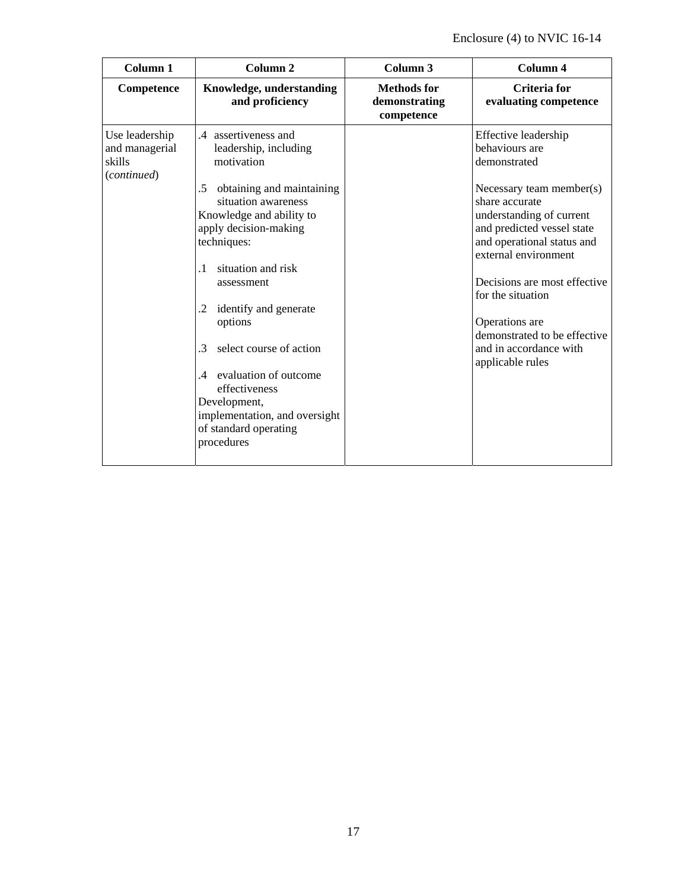| Column 1                                                  | Column <sub>2</sub>                                                                                                        | Column 3                                          | <b>Column 4</b>                                                                                                                        |
|-----------------------------------------------------------|----------------------------------------------------------------------------------------------------------------------------|---------------------------------------------------|----------------------------------------------------------------------------------------------------------------------------------------|
| Competence                                                | Knowledge, understanding<br>and proficiency                                                                                | <b>Methods for</b><br>demonstrating<br>competence | Criteria for<br>evaluating competence                                                                                                  |
| Use leadership<br>and managerial<br>skills<br>(continued) | .4 assertiveness and<br>leadership, including<br>motivation                                                                |                                                   | Effective leadership<br>behaviours are<br>demonstrated                                                                                 |
|                                                           | obtaining and maintaining<br>.5<br>situation awareness<br>Knowledge and ability to<br>apply decision-making<br>techniques: |                                                   | Necessary team member( $s$ )<br>share accurate<br>understanding of current<br>and predicted vessel state<br>and operational status and |
|                                                           | situation and risk<br>$\cdot$ 1<br>assessment<br>identify and generate<br>.2                                               |                                                   | external environment<br>Decisions are most effective<br>for the situation                                                              |
|                                                           | options<br>select course of action<br>.3<br>evaluation of outcome<br>$\mathcal{A}$<br>effectiveness<br>Development,        |                                                   | Operations are<br>demonstrated to be effective<br>and in accordance with<br>applicable rules                                           |
|                                                           | implementation, and oversight<br>of standard operating<br>procedures                                                       |                                                   |                                                                                                                                        |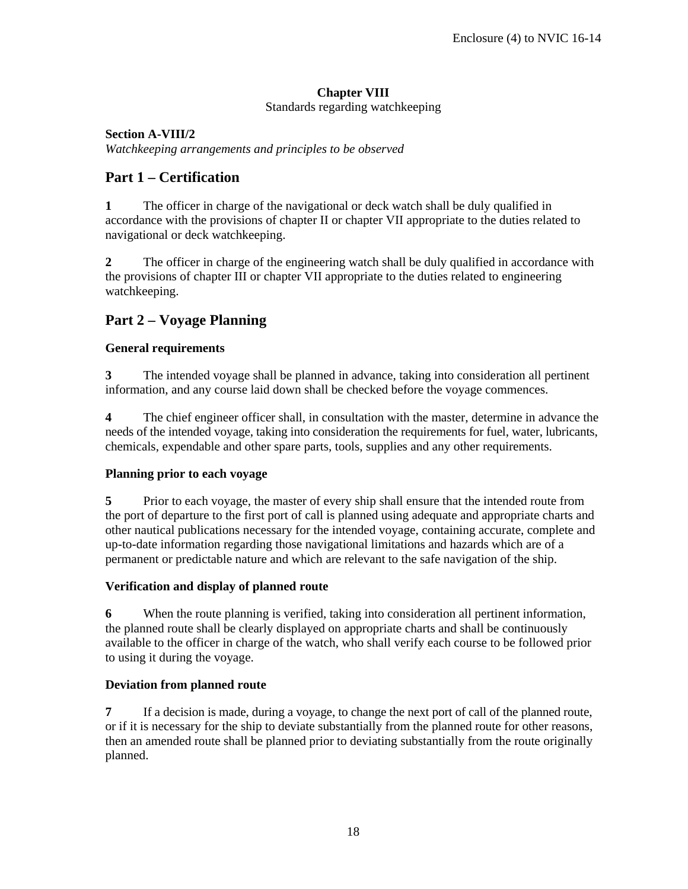#### **Chapter VIII**

Standards regarding watchkeeping

#### **Section A-VIII/2**

*Watchkeeping arrangements and principles to be observed* 

### **Part 1 – Certification**

**1** The officer in charge of the navigational or deck watch shall be duly qualified in accordance with the provisions of chapter II or chapter VII appropriate to the duties related to navigational or deck watchkeeping.

**2** The officer in charge of the engineering watch shall be duly qualified in accordance with the provisions of chapter III or chapter VII appropriate to the duties related to engineering watchkeeping.

### **Part 2 – Voyage Planning**

#### **General requirements**

**3** The intended voyage shall be planned in advance, taking into consideration all pertinent information, and any course laid down shall be checked before the voyage commences.

**4** The chief engineer officer shall, in consultation with the master, determine in advance the needs of the intended voyage, taking into consideration the requirements for fuel, water, lubricants, chemicals, expendable and other spare parts, tools, supplies and any other requirements.

#### **Planning prior to each voyage**

**5** Prior to each voyage, the master of every ship shall ensure that the intended route from the port of departure to the first port of call is planned using adequate and appropriate charts and other nautical publications necessary for the intended voyage, containing accurate, complete and up-to-date information regarding those navigational limitations and hazards which are of a permanent or predictable nature and which are relevant to the safe navigation of the ship.

#### **Verification and display of planned route**

**6** When the route planning is verified, taking into consideration all pertinent information, the planned route shall be clearly displayed on appropriate charts and shall be continuously available to the officer in charge of the watch, who shall verify each course to be followed prior to using it during the voyage.

#### **Deviation from planned route**

**7** If a decision is made, during a voyage, to change the next port of call of the planned route, or if it is necessary for the ship to deviate substantially from the planned route for other reasons, then an amended route shall be planned prior to deviating substantially from the route originally planned.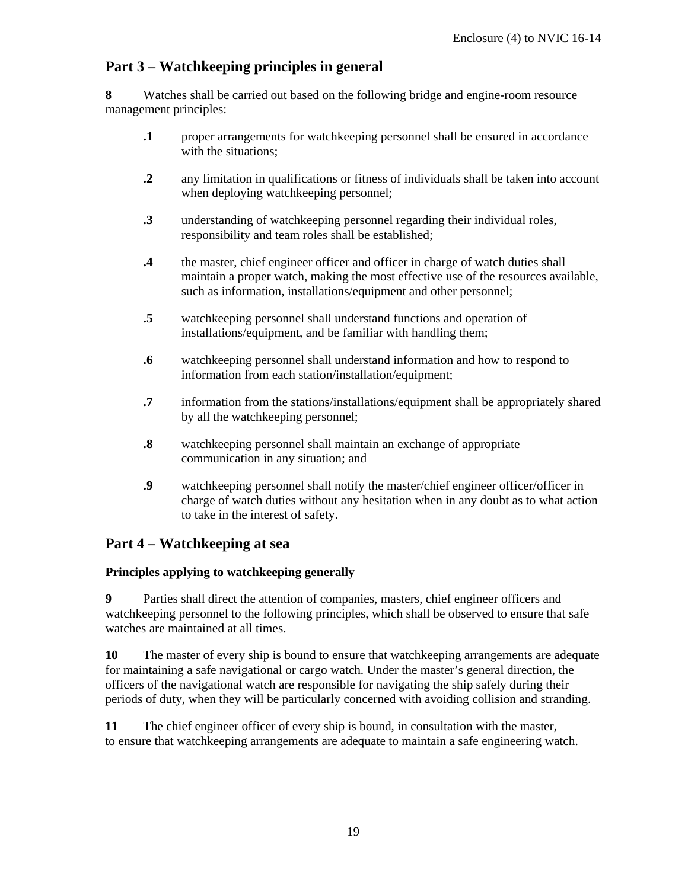### **Part 3 – Watchkeeping principles in general**

**8** Watches shall be carried out based on the following bridge and engine-room resource management principles:

- **.1** proper arrangements for watchkeeping personnel shall be ensured in accordance with the situations;
- **.2** any limitation in qualifications or fitness of individuals shall be taken into account when deploying watchkeeping personnel;
- **.3** understanding of watchkeeping personnel regarding their individual roles, responsibility and team roles shall be established;
- **.4** the master, chief engineer officer and officer in charge of watch duties shall maintain a proper watch, making the most effective use of the resources available, such as information, installations/equipment and other personnel;
- **.5** watchkeeping personnel shall understand functions and operation of installations/equipment, and be familiar with handling them;
- **.6** watchkeeping personnel shall understand information and how to respond to information from each station/installation/equipment;
- **.7** information from the stations/installations/equipment shall be appropriately shared by all the watchkeeping personnel;
- **.8** watchkeeping personnel shall maintain an exchange of appropriate communication in any situation; and
- **.9** watchkeeping personnel shall notify the master/chief engineer officer/officer in charge of watch duties without any hesitation when in any doubt as to what action to take in the interest of safety.

#### **Part 4 – Watchkeeping at sea**

#### **Principles applying to watchkeeping generally**

**9** Parties shall direct the attention of companies, masters, chief engineer officers and watchkeeping personnel to the following principles, which shall be observed to ensure that safe watches are maintained at all times.

**10** The master of every ship is bound to ensure that watchkeeping arrangements are adequate for maintaining a safe navigational or cargo watch. Under the master's general direction, the officers of the navigational watch are responsible for navigating the ship safely during their periods of duty, when they will be particularly concerned with avoiding collision and stranding.

**11** The chief engineer officer of every ship is bound, in consultation with the master, to ensure that watchkeeping arrangements are adequate to maintain a safe engineering watch.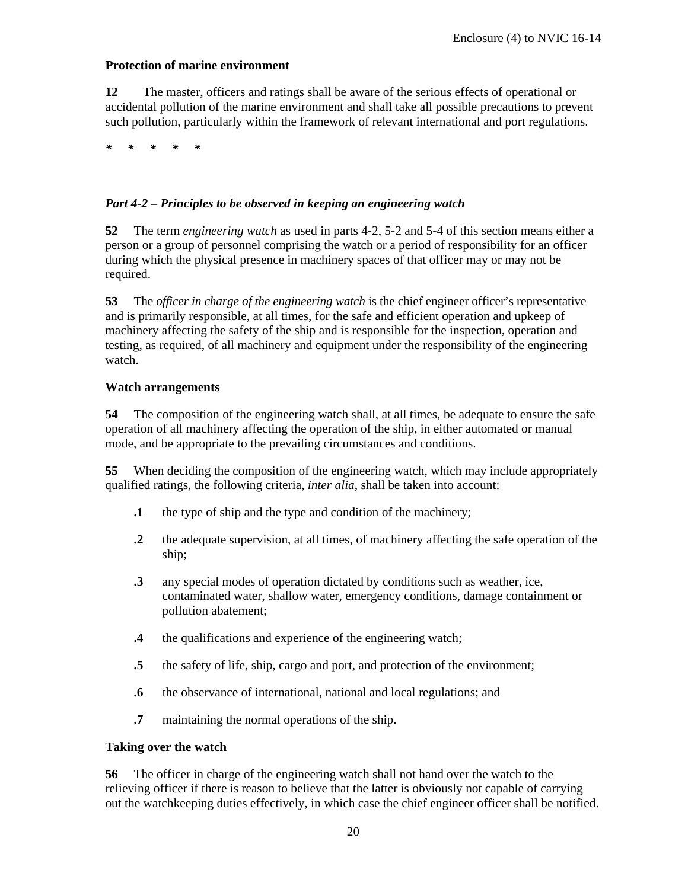#### **Protection of marine environment**

**12** The master, officers and ratings shall be aware of the serious effects of operational or accidental pollution of the marine environment and shall take all possible precautions to prevent such pollution, particularly within the framework of relevant international and port regulations.

*\* \* \* \* \** 

#### *Part 4-2 – Principles to be observed in keeping an engineering watch*

**52** The term *engineering watch* as used in parts 4-2, 5-2 and 5-4 of this section means either a person or a group of personnel comprising the watch or a period of responsibility for an officer during which the physical presence in machinery spaces of that officer may or may not be required.

**53** The *officer in charge of the engineering watch* is the chief engineer officer's representative and is primarily responsible, at all times, for the safe and efficient operation and upkeep of machinery affecting the safety of the ship and is responsible for the inspection, operation and testing, as required, of all machinery and equipment under the responsibility of the engineering watch.

#### **Watch arrangements**

**54** The composition of the engineering watch shall, at all times, be adequate to ensure the safe operation of all machinery affecting the operation of the ship, in either automated or manual mode, and be appropriate to the prevailing circumstances and conditions.

**55** When deciding the composition of the engineering watch, which may include appropriately qualified ratings, the following criteria, *inter alia*, shall be taken into account:

- **.1** the type of ship and the type and condition of the machinery;
- **.2** the adequate supervision, at all times, of machinery affecting the safe operation of the ship;
- **.3** any special modes of operation dictated by conditions such as weather, ice, contaminated water, shallow water, emergency conditions, damage containment or pollution abatement;
- **.4** the qualifications and experience of the engineering watch;
- **.5** the safety of life, ship, cargo and port, and protection of the environment;
- **.6** the observance of international, national and local regulations; and
- **.7** maintaining the normal operations of the ship.

#### **Taking over the watch**

**56** The officer in charge of the engineering watch shall not hand over the watch to the relieving officer if there is reason to believe that the latter is obviously not capable of carrying out the watchkeeping duties effectively, in which case the chief engineer officer shall be notified.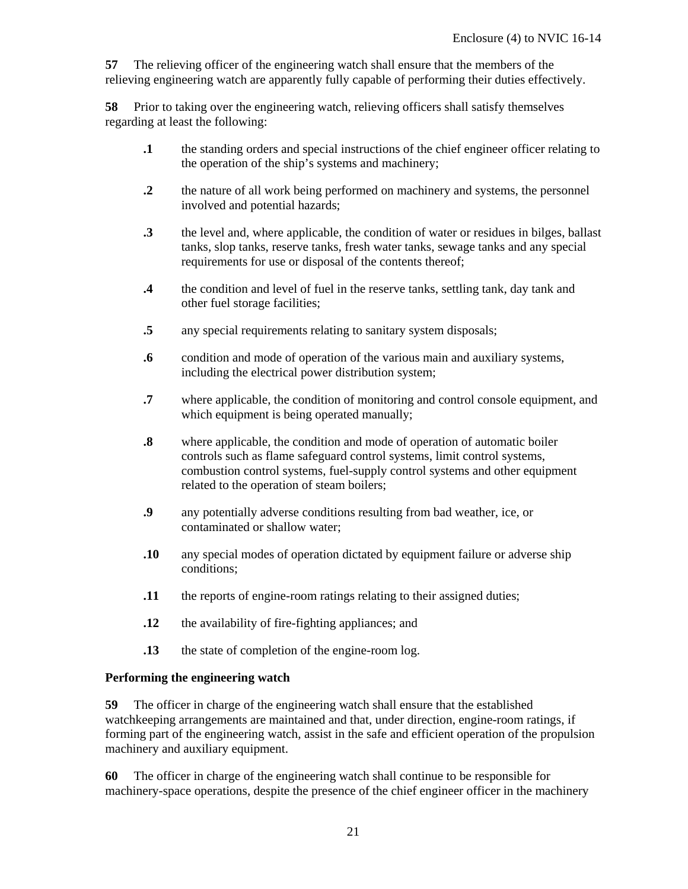**57** The relieving officer of the engineering watch shall ensure that the members of the relieving engineering watch are apparently fully capable of performing their duties effectively.

**58** Prior to taking over the engineering watch, relieving officers shall satisfy themselves regarding at least the following:

- **.1** the standing orders and special instructions of the chief engineer officer relating to the operation of the ship's systems and machinery;
- **.2** the nature of all work being performed on machinery and systems, the personnel involved and potential hazards;
- **.3** the level and, where applicable, the condition of water or residues in bilges, ballast tanks, slop tanks, reserve tanks, fresh water tanks, sewage tanks and any special requirements for use or disposal of the contents thereof;
- **.4** the condition and level of fuel in the reserve tanks, settling tank, day tank and other fuel storage facilities;
- **.5** any special requirements relating to sanitary system disposals;
- **.6** condition and mode of operation of the various main and auxiliary systems, including the electrical power distribution system;
- **.7** where applicable, the condition of monitoring and control console equipment, and which equipment is being operated manually;
- **.8** where applicable, the condition and mode of operation of automatic boiler controls such as flame safeguard control systems, limit control systems, combustion control systems, fuel-supply control systems and other equipment related to the operation of steam boilers;
- **.9** any potentially adverse conditions resulting from bad weather, ice, or contaminated or shallow water;
- **.10** any special modes of operation dictated by equipment failure or adverse ship conditions;
- **.11** the reports of engine-room ratings relating to their assigned duties;
- **.12** the availability of fire-fighting appliances; and
- **.13** the state of completion of the engine-room log.

#### **Performing the engineering watch**

**59** The officer in charge of the engineering watch shall ensure that the established watchkeeping arrangements are maintained and that, under direction, engine-room ratings, if forming part of the engineering watch, assist in the safe and efficient operation of the propulsion machinery and auxiliary equipment.

**60** The officer in charge of the engineering watch shall continue to be responsible for machinery-space operations, despite the presence of the chief engineer officer in the machinery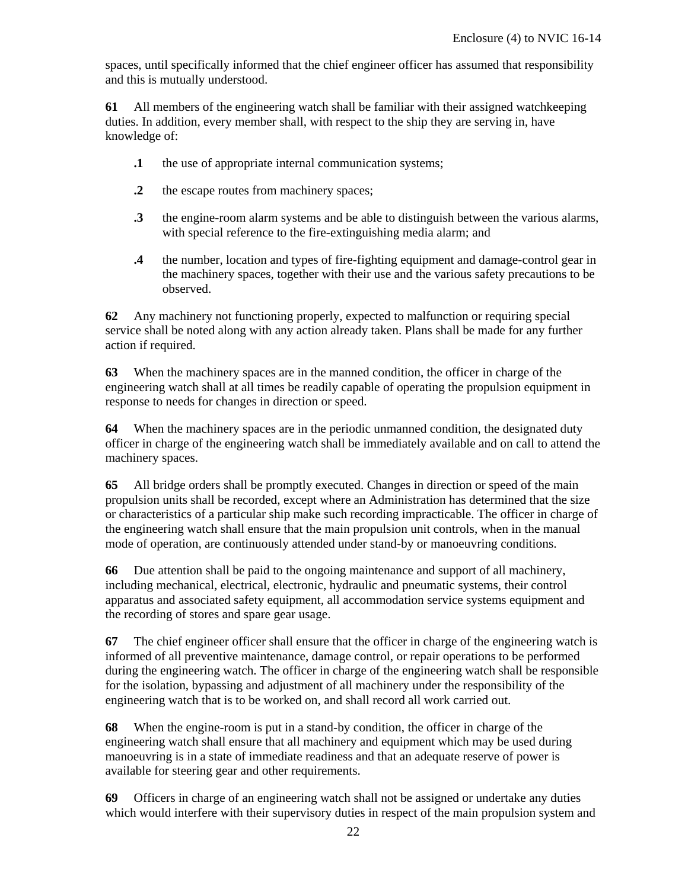spaces, until specifically informed that the chief engineer officer has assumed that responsibility and this is mutually understood.

**61** All members of the engineering watch shall be familiar with their assigned watchkeeping duties. In addition, every member shall, with respect to the ship they are serving in, have knowledge of:

- **.1** the use of appropriate internal communication systems;
- **.2** the escape routes from machinery spaces;
- **.3** the engine-room alarm systems and be able to distinguish between the various alarms, with special reference to the fire-extinguishing media alarm; and
- **.4** the number, location and types of fire-fighting equipment and damage-control gear in the machinery spaces, together with their use and the various safety precautions to be observed.

**62** Any machinery not functioning properly, expected to malfunction or requiring special service shall be noted along with any action already taken. Plans shall be made for any further action if required.

**63** When the machinery spaces are in the manned condition, the officer in charge of the engineering watch shall at all times be readily capable of operating the propulsion equipment in response to needs for changes in direction or speed.

**64** When the machinery spaces are in the periodic unmanned condition, the designated duty officer in charge of the engineering watch shall be immediately available and on call to attend the machinery spaces.

**65** All bridge orders shall be promptly executed. Changes in direction or speed of the main propulsion units shall be recorded, except where an Administration has determined that the size or characteristics of a particular ship make such recording impracticable. The officer in charge of the engineering watch shall ensure that the main propulsion unit controls, when in the manual mode of operation, are continuously attended under stand-by or manoeuvring conditions.

**66** Due attention shall be paid to the ongoing maintenance and support of all machinery, including mechanical, electrical, electronic, hydraulic and pneumatic systems, their control apparatus and associated safety equipment, all accommodation service systems equipment and the recording of stores and spare gear usage.

**67** The chief engineer officer shall ensure that the officer in charge of the engineering watch is informed of all preventive maintenance, damage control, or repair operations to be performed during the engineering watch. The officer in charge of the engineering watch shall be responsible for the isolation, bypassing and adjustment of all machinery under the responsibility of the engineering watch that is to be worked on, and shall record all work carried out.

**68** When the engine-room is put in a stand-by condition, the officer in charge of the engineering watch shall ensure that all machinery and equipment which may be used during manoeuvring is in a state of immediate readiness and that an adequate reserve of power is available for steering gear and other requirements.

**69** Officers in charge of an engineering watch shall not be assigned or undertake any duties which would interfere with their supervisory duties in respect of the main propulsion system and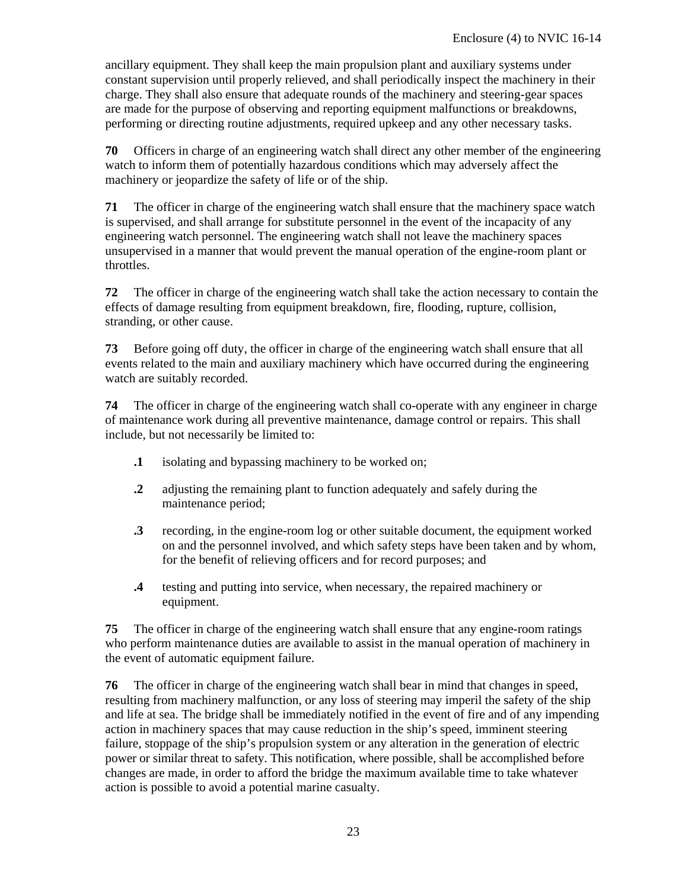ancillary equipment. They shall keep the main propulsion plant and auxiliary systems under constant supervision until properly relieved, and shall periodically inspect the machinery in their charge. They shall also ensure that adequate rounds of the machinery and steering-gear spaces are made for the purpose of observing and reporting equipment malfunctions or breakdowns, performing or directing routine adjustments, required upkeep and any other necessary tasks.

**70** Officers in charge of an engineering watch shall direct any other member of the engineering watch to inform them of potentially hazardous conditions which may adversely affect the machinery or jeopardize the safety of life or of the ship.

**71** The officer in charge of the engineering watch shall ensure that the machinery space watch is supervised, and shall arrange for substitute personnel in the event of the incapacity of any engineering watch personnel. The engineering watch shall not leave the machinery spaces unsupervised in a manner that would prevent the manual operation of the engine-room plant or throttles.

**72** The officer in charge of the engineering watch shall take the action necessary to contain the effects of damage resulting from equipment breakdown, fire, flooding, rupture, collision, stranding, or other cause.

**73** Before going off duty, the officer in charge of the engineering watch shall ensure that all events related to the main and auxiliary machinery which have occurred during the engineering watch are suitably recorded.

**74** The officer in charge of the engineering watch shall co-operate with any engineer in charge of maintenance work during all preventive maintenance, damage control or repairs. This shall include, but not necessarily be limited to:

- **.1** isolating and bypassing machinery to be worked on;
- **.2** adjusting the remaining plant to function adequately and safely during the maintenance period;
- **.3** recording, in the engine-room log or other suitable document, the equipment worked on and the personnel involved, and which safety steps have been taken and by whom, for the benefit of relieving officers and for record purposes; and
- **.4** testing and putting into service, when necessary, the repaired machinery or equipment.

**75** The officer in charge of the engineering watch shall ensure that any engine-room ratings who perform maintenance duties are available to assist in the manual operation of machinery in the event of automatic equipment failure.

**76** The officer in charge of the engineering watch shall bear in mind that changes in speed, resulting from machinery malfunction, or any loss of steering may imperil the safety of the ship and life at sea. The bridge shall be immediately notified in the event of fire and of any impending action in machinery spaces that may cause reduction in the ship's speed, imminent steering failure, stoppage of the ship's propulsion system or any alteration in the generation of electric power or similar threat to safety. This notification, where possible, shall be accomplished before changes are made, in order to afford the bridge the maximum available time to take whatever action is possible to avoid a potential marine casualty.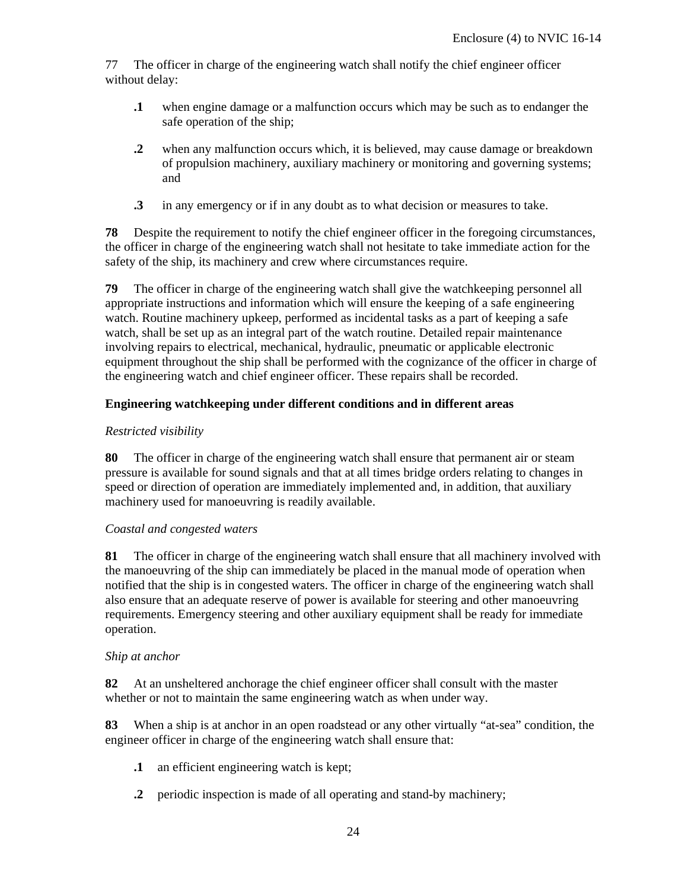77 The officer in charge of the engineering watch shall notify the chief engineer officer without delay:

- **.1** when engine damage or a malfunction occurs which may be such as to endanger the safe operation of the ship;
- **.2** when any malfunction occurs which, it is believed, may cause damage or breakdown of propulsion machinery, auxiliary machinery or monitoring and governing systems; and
- **.3** in any emergency or if in any doubt as to what decision or measures to take.

**78** Despite the requirement to notify the chief engineer officer in the foregoing circumstances, the officer in charge of the engineering watch shall not hesitate to take immediate action for the safety of the ship, its machinery and crew where circumstances require.

**79** The officer in charge of the engineering watch shall give the watchkeeping personnel all appropriate instructions and information which will ensure the keeping of a safe engineering watch. Routine machinery upkeep, performed as incidental tasks as a part of keeping a safe watch, shall be set up as an integral part of the watch routine. Detailed repair maintenance involving repairs to electrical, mechanical, hydraulic, pneumatic or applicable electronic equipment throughout the ship shall be performed with the cognizance of the officer in charge of the engineering watch and chief engineer officer. These repairs shall be recorded.

## **Engineering watchkeeping under different conditions and in different areas**

#### *Restricted visibility*

**80** The officer in charge of the engineering watch shall ensure that permanent air or steam pressure is available for sound signals and that at all times bridge orders relating to changes in speed or direction of operation are immediately implemented and, in addition, that auxiliary machinery used for manoeuvring is readily available.

#### *Coastal and congested waters*

**81** The officer in charge of the engineering watch shall ensure that all machinery involved with the manoeuvring of the ship can immediately be placed in the manual mode of operation when notified that the ship is in congested waters. The officer in charge of the engineering watch shall also ensure that an adequate reserve of power is available for steering and other manoeuvring requirements. Emergency steering and other auxiliary equipment shall be ready for immediate operation.

#### *Ship at anchor*

**82** At an unsheltered anchorage the chief engineer officer shall consult with the master whether or not to maintain the same engineering watch as when under way.

**83** When a ship is at anchor in an open roadstead or any other virtually "at-sea" condition, the engineer officer in charge of the engineering watch shall ensure that:

- **.1** an efficient engineering watch is kept;
- **.2** periodic inspection is made of all operating and stand-by machinery;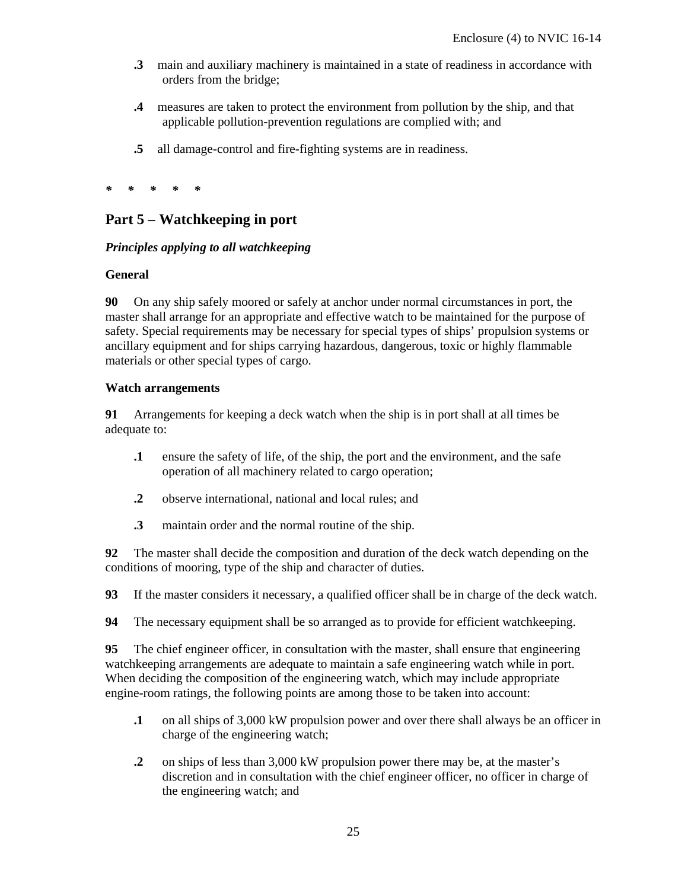- **.3** main and auxiliary machinery is maintained in a state of readiness in accordance with orders from the bridge;
- **.4** measures are taken to protect the environment from pollution by the ship, and that applicable pollution-prevention regulations are complied with; and
- **.5** all damage-control and fire-fighting systems are in readiness.

*\* \* \* \* \**

## **Part 5 – Watchkeeping in port**

## *Principles applying to all watchkeeping*

## **General**

**90** On any ship safely moored or safely at anchor under normal circumstances in port, the master shall arrange for an appropriate and effective watch to be maintained for the purpose of safety. Special requirements may be necessary for special types of ships' propulsion systems or ancillary equipment and for ships carrying hazardous, dangerous, toxic or highly flammable materials or other special types of cargo.

## **Watch arrangements**

**91** Arrangements for keeping a deck watch when the ship is in port shall at all times be adequate to:

- **.1** ensure the safety of life, of the ship, the port and the environment, and the safe operation of all machinery related to cargo operation;
- **.2** observe international, national and local rules; and
- **.3** maintain order and the normal routine of the ship.

**92** The master shall decide the composition and duration of the deck watch depending on the conditions of mooring, type of the ship and character of duties.

**93** If the master considers it necessary, a qualified officer shall be in charge of the deck watch.

**94** The necessary equipment shall be so arranged as to provide for efficient watchkeeping.

**95** The chief engineer officer, in consultation with the master, shall ensure that engineering watchkeeping arrangements are adequate to maintain a safe engineering watch while in port. When deciding the composition of the engineering watch, which may include appropriate engine-room ratings, the following points are among those to be taken into account:

- **.1** on all ships of 3,000 kW propulsion power and over there shall always be an officer in charge of the engineering watch;
- **.2** on ships of less than 3,000 kW propulsion power there may be, at the master's discretion and in consultation with the chief engineer officer, no officer in charge of the engineering watch; and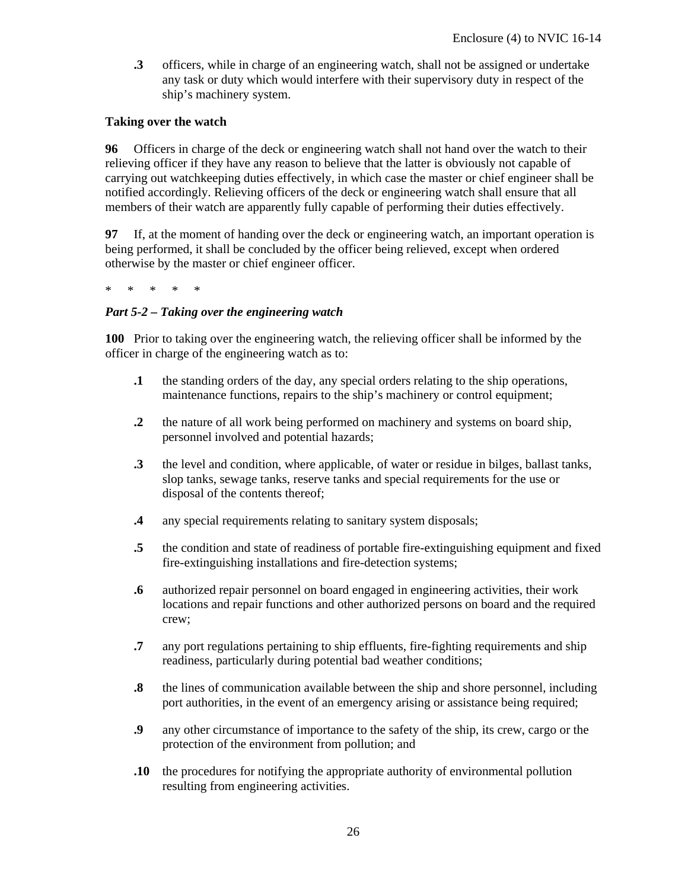**.3** officers, while in charge of an engineering watch, shall not be assigned or undertake any task or duty which would interfere with their supervisory duty in respect of the ship's machinery system.

## **Taking over the watch**

**96** Officers in charge of the deck or engineering watch shall not hand over the watch to their relieving officer if they have any reason to believe that the latter is obviously not capable of carrying out watchkeeping duties effectively, in which case the master or chief engineer shall be notified accordingly. Relieving officers of the deck or engineering watch shall ensure that all members of their watch are apparently fully capable of performing their duties effectively.

**97** If, at the moment of handing over the deck or engineering watch, an important operation is being performed, it shall be concluded by the officer being relieved, except when ordered otherwise by the master or chief engineer officer.

\* \* \* \* \*

## *Part 5-2 – Taking over the engineering watch*

**100** Prior to taking over the engineering watch, the relieving officer shall be informed by the officer in charge of the engineering watch as to:

- **.1** the standing orders of the day, any special orders relating to the ship operations, maintenance functions, repairs to the ship's machinery or control equipment;
- **.2** the nature of all work being performed on machinery and systems on board ship, personnel involved and potential hazards;
- **.3** the level and condition, where applicable, of water or residue in bilges, ballast tanks, slop tanks, sewage tanks, reserve tanks and special requirements for the use or disposal of the contents thereof;
- **.4** any special requirements relating to sanitary system disposals;
- **.5** the condition and state of readiness of portable fire-extinguishing equipment and fixed fire-extinguishing installations and fire-detection systems;
- **.6** authorized repair personnel on board engaged in engineering activities, their work locations and repair functions and other authorized persons on board and the required crew;
- **.7** any port regulations pertaining to ship effluents, fire-fighting requirements and ship readiness, particularly during potential bad weather conditions;
- **.8** the lines of communication available between the ship and shore personnel, including port authorities, in the event of an emergency arising or assistance being required;
- **.9** any other circumstance of importance to the safety of the ship, its crew, cargo or the protection of the environment from pollution; and
- **.10** the procedures for notifying the appropriate authority of environmental pollution resulting from engineering activities.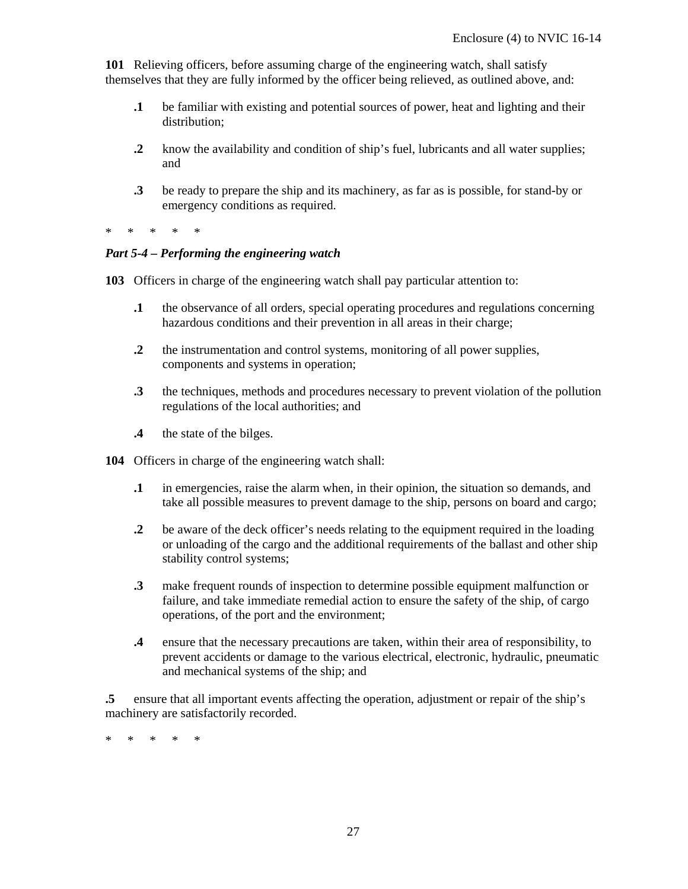**101** Relieving officers, before assuming charge of the engineering watch, shall satisfy themselves that they are fully informed by the officer being relieved, as outlined above, and:

- **.1** be familiar with existing and potential sources of power, heat and lighting and their distribution;
- **.2** know the availability and condition of ship's fuel, lubricants and all water supplies; and
- **.3** be ready to prepare the ship and its machinery, as far as is possible, for stand-by or emergency conditions as required.

\* \* \* \* \*

#### *Part 5-4 – Performing the engineering watch*

**103** Officers in charge of the engineering watch shall pay particular attention to:

- **.1** the observance of all orders, special operating procedures and regulations concerning hazardous conditions and their prevention in all areas in their charge;
- **.2** the instrumentation and control systems, monitoring of all power supplies, components and systems in operation;
- **.3** the techniques, methods and procedures necessary to prevent violation of the pollution regulations of the local authorities; and
- **.4** the state of the bilges.

**104** Officers in charge of the engineering watch shall:

- **.1** in emergencies, raise the alarm when, in their opinion, the situation so demands, and take all possible measures to prevent damage to the ship, persons on board and cargo;
- **.2** be aware of the deck officer's needs relating to the equipment required in the loading or unloading of the cargo and the additional requirements of the ballast and other ship stability control systems;
- **.3** make frequent rounds of inspection to determine possible equipment malfunction or failure, and take immediate remedial action to ensure the safety of the ship, of cargo operations, of the port and the environment;
- **.4** ensure that the necessary precautions are taken, within their area of responsibility, to prevent accidents or damage to the various electrical, electronic, hydraulic, pneumatic and mechanical systems of the ship; and

**.5** ensure that all important events affecting the operation, adjustment or repair of the ship's machinery are satisfactorily recorded.

\* \* \* \* \*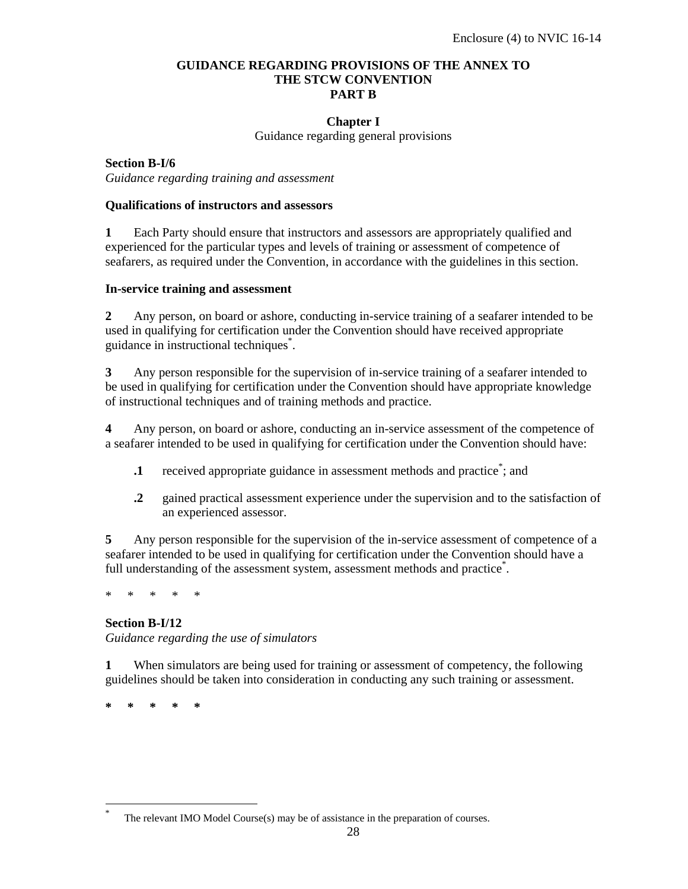#### **GUIDANCE REGARDING PROVISIONS OF THE ANNEX TO THE STCW CONVENTION PART B**

## **Chapter I**

Guidance regarding general provisions

**Section B-I/6** *Guidance regarding training and assessment* 

#### **Qualifications of instructors and assessors**

**1** Each Party should ensure that instructors and assessors are appropriately qualified and experienced for the particular types and levels of training or assessment of competence of seafarers, as required under the Convention, in accordance with the guidelines in this section.

#### **In-service training and assessment**

**2** Any person, on board or ashore, conducting in-service training of a seafarer intended to be used in qualifying for certification under the Convention should have received appropriate guidance in instructional techniques\* .

**3** Any person responsible for the supervision of in-service training of a seafarer intended to be used in qualifying for certification under the Convention should have appropriate knowledge of instructional techniques and of training methods and practice.

**4** Any person, on board or ashore, conducting an in-service assessment of the competence of a seafarer intended to be used in qualifying for certification under the Convention should have:

- **1** received appropriate guidance in assessment methods and practice<sup>\*</sup>; and
- **.2** gained practical assessment experience under the supervision and to the satisfaction of an experienced assessor.

**5** Any person responsible for the supervision of the in-service assessment of competence of a seafarer intended to be used in qualifying for certification under the Convention should have a full understanding of the assessment system, assessment methods and practice<sup>\*</sup>.

\* \* \* \* \*

#### **Section B-I/12**

*Guidance regarding the use of simulators* 

**1** When simulators are being used for training or assessment of competency, the following guidelines should be taken into consideration in conducting any such training or assessment.

**\* \* \* \* \***

-

<sup>\*</sup> The relevant IMO Model Course(s) may be of assistance in the preparation of courses.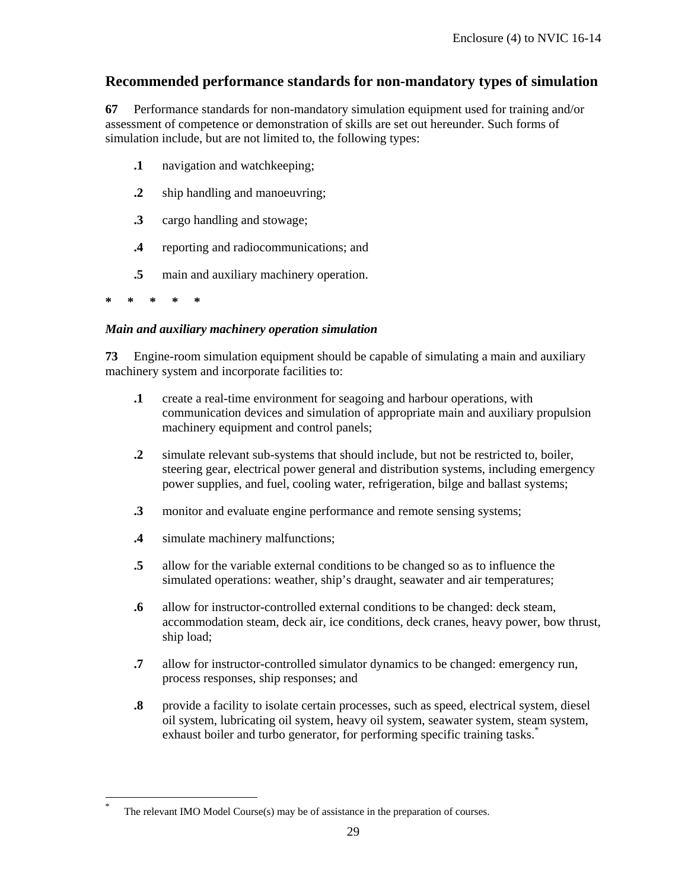## **Recommended performance standards for non-mandatory types of simulation**

**67** Performance standards for non-mandatory simulation equipment used for training and/or assessment of competence or demonstration of skills are set out hereunder. Such forms of simulation include, but are not limited to, the following types:

- **.1** navigation and watchkeeping;
- **.2** ship handling and manoeuvring;
- **.3** cargo handling and stowage;
- **.4** reporting and radiocommunications; and
- **.5** main and auxiliary machinery operation.
- **\* \* \* \* \***

-

#### *Main and auxiliary machinery operation simulation*

**73** Engine-room simulation equipment should be capable of simulating a main and auxiliary machinery system and incorporate facilities to:

- **.1** create a real-time environment for seagoing and harbour operations, with communication devices and simulation of appropriate main and auxiliary propulsion machinery equipment and control panels;
- **.2** simulate relevant sub-systems that should include, but not be restricted to, boiler, steering gear, electrical power general and distribution systems, including emergency power supplies, and fuel, cooling water, refrigeration, bilge and ballast systems;
- **.3** monitor and evaluate engine performance and remote sensing systems;
- **.4** simulate machinery malfunctions;
- **.5** allow for the variable external conditions to be changed so as to influence the simulated operations: weather, ship's draught, seawater and air temperatures;
- **.6** allow for instructor-controlled external conditions to be changed: deck steam, accommodation steam, deck air, ice conditions, deck cranes, heavy power, bow thrust, ship load;
- **.7** allow for instructor-controlled simulator dynamics to be changed: emergency run, process responses, ship responses; and
- **.8** provide a facility to isolate certain processes, such as speed, electrical system, diesel oil system, lubricating oil system, heavy oil system, seawater system, steam system, exhaust boiler and turbo generator, for performing specific training tasks.<sup>\*</sup>

The relevant IMO Model Course(s) may be of assistance in the preparation of courses.